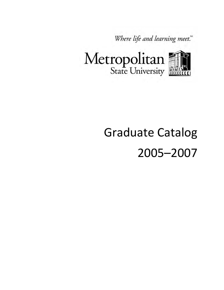Where life and learning meet."



# Graduate Catalog 2005–2007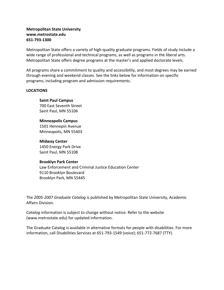#### **Metropolitan State University www.metrostate.edu 651-793-1300**

Metropolitan State offers a variety of high-quality graduate programs. Fields of study include a wide range of professional and technical programs, as well as programs in the liberal arts. Metropolitan State offers degree programs at the master's and applied doctorate levels.

All programs share a commitment to quality and accessibility, and most degrees may be earned through evening and weekend classes. See the links below for information on specific programs, including program and admission requirements.

#### **LOCATIONS**

**Saint Paul Campus** 700 East Seventh Street Saint Paul, MN 55106

**Minneapolis Campus** 1501 Hennepin Avenue Minneapolis, MN 55403

**Midway Center** 1450 Energy Park Drive Saint Paul, MN 55108

#### **Brooklyn Park Center**

Law Enforcement and Criminal Justice Education Center 9110 Brooklyn Boulevard Brooklyn Park, MN 55445

The *2005-2007 Graduate Catalog* is published by Metropolitan State University, Academic Affairs Division.

*Catalog* information is subject to change without notice. Refer to the website (www.metrostate.edu) for updated information.

The Graduate Catalog is available in alternative formats for people with disabilities. For more information, call Disabilities Services at 651-793-1549 (voice); 651-772-7687 (TTY).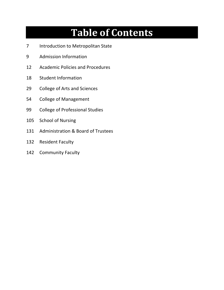## **Table of Contents**

- Introduction to Metropolitan State
- Admission Information
- Academic Policies and Procedures
- Student Information
- 29 College of Arts and Sciences
- College of Management
- College of Professional Studies
- School of Nursing
- Administration & Board of Trustees
- Resident Faculty
- Community Faculty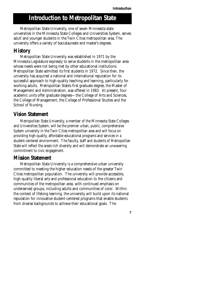**7** 

## **Introduction to Metropolitan State**

Metropolitan State University, one of seven Minnesota state universities in the Minnesota State Colleges and Universities System, serves adult and younger students in the Twin Cities metropolitan area. The university offers a variety of baccalaureate and master's degrees.

## **History**

Metropolitan State University was established in 1971 by the Minnesota Legislature expressly to serve students in the metropolitan area whose needs were not being met by other educational institutions. Metropolitan State admitted its first students in 1972. Since then, the university has acquired a national and international reputation for its successful approach to high-quality teaching and learning, particularly for working adults. Metropolitan State's first graduate degree, the Master of Management and Administration, was offered in 1983. At present, four academic units offer graduate degrees—the College of Arts and Sciences, the College of Management, the College of Professional Studies and the School of Nursing.

## **Vision Statement**

Metropolitan State University, a member of the Minnesota State Colleges and Universities System, will be the premier urban, public, comprehensive System university in the Twin Cities metropolitan area and will focus on providing high-quality, affordable educational programs and services in a student-centered environment. The faculty, staff and students of Metropolitan State will reflect the area's rich diversity and will demonstrate an unwavering commitment to civic engagement.

## **Mission Statement**

Metropolitan State University is a comprehensive urban university committed to meeting the higher education needs of the greater Twin Cities metropolitan population. The university will provide accessible, high-quality liberal arts and professional education to the citizens and communities of the metropolitan area, with continued emphasis on underserved groups, including adults and communities of color. Within the context of lifelong learning, the university will build upon its national reputation for innovative student-centered programs that enable students from diverse backgrounds to achieve their educational goals. The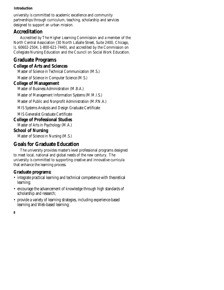#### **Introduction**

university is committed to academic excellence and community partnerships through curriculum, teaching, scholarship and services designed to support an urban mission.

## **Accreditation**

Accredited by The Higher Learning Commission and a member of the North Central Association (30 North LaSalle Street, Suite 2400, Chicago, IL 60602-2504, 1-800-621-7440), and accredited by the Commission on Collegiate Nursing Education and the Council on Social Work Education.

## **Graduate Programs**

#### **College of Arts and Sciences**

Master of Science in Technical Communication (M.S.)

Master of Science in Computer Science (M.S.)

#### **College of Management**

Master of Business Administration (M.B.A.)

Master of Management Information Systems (M.M.I.S.)

Master of Public and Nonprofit Administration (M.P.N.A.)

MIS Systems Analysis and Design Graduate Certificate

MIS Generalist Graduate Certificate

#### **College of Professional Studies**

Master of Arts in Psychology (M.A.)

#### **School of Nursing**

Master of Science in Nursing (M.S.)

## **Goals for Graduate Education**

The university provides master's level professional programs designed to meet local, national and global needs of the new century. The university is committed to supporting creative and innovative curricula that enhance the learning process.

## **Graduate programs:**

- integrate practical learning and technical competence with theoretical learning;
- encourage the advancement of knowledge through high standards of scholarship and research;
- provide a variety of learning strategies, including experience-based learning and Web-based learning;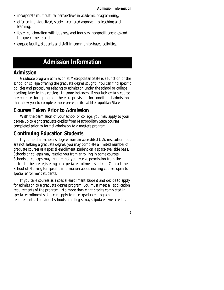- incorporate multicultural perspectives in academic programming;
- offer an individualized, student-centered approach to teaching and learning;
- foster collaboration with business and industry, nonprofit agencies and the government; and
- engage faculty, students and staff in community-based activities.

## **Admission Information**

#### **Admission**

Graduate program admission at Metropolitan State is a function of the school or college offering the graduate degree sought. You can find specific policies and procedures relating to admission under the school or college headings later in this catalog. In some instances, if you lack certain course prerequisites for a program, there are provisions for conditional admission that allow you to complete those prerequisites at Metropolitan State.

#### **Courses Taken Prior to Admission**

With the permission of your school or college, you may apply to your degree up to eight graduate credits from Metropolitan State courses completed prior to formal admission to a master's program.

#### **Continuing Education Students**

If you hold a bachelor's degree from an accredited U.S. institution, but are not seeking a graduate degree, you may complete a limited number of graduate courses as a special enrollment student on a space-available basis. Schools or colleges may restrict you from enrolling in some courses. Schools or colleges may require that you receive permission from the instructor before registering as a special enrollment student. Contact the School of Nursing for specific information about nursing courses open to special enrollment students.

If you take courses as a special enrollment student and decide to apply for admission to a graduate degree program, you must meet all application requirements of the program. No more than eight credits completed in special-enrollment status can apply to meet graduate program requirements. Individual schools or colleges may stipulate fewer credits.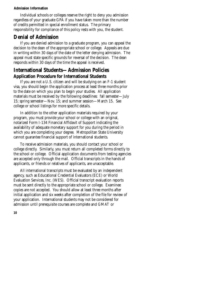#### **Admission Information**

Individual schools or colleges reserve the right to deny you admission regardless of your graduate GPA if you have taken more than the number of credits permitted in special enrollment status. The primary responsibility for compliance of this policy rests with you, the student.

## **Denial of Admission**

If you are denied admission to a graduate program, you can appeal the decision to the dean of the appropriate school or college. Appeals are due in writing within 30 days of the date of the letter denying admission. The appeal must state specific grounds for reversal of the decision. The dean responds within 30 days of the time the appeal is received.

## **International Students—Admission Policies Application Procedure for International Students**

If you are not a U.S. citizen and will be studying on an F-1 student visa, you should begin the application process at least three months prior to the date on which you plan to begin your studies. All application materials must be received by the following deadlines: fall semester—July 15; spring semester—Nov. 15; and summer session—March 15. See college or school listings for more specific details.

In addition to the other application materials required by your program, you must provide your school or college with an original, notarized Form I-134 Financial Affidavit of Support indicating the availability of adequate monetary support for you during the period in which you are completing your degree. Metropolitan State University cannot guarantee financial support of international students.

To receive admission materials, you should contact your school or college directly. Similarly, you must return all completed forms directly to the school or college. Official application documents from testing agencies are accepted only through the mail. Official transcripts in the hands of applicants, or friends or relatives of applicants, are unacceptable.

All international transcripts must be evaluated by an independent agency, such as Educational Credential Evaluators (ECE) or World Evaluation Services, Inc. (WES). Official transcript evaluation reports must be sent directly to the appropriate school or college. Examinee copies are not accepted. You should allow at least three months after initial application and six weeks after completion of the file for review of your application. International students may not be considered for admission until prerequisite courses are complete and GMAT or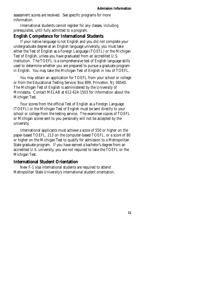assessment scores are received. See specific programs for more information.

International students cannot register for any classes, including prerequisites, until fully admitted to a program.

#### **English Competence for International Students**

If your native language is not English and you did not complete your undergraduate degree at an English language university, you must take either the Test of English as a Foreign Language (TOEFL) or the Michigan Test of English, unless you have graduated from an accredited U.S. institution. The TOEFL is a comprehensive test of English language skills used to determine whether you are prepared to pursue a graduate program in English. You may take the Michigan Test of English in lieu of TOEFL.

You may obtain an application for TOEFL from your school or college or from the Educational Testing Service, Box 899, Princeton, NJ 08540. The Michigan Test of English is administered by the University of Minnesota. Contact MELAB at 612-624-1503 for information about the Michigan Test.

Your scores from the official Test of English as a Foreign Language (TOEFL) or the Michigan Test of English must be sent directly to your school or college from the testing service. The examinee copies of TOEFL or Michigan scores sent to you personally will not be accepted by the university.

International applicants must achieve a score of 550 or higher on the paper-based TOEFL, 213 on the computer-based TOEFL, or a score of 80 or higher on the Michigan Test to qualify for admission to a Metropolitan State graduate program. If you have earned a bachelor's degree from an accredited U.S. university, you are not required to take the TOEFL or the Michigan Test.

#### **International Student Orientation**

New F-1 visa international students are required to attend Metropolitan State University's international student orientation.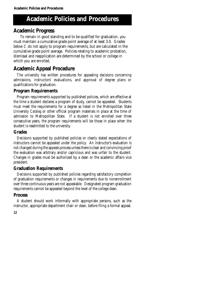## **Academic Policies and Procedures**

## **Academic Progress**

To remain in good standing and to be qualified for graduation, you must maintain a cumulative grade point average of at least 3.0. Grades below C do not apply to program requirements, but are calculated in the cumulative grade point average. Policies relating to academic probation, dismissal and reapplication are determined by the school or college in which you are enrolled.

## **Academic Appeal Procedure**

The university has written procedures for appealing decisions concerning admissions, instructors' evaluations, and approval of degree plans or qualifications for graduation.

#### **Program Requirements**

Program requirements supported by published policies, which are effective at the time a student declares a program of study, cannot be appealed. Students must meet the requirements for a degree as listed in the Metropolitan State University *Catalog* or other official program materials in place at the time of admission to Metropolitan State. If a student is not enrolled over three consecutive years, the program requirements will be those in place when the student is readmitted to the university.

#### **Grades**

Decisions supported by published policies or clearly stated expectations of instructors cannot be appealed under the policy. An instructor's evaluation is not changed during the appeals process unless there is clear and convincing proof the evaluation was arbitrary and/or capricious and was unfair to the student. Changes in grades must be authorized by a dean or the academic affairs vice president.

#### **Graduation Requirements**

Decisions supported by published policies regarding satisfactory completion of graduation requirements or changes in requirements due to nonenrollment over three continuous years are not appealable. Designated program graduation requirements cannot be appealed beyond the level of the college dean.

## **Process**

A student should work informally with appropriate persons, such as the instructor, appropriate department chair or dean, before filing a formal appeal.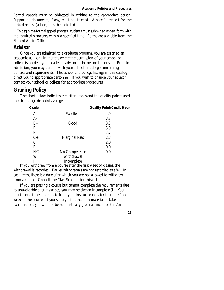Formal appeals must be addressed in writing to the appropriate person. Supporting documents, if any, must be attached. A specific request for the desired redress (action) must be indicated.

To begin the formal appeal process, students must submit an appeal form with the required signatures within a specified time. Forms are available from the Student Affairs Office.

#### **Advisor**

Once you are admitted to a graduate program, you are assigned an academic advisor. In matters where the permission of your school or college is needed, your academic advisor is the person to consult. Prior to admission, you may consult with your school or college concerning policies and requirements. The school and college listings in this catalog direct you to appropriate personnel. If you wish to change your advisor, contact your school or college for appropriate procedures.

## **Grading Policy**

The chart below indicates the letter grades and the quality points used to calculate grade point averages.

| Grade         |                      | <b>Quality Point/Credit Hour</b> |
|---------------|----------------------|----------------------------------|
| A             | <b>Excellent</b>     | 4.0                              |
| $A-$          |                      | 3.7                              |
| $B+$          | Good                 | 3.3                              |
| B             |                      | 3.0                              |
| $B-$          |                      | 2.7                              |
| $C+$          | <b>Marginal Pass</b> | 2.3                              |
| $\mathcal{C}$ |                      | 2.0                              |
| F             |                      | 0.0                              |
| NC            | No Competence        | 0.0                              |
| W             | Withdrawal           |                                  |
|               | Incomplete           |                                  |

If you withdraw from a course after the first week of classes, the withdrawal is recorded. Earlier withdrawals are not recorded as a W. In each term, there is a date after which you are not allowed to withdraw from a course. Consult the *Class Schedule* for this date.

If you are passing a course but cannot complete the requirements due to unavoidable circumstances, you may receive an incomplete (I). You must request the incomplete from your instructor no later than the final week of the course. If you simply fail to hand in material or take a final examination, you will not be automatically given an incomplete. An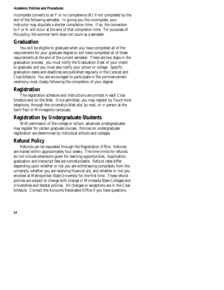#### **Academic Policies and Procedures**

incomplete converts to an F or no competence (N) if not completed by the end of the following semester. In giving you the incomplete, your instructor may stipulate a shorter completion time. If so, the conversion to F or N will occur at the end of that completion time. For purposes of this policy, the summer term does not count as a semester.

## **Graduation**

You will be eligible to graduate when you have completed all of the requirements for your graduate degree or will have completed all of these requirements at the end of the current semester. There are two steps in the graduation process: you must notify the Graduation Desk of your intent to graduate; and you must also notify your school or college. Specific graduation dates and deadlines are published regularly in the *Catalyst* and *Class Schedule*. You are encouraged to participate in the commencement ceremony most closely following the completion of your degree.

## **Registration**

The registration schedule and instructions are printed in each *Class Schedule* and on the Web. Once admitted, you may register by Touch-tone telephone, through the university's Web site, by mail, or in person at the Saint Paul or Minneapolis campuses.

## **Registration by Undergraduate Students**

With permission of the college or school, advanced undergraduates may register for certain graduate courses. Policies on undergraduate registration are determined by individual schools and colleges.

## **Refund Policy**

Refunds can be requested through the Registration Office. Refunds are mailed within approximately four weeks. The time limits for refunds do not include extensions given for learning opportunities. Application, graduation and transcript fees are nonrefundable. Refund rates differ depending upon whether or not you are withdrawing completely from the university, whether you are receiving financial aid, and whether or not you enrolled at Metropolitan State University for the first time. These refund policies are subject to change with change in Minnesota State Colleges and Universities and federal policies. All changes or exceptions are in the *Class Schedule*. Contact the Accounts Receivable Office if you have questions.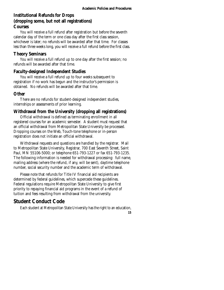#### **Institutional Refunds for Drops (dropping some, but not all registrations) Courses**

You will receive a full refund after registration but before the seventh calendar day of the term or one class day after the first class session, whichever is later; no refunds will be awarded after that time. For classes less than three weeks long, you will receive a full refund before the first class.

#### **Theory Seminars**

You will receive a full refund up to one day after the first session; no refunds will be awarded after that time.

#### **Faculty-designed Independent Studies**

You will receive a full refund up to four weeks subsequent to registration if no work has begun and the instructor's permission is obtained. No refunds will be awarded after that time.

#### **Other**

There are no refunds for student-designed independent studies, internships or assessments of prior learning.

#### **Withdrawal from the University (dropping all registrations)**

Official withdrawal is defined as terminating enrollment in all registered courses for an academic semester. A student must request that an official withdrawal from Metropolitan State University be processed. Dropping courses on the Web, Touch-tone telephone or in-person registration does not initiate an official withdrawal.

Withdrawal requests and questions are handled by the registrar. Mail to Metropolitan State University, Registrar, 700 East Seventh Street, Saint Paul, MN 55106-5000; or telephone 651-793-1227 or fax 651-793-1235. The following information is needed for withdrawal processing: full name, mailing address (where the refund, if any, will be sent), daytime telephone number, social security number and the academic term of withdrawal.

Please note that refunds for Title IV financial aid recipients are determined by federal guidelines, which supercede these guidelines. Federal regulations require Metropolitan State University to give first priority to repaying financial aid programs in the event of a refund of tuition and fees resulting from withdrawal from the university.

## **Student Conduct Code**

Each student at Metropolitan State University has the right to an education,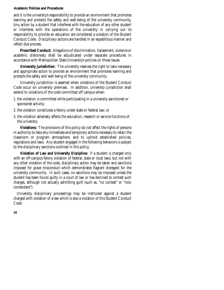#### **Academic Policies and Procedures**

and it is the university's responsibility to provide an environment that promotes learning and protects the safety and well-being of the university community. Any action by a student that interferes with the education of any other student or interferes with the operations of the university in carrying out its responsibility to provide an education are considered a violation of the Student Conduct Code. Disciplinary actions are handled in an expeditious manner and reflect due process.

**Proscribed Conduct:** Allegations of discrimination, harassment, violence or academic dishonesty shall be adjudicated under separate procedures in accordance with Metropolitan State University's policies on those issues.

**University Jurisdiction:** The university reserves the right to take necessary and appropriate action to provide an environment that promotes learning and protects the safety and well-being of the university community.

University jurisdiction is asserted when violations of the Student Conduct Code occur on university premises. In addition, university jurisdiction shall extend to violations of the code committed off campus when:

- 1. the violation is committed while participating in a university-sanctioned or sponsored activity;
- 2. the violation constitutes a felony under state or federal law; or
- 3. the violation adversely affects the education, research or service functions of the university.

**Violations:** The provisions of this policy do not affect the rights of persons in authority to take any immediate and temporary actions necessary to retain the classroom or program atmosphere, and to uphold established policies, regulations and laws. Any student engaged in the following behaviors is subject to the disciplinary sanctions outlined in this policy.

**Violation of Law and University Discipline:** If a student is charged only with an off-campus felony violation of federal, state or local laws, but not with any other violation of the code, disciplinary action may be taken and sanctions imposed for grave misconduct which demonstrates flagrant disregard for the university community. In such cases, no sanctions may be imposed unless the student has been found guilty in a court of law or has declined to contest such charges, although not actually admitting guilt (such as, "no contest" or "nolo contendere").

University disciplinary proceedings may be instituted against a student charged with violation of a law which is also a violation of this Student Conduct Code.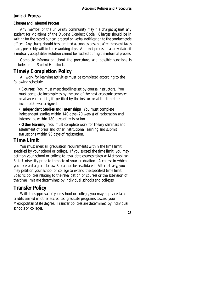## **Judicial Process**

#### **Charges and Informal Process**

Any member of the university community may file charges against any student for violations of the Student Conduct Code. Charges should be in writing for the record but can proceed on verbal notification to the conduct code officer. Any charge should be submitted as soon as possible after the event takes place, preferably within three working days. A formal process is also available if a mutually acceptable resolution cannot be reached during the informal process.

Complete information about the procedures and possible sanctions is included in the *Student Handbook.* 

## **Timely Completion Policy**

All work for learning activities must be completed according to the following schedule:

• **Courses**: You must meet deadlines set by course instructors. You must complete incompletes by the end of the next academic semester or at an earlier date, if specified by the instructor at the time the incomplete was assigned.

• **Independent Studies and Internships**: You must complete independent studies within 140 days (20 weeks) of registration and internships within 180 days of registration.

• **Other learning**: You must complete work for theory seminars and assessment of prior and other institutional learning and submit evaluations within 90 days of registration.

## **Time Limit**

You must meet all graduation requirements within the time limit specified by your school or college. If you exceed the time limit, you may petition your school or college to revalidate courses taken at Metropolitan State University prior to the date of your graduation. A course in which you received a grade below B- cannot be revalidated. Alternatively, you may petition your school or college to extend the specified time limit. Specific policies relating to the revalidation of courses or the extension of the time limit are determined by individual schools and colleges.

## **Transfer Policy**

With the approval of your school or college, you may apply certain credits earned in other accredited graduate programs toward your Metropolitan State degree. Transfer policies are determined by individual schools or colleges.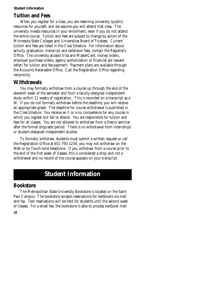## **Tuition and Fees**

When you register for a class, you are reserving university (public) resources for yourself, and we assume you will attend that class. The university invests resources in your enrollment, even if you do not attend the entire course. Tuition and fees are subject to change by action of the Minnesota State Colleges and Universities Board of Trustees. Current tuition and fees are listed in the *Class Schedule*. For information about activity, graduation, transcript and extension fees, contact the Registrar's Office. The university accepts Visa and MasterCard, money orders, employer purchase orders, agency authorization or financial aid (award letter) for tuition and fee payment. Payment plans are available through the Accounts Receivable Office. Call the Registration Office regarding reciprocity.

## **Withdrawals**

 W. If you do not formally withdraw before the deadline, you will receive You may formally withdraw from a course up through the end of the eleventh week of the semester and from a faculty-designed independent study within 11 weeks of registration. This is recorded on a transcript as a an appropriate grade. The deadline for course withdrawal is published in the *Class Schedule*. You receive an F or a no competence for any course in which you register but fail to attend. You are responsible for tuition and fees for all classes. You are not allowed to withdraw from a theory seminar after the formal drop/add period. There is no withdrawal from internships or student-designed independent studies.

To formally withdraw, students must submit a written request or call the Registration Office at 651-793-1234; you may not withdraw on the Web or by Touch-tone telephone. If you withdraw from a course prior to the end of the first week of classes, this is considered a drop and not a withdrawal and no record of the course appears on your transcript.

## **Student Information**

## **Bookstore**

The Metropolitan State University Bookstore is located on the Saint Paul Campus. The bookstore accepts reservations for textbooks via mail and fax. Text reservations will be held for students until the second week of classes. For a small fee, the bookstore is able to process textbook mail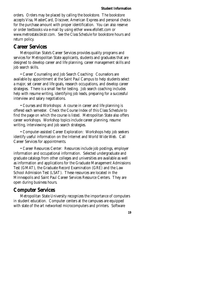orders. Orders may be placed by calling the bookstore. The bookstore accepts Visa, MasterCard, Discover, American Express and personal checks for the purchase amount with proper identification. You can also reserve or order textbooks via e-mail by using either www.efollett.com or www.metrostate.bkstr.com. See the *Class Schedule* for bookstore hours and return policy.

#### **Career Services**

Metropolitan State's Career Services provides quality programs and services for Metropolitan State applicants, students and graduates that are designed to develop career and life planning, career management skills and job search skills.

• Career Counseling and Job Search Coaching: Counselors are available by appointment at the Saint Paul Campus to help students select a major, set career and life goals, research occupations, and develop career strategies. There is a small fee for testing. Job search coaching includes help with resume writing, identifying job leads, preparing for a successful interview and salary negotiations.

• Courses and Workshops: A course in career and life planning is offered each semester. Check the Course Index of this Class Schedule to find the page on which the course is listed. Metropolitan State also offers career workshops. Workshop topics include career planning, resume writing, interviewing and job search strategies.

• Computer-assisted Career Exploration: Workshops help job seekers identify useful information on the Internet and World Wide Web. Call Career Services for appointments.

• Career Resources Center: Resources include job postings, employer information and occupational information. Selected undergraduate and graduate catalogs from other colleges and universities are available as well as information and applications for the Graduate Management Admissions Test (GMAT), the Graduate Record Examination (GRE) and the Law School Admission Test (LSAT). These resources are located in the Minneapolis and Saint Paul Career Services Resource Centers. They are open during business hours.

## **Computer Services**

Metropolitan State University recognizes the importance of computers in student education. Computer centers at the campuses are equipped with state of the art networked microcomputers and printers. Software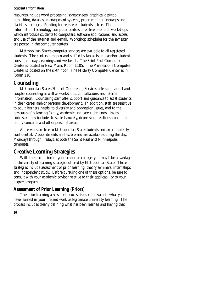resources include word processing, spreadsheets, graphics, desktop publishing, database management systems, programming languages and statistics packages. Printing for registered students is free. The Information Technology computer centers offer free one-hour workshops which introduce students to computers, software applications, and access and use of the Internet and e-mail. Workshop schedules for the semester are posted in the computer centers.

Metropolitan State's computer services are available to all registered students. The centers are open and staffed by lab assistants and/or student consultants days, evenings and weekends. The Saint Paul Computer Center is located in New Main, Room L105. The Minneapolis Computer Center is located on the sixth floor. The Midway Computer Center is in Room 110.

## **Counseling**

Metropolitan State's Student Counseling Services offers individual and couples counseling as well as workshops, consultations and referral information. Counseling staff offer support and guidance to assist students in their career and/or personal development. In addition, staff are sensitive to adult learners' needs, to diversity and oppression issues, and to the pressures of balancing family, academic and career demands. Issues addressed may include stress, test anxiety, depression, relationship conflict, family concerns and other personal areas.

All services are free to Metropolitan State students and are completely confidential. Appointments are flexible and are available during the day, Mondays through Fridays, at both the Saint Paul and Minneapolis campuses.

## **Creative Learning Strategies**

With the permission of your school or college, you may take advantage of the variety of learning strategies offered by Metropolitan State. These strategies include assessment of prior learning, theory seminars, internships and independent study. Before pursuing one of these options, be sure to consult with your academic advisor relative to their applicability to your degree program.

#### **Assessment of Prior Learning (Priors)**

The prior learning assessment process is used to evaluate what you have learned in your life and work as legitimate university learning. The process includes clearly defining what has been learned and having that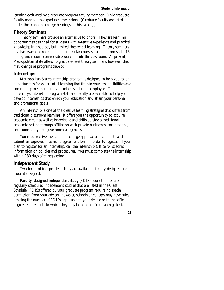learning evaluated by a graduate program faculty member. Only graduate faculty may approve graduate-level priors. (Graduate faculty are listed under the school or college headings in this catalog.)

#### **Theory Seminars**

Theory seminars provide an alternative to priors. They are learning opportunities designed for students with extensive experience and practical knowledge in a subject, but limited theoretical learning. Theory seminars involve fewer classroom hours than regular courses, ranging from six to 15 hours, and require considerable work outside the classroom. At present, Metropolitan State offers no graduate-level theory seminars; however, this may change as programs develop.

#### **Internships**

Metropolitan State's internship program is designed to help you tailor opportunities for experiential learning that fit into your responsibilities as a community member, family member, student or employee. The university's internship program staff and faculty are available to help you develop internships that enrich your education and attain your personal and professional goals.

An internship is one of the creative learning strategies that differs from traditional classroom learning. It offers you the opportunity to acquire academic credit as well as knowledge and skills outside a traditional academic setting through affiliation with private businesses, corporations, and community and governmental agencies.

You must receive the school or college approval and complete and submit an approved internship agreement form in order to register. If you plan to register for an internship, call the Internship Office for specific information on policies and procedures. You must complete the internship within 180 days after registering.

#### **Independent Study**

Two forms of independent study are available—faculty-designed and student-designed.

**Faculty–designed independent study** (FDIS) opportunities are regularly scheduled independent studies that are listed in the *Class Schedule*. FDISs offered by your graduate program require no special permission from your advisor; however, schools or colleges may have rules limiting the number of FDISs applicable to your degree or the specific degree requirements to which they may be applied. You can register for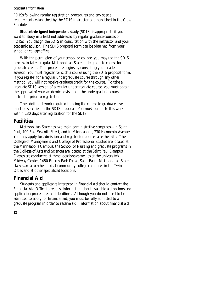FDISs following regular registration procedures and any special requirements established by the FDIS instructor and published in the *Class Schedule.* 

**Student-designed independent study** (SDIS) is appropriate if you want to study in a field not addressed by regular graduate courses or FDISs. You design the SDIS in consultation with the instructor and your academic advisor. The SDIS proposal form can be obtained from your school or college office.

With the permission of your school or college, you may use the SDIS process to take a regular Metropolitan State undergraduate course for graduate credit. This procedure begins by consulting your academic advisor. You must register for such a course using the SDIS proposal form. If you register for a regular undergraduate course through any other method, you will not receive graduate credit for the course. To take a graduate SDIS version of a regular undergraduate course, you must obtain the approval of your academic advisor and the undergraduate course instructor prior to registration.

The additional work required to bring the course to graduate level must be specified in the SDIS proposal. You must complete this work within 130 days after registration for the SDIS.

## **Facilities**

Metropolitan State has two main administrative campuses—in Saint Paul, 700 East Seventh Street, and in Minneapolis, 730 Hennepin Avenue. You may apply for admission and register for courses at either site. The College of Management and College of Professional Studies are located at the Minneapolis Campus; the School of Nursing and graduate programs in the College of Arts and Sciences are located at the Saint Paul Campus. Classes are conducted at these locations as well as at the university's Midway Center, 1450 Energy Park Drive, Saint Paul. Metropolitan State classes are also scheduled at community college campuses in the Twin Cities and at other specialized locations.

## **Financial Aid**

Students and applicants interested in financial aid should contact the Financial Aid Office to request information about available aid options and application procedures and deadlines. Although you do not need to be admitted to apply for financial aid, you must be fully admitted to a graduate program in order to receive aid. Information about financial aid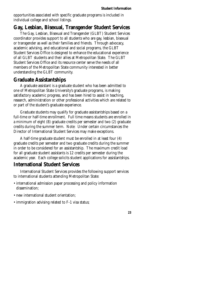opportunities associated with specific graduate programs is included in individual college and school listings.

## **Gay, Lesbian, Bisexual, Transgender Student Services**

The Gay, Lesbian, Bisexual and Transgender (GLBT) Student Services coordinator provides support to all students who are gay, lesbian, bisexual or transgender as well as their families and friends. Through advocacy, academic advising, and educational and social programs, the GLBT Student Services Office is designed to enhance the educational experience of all GLBT students and their allies at Metropolitan State. The GLBT Student Services Office and its resource center serve the needs of all members of the Metropolitan State community interested in better understanding the GLBT community.

## **Graduate Assistantships**

A graduate assistant is a graduate student who has been admitted to one of Metropolitan State University's graduate programs, is making satisfactory academic progress, and has been hired to assist in teaching, research, administration or other professional activities which are related to or part of the student's graduate experience.

Graduate students may qualify for graduate assistantships based on a full-time or half-time enrollment. Full time means students are enrolled in a minimum of eight (8) graduate credits per semester and two (2) graduate credits during the summer term. Note: Under certain circumstances the Director of International Student Services may make exceptions.

A half-time graduate student must be enrolled in at least four (4) graduate credits per semester and two graduate credits during the summer in order to be considered for an assistantship. The maximum credit load for all graduate student assistants is 12 credits per semester during the academic year. Each college solicits student applications for assistantships.

## **International Student Services**

International Student Services provides the following support services to international students attending Metropolitan State:

- international admission paper processing and policy information dissemination;
- new international student orientation;
- immigration advising related to F-1 visa status;

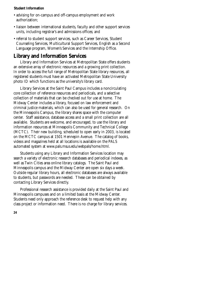- advising for on-campus and off-campus employment and work authorization;
- liaison between international students, faculty and other support services units, including registrar's and admissions offices; and
- referral to student support services, such as Career Services, Student Counseling Services, Multicultural Support Services, English as a Second Language program, Women's Services and the Internship Office.

## **Library and Information Services**

Library and Information Services at Metropolitan State offers students an extensive array of electronic resources and a growing print collection. In order to access the full range of Metropolitan State library resources, all registered students must have an activated Metropolitan State University photo ID which functions as the university's library card.

Library Services at the Saint Paul Campus includes a noncirculating core collection of reference resources and periodicals, and a selective collection of materials that can be checked out for use at home. The Midway Center includes a library, focused on law enforcement and criminal justice materials, which can also be used for general research. On the Minneapolis Campus, the library shares space with the computer center. Staff assistance, database access and a small print collection are all available. Students are welcome, and encouraged, to use the library and information resources at Minneapolis Community and Technical College (MCTC). Their new building, scheduled to open early in 2003, is located on the MCTC campus at 1501 Hennepin Avenue. The catalog of books, videos and magazines held at all locations is available on the PALS automated system at www.pals.msus.edu/webpals/home.html.

Students using any Library and Information Services location may search a variety of electronic research databases and periodical indexes, as well as Twin Cities area online library catalogs. The Saint Paul and Minneapolis campus and the Midway Center are open six days a week. Outside regular library hours, all electronic databases are always available to students, but passwords are needed. These can be obtained by contacting Library Services directly.

Professional research assistance is provided daily at the Saint Paul and Minneapolis campuses and on a limited basis at the Midway Center. Students need only approach the reference desk to request help with any class project or information need. There is no charge for library services.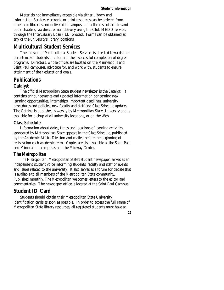Materials not immediately accessible via either Library and Information Services electronic or print resources can be ordered from other area libraries and delivered to campus, or, in the case of articles and book chapters, via direct e-mail delivery using the Club MEDD service, through the InterLibrary Loan (ILL) process. Forms can be obtained at any of the university's library locations.

## **Multicultural Student Services**

The mission of Multicultural Student Services is directed towards the persistence of students of color and their successful completion of degree programs. Directors, whose offices are located on the Minneapolis and Saint Paul campuses, advocate for, and work with, students to ensure attainment of their educational goals.

#### **Publications**

#### *Catalyst*

The official Metropolitan State student newsletter is the *Catalyst*. It contains announcements and updated information concerning new learning opportunities, internships, important deadlines, university procedures and policies, new faculty and staff and *Class Schedule* updates. The *Catalyst* is published biweekly by Metropolitan State University and is available for pickup at all university locations, or on the Web.

#### *Class Schedule*

Information about dates, times and locations of learning activities sponsored by Metropolitan State appears in the *Class Schedule*, published by the Academic Affairs Division and mailed before the beginning of registration each academic term. Copies are also available at the Saint Paul and Minneapolis campuses and the Midway Center.

#### *The Metropolitan*

*The Metropolitan*, Metropolitan State's student newspaper, serves as an independent student voice informing students, faculty and staff of events and issues related to the university. It also serves as a forum for debate that is available to all members of the Metropolitan State community. Published monthly, *The Metropolitan* welcomes letters to the editor and commentaries. The newspaper office is located at the Saint Paul Campus.

## **Student ID Card**

Students should obtain their Metropolitan State University identification cards as soon as possible. In order to access the full range of Metropolitan State library resources, all registered students must have an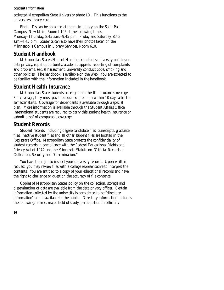activated Metropolitan State University photo ID. This functions as the university's library card.

Photo IDs can be obtained at the main library on the Saint Paul Campus, New Main, Room L105 at the following times: Monday–Thursday, 8:45 a.m.–9:45 p.m., Friday and Saturday, 8:45 a.m.–4:45 p.m. Students can also have their photos taken on the Minneapolis Campus in Library Services, Room 610.

## **Student Handbook**

Metropolitan State's Student Handbook includes university policies on data privacy, equal opportunity, academic appeals, reporting of complaints and problems, sexual harassment, university conduct code, smoking and other policies. The handbook is available on the Web. You are expected to be familiar with the information included in the handbook.

## **Student Health Insurance**

Metropolitan State students are eligible for health insurance coverage. For coverage, they must pay the required premium within 10 days after the semester starts. Coverage for dependents is available through a special plan. More information is available through the Student Affairs Office. International students are required to carry this student health insurance or submit proof of comparable coverage.

## **Student Records**

Student records, including degree candidate files, transcripts, graduate files, inactive student files and all other student files are located in the Registrar's Office. Metropolitan State protects the confidentiality of student records in compliance with the Federal Educational Rights and Privacy Act of 1974 and the Minnesota Statute on "Official Records— Collection, Security and Dissemination."

You have the right to inspect your university records. Upon written request, you may review files with a college representative to interpret the contents. You are entitled to a copy of your educational records and have the right to challenge or question the accuracy of file contents.

Copies of Metropolitan State's policy on the collection, storage and dissemination of data are available from the data privacy officer. Certain information collected by the university is considered to be "directory information" and is available to the public. Directory information includes the following: name, major field of study, participation in officially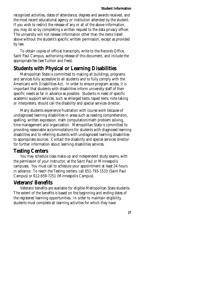recognized activities, dates of attendance, degrees and awards received, and the most recent educational agency or institution attended by the student. If you wish to restrict the release of any or all of the above information, you may do so by completing a written request to the data privacy officer. The university will not release information other than the items listed above without the student's specific written permission, except as provided by law.

To obtain copies of official transcripts, write to the Records Office, Saint Paul Campus, authorizing release of this document, and include the appropriate fee (see Tuition and Fees).

## **Students with Physical or Learning Disabilities**

Metropolitan State is committed to making all buildings, programs and services fully accessible to all students and to fully comply with the Americans with Disabilities Act. In order to ensure program access, it is important that students with disabilities inform university staff of their specific needs as far in advance as possible. Students in need of specific academic support services, such as enlarged texts, taped texts, note taking or interpreters, should call the disability and special services director.

Many students experience frustration with course work because of undiagnosed learning disabilities in areas such as reading comprehension, spelling, written expression, math computation/math problem solving, time management and organization. Metropolitan State is committed to providing reasonable accommodations for students with diagnosed learning disabilities and to referring students with undiagnosed learning disabilities to appropriate sources. Contact the disability and special services director for further information about learning disabilities services.

#### **Testing Centers**

You may schedule class make-up and independent study exams, with the permission of your instructor, at the Saint Paul or Minneapolis campuses. You must call to schedule your appointment at least 24 hours in advance. To reach the Testing centers, call 651-793-1533 (Saint Paul Campus) or 612-659-7251 (Minneapolis Campus).

## **Veterans' Benefits**

Veterans' benefits are available for eligible Metropolitan State students. The extent of the benefits is based on the beginning and ending dates of the registered learning opportunities. In order to maintain eligibility, students must complete all learning activities for which they have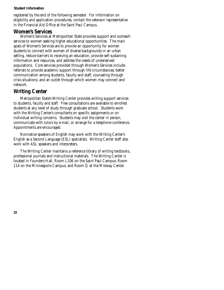registered by the end of the following semester. For information on eligibility and application procedures, contact the veterans' representative in the Financial Aid Office at the Saint Paul Campus.

#### **Women's Services**

Women's Services at Metropolitan State provides support and outreach services to women seeking higher educational opportunities. The main goals of Women's Services are to provide an opportunity for women students to connect with women of diverse backgrounds in an urban setting, reduce barriers to receiving an education, provide self-sustaining information and resources, and address the needs of underserved populations. Core services provided through Women's Services include: referrals to provide academic support through life circumstances; better communication among students, faculty and staff; counseling through crisis situations; and an outlet through which women may connect and network.

## **Writing Center**

Metropolitan State's Writing Center provides writing support services to students, faculty and staff. Free consultations are available to enrolled students at any level of study through graduate school. Students work with the Writing Center's consultants on specific assignments or on individual writing concerns. Students may visit the center in person, communicate with tutors by e-mail, or arrange for a telephone conference. Appointments are encouraged.

Nonnative speakers of English may work with the Writing Center's English as a Second Language (ESL) specialists. Writing Center staff also work with ASL speakers and interpreters.

The Writing Center maintains a reference library of writing textbooks, professional journals and instructional materials. The Writing Center is located in Founders Hall, Room L106 on the Saint Paul Campus; Room 114 on the Minneapolis Campus; and Room Q at the Midway Center.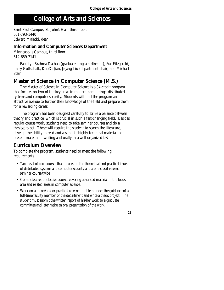## . **College of Arts and Sciences**

Saint Paul Campus, St. John's Hall, third floor. 651-793-1440 Edward Malecki, dean

#### **Information and Computer Sciences Department**

Minneapolis Campus, third floor. 612-659-7141.

Faculty: Brahma Dathan (graduate program director), Sue Fitzgerald, Larry Gottschalk, KuoDi Jian, Jigang Liu (department chair) and Michael Stein.

## **Master of Science in Computer Science (M.S.)**

The Master of Science in Computer Science is a 34-credit program that focuses on two of the key areas in modern computing: distributed systems and computer security. Students will find the program an attractive avenue to further their knowledge of the field and prepare them for a rewarding career.

The program has been designed carefully to strike a balance between theory and practice, which is crucial in such a fast-changing field. Besides regular course work, students need to take seminar courses and do a thesis/project. These will require the student to search the literature, develop the ability to read and assimilate highly technical material, and present material in writing and orally in a well-organized fashion.

## **Curriculum Overview**

To complete the program, students need to meet the following requirements.

- Take a set of core courses that focuses on the theoretical and practical issues of distributed systems and computer security and a one-credit research seminar course twice.
- Complete a set of elective courses covering advanced material in the focus area and related areas in computer science.
- Work on a theoretical or practical research problem under the guidance of a full-time faculty member of the department and write a thesis/project. The student must submit the written report of his/her work to a graduate committee and later make an oral presentation of the work.

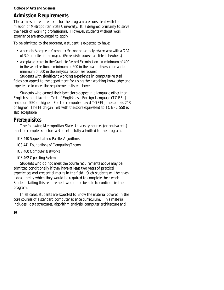#### **College of Arts and Sciences**

## **Admission Requirements**

The admission requirements for the program are consistent with the mission of Metropolitan State University. It is designed primarily to serve the needs of working professionals. However, students without work experience are encouraged to apply.

To be admitted to the program, a student is expected to have:

- a bachelor's degree in Computer Science or a closely-related area with a GPA of 3.0 or better in the major. (Prerequisite courses are listed elsewhere.)
- acceptable scores in the Graduate Record Examination. A minimum of 400 in the verbal section, a minimum of 600 in the quantitative section and a minimum of 500 in the analytical section are required.

Students with significant working experience in computer-related fields can appeal to the department for using their working knowledge and experience to meet the requirements listed above.

Students who earned their bachelor's degree in a language other than English should take the Test of English as a Foreign Language (TOEFL) and score 550 or higher. For the computer-based TOEFL, the score is 213 or higher. The Michigan Test with the score equivalent to TOEFL 550 is also acceptable.

## **Prerequisites**

The following Metropolitan State University courses (or equivalents) must be completed before a student is fully admitted to the program.

ICS 440 Sequential and Parallel Algorithms

- ICS 441 Foundations of Computing Theory
- ICS 460 Computer Networks
- ICS 462 Operating Systems

Students who do not meet the course requirements above may be admitted conditionally if they have at least two years of practical experiences and credential merits in the field. Such students will be given a deadline by which they would be required to complete their work. Students failing this requirement would not be able to continue in the program.

In all cases, students are expected to know the material covered in the core courses of a standard computer science curriculum. This material includes: data structures, algorithm analysis, computer architecture and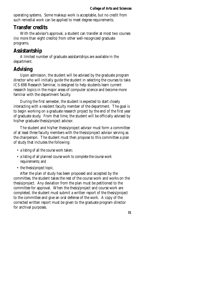operating systems. Some makeup work is acceptable, but no credit from such remedial work can be applied to meet degree requirements.

## **Transfer credits**

With the advisor's approval, a student can transfer at most two courses (no more than eight credits) from other well-recognized graduate programs.

## **Assistantship**

A limited number of graduate assistantships are available in the department.

## **Advising**

Upon admission, the student will be advised by the graduate program director who will initially guide the student in selecting the courses to take. ICS 698 Research Seminar, is designed to help students learn current research topics in the major areas of computer science and become more familiar with the department faculty.

During the first semester, the student is expected to start closely interacting with a resident faculty member of the department. The goal is to begin working on a graduate research project by the end of the first year of graduate study. From that time, the student will be officially advised by his/her graduate thesis/project advisor.

The student and his/her thesis/project advisor must form a committee of at least three faculty members with the thesis/project advisor serving as the chairperson. The student must then propose to this committee a plan of study that includes the following:

- a listing of all the course work taken;
- a listing of all planned course work to complete the course work requirements; and
- the thesis/project topic.

After the plan of study has been proposed and accepted by the committee, the student takes the rest of the course work and works on the thesis/project. Any deviation from the plan must be petitioned to the committee for approval. When the thesis/project and course work are completed, the student must submit a written report of the thesis/project to the committee and give an oral defense of the work. A copy of the corrected written report must be given to the graduate program director for archival purposes.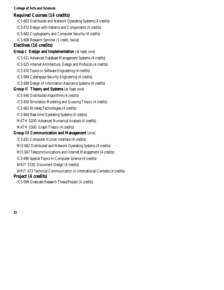#### **College of Arts and Sciences**

#### **Required Courses (14 credits)**

ICS 662 Distributed and Network Operating Systems (4 credits) ICS 672 Design with Patterns and Components (4 credits) ICS 682 Cryptography and Computer Security (4 credits) ICS 698 Research Seminar (1 credit, twice) **Electives (16 credits) Group I Design and Implementation** (at least one) ICS 611 Advanced Database Management Systems (4 credits) ICS 625 Internet Architecture, Design and Protocols (4 credits) ICS 670 Topics in Software Engineering (4 credits) ICS 684 Cyberspace Security Engineering (4 credits) ICS 686 Design of Information Assurance Systems (4 credits) **Group II Theory and Systems** (at least one) ICS 640 Distributed Algorithms (4 credits) ICS 650 Simulation Modeling and Queuing Theory (4 credits) ICS 661 Wireless Technologies (4 credits) ICS 664 Real-time Operating Systems (4 credits) MATH 520G Advanced Numerical Analysis (4 credits) MATH 530G Graph Theory (4 credits) **Group III Communication and Management** (one) ICS 631 Computer Human Interface (4 credits) MIS 662 Distributed and Network Operating Systems (4 credits) MIS 667 Telecommunications and Internet Management (4 credits) ICS 690 Special Topics in Computer Science (4 credits) WRIT 572G Document Design (4 credits) WRIT 672 Technical Communication in International Contexts (4 credits) **Project (4 credits)** 

ICS 699 Graduate Research Thesis/Project (4 credits)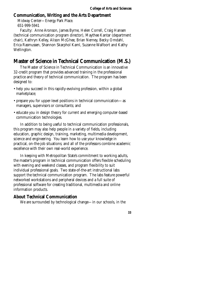#### **Communication, Writing and the Arts Department**

Midway Center—Energy Park Place. 651-999-5941

Faculty: Anne Aronson, James Byrne, Helen Correll, Craig Hansen (technical communication program director), Maythee Kantar (department chair), Kathryn Kelley, Alison McGhee, Brian Nerney, Becky Omdahl, Erica Rasmussen, Shannon Skarphol Kaml, Suzanne Walfoort and Kathy Wellington.

## **Master of Science in Technical Communication (M.S.)**

The Master of Science in Technical Communication is an innovative 32-credit program that provides advanced training in the professional practice and theory of technical communication. The program has been designed to:

- help you succeed in this rapidly-evolving profession, within a global marketplace;
- prepare you for upper-level positions in technical communication—as managers, supervisors or consultants; and
- educate you in design theory for current and emerging computer-based communication technologies.

In addition to being useful to technical communication professionals, this program may also help people in a variety of fields, including education, graphic design, training, marketing, multimedia development, science and engineering. You learn how to use your knowledge in practical, on-the-job situations; and all of the professors combine academic excellence with their own real-world experience.

In keeping with Metropolitan State's commitment to working adults, the master's program in technical communication offers flexible scheduling with evening and weekend classes, and program flexibility to suit individual professional goals. Two state-of-the-art instructional labs support the technical communication program. The labs feature powerful networked workstations and peripheral devices and a full suite of professional software for creating traditional, multimedia and online information products.

#### **About Technical Communication**

We are surrounded by technological change—in our schools, in the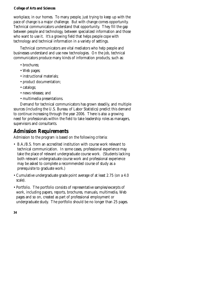#### **College of Arts and Sciences**

workplace, in our homes. To many people, just trying to keep up with the pace of change is a major challenge. But with change comes opportunity. Technical communicators understand that opportunity. They fill the gap between people and technology, between specialized information and those who want to use it. It's a growing field that helps people cope with technology and technical information in a variety of settings.

Technical communicators are vital mediators who help people and businesses understand and use new technologies. On the job, technical communicators produce many kinds of information products, such as:

- brochures:
- Web pages;
- instructional materials;
- product documentation;
- catalogs;
- news releases; and
- multimedia presentations.

Demand for technical communicators has grown steadily, and multiple sources (including the U.S. Bureau of Labor Statistics) predict this demand to continue increasing through the year 2006. There is also a growing need for professionals within the field to take leadership roles as managers, supervisors and consultants.

## **Admission Requirements**

Admission to the program is based on the following criteria:

- B.A./B.S. from an accredited institution with course work relevant to technical communication. In some cases, professional experience may take the place of relevant undergraduate course work. (Students lacking both relevant undergraduate course work and professional experience may be asked to complete a recommended course of study as a prerequisite to graduate work.)
- Cumulative undergraduate grade point average of at least 2.75 (on a 4.0 scale).
- Portfolio. The portfolio consists of representative samples/excerpts of work, including papers, reports, brochures, manuals, multimedia, Web pages and so on, created as part of professional employment or undergraduate study. The portfolio should be no longer than 25 pages.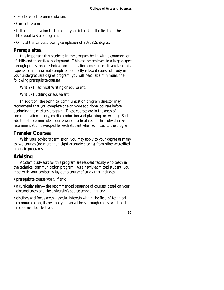- Two letters of recommendation.
- Current resume.
- Letter of application that explains your interest in the field and the Metropolita State program.
- Official transcripts showing completion of B.A./B.S. degree.

## **Prerequisites**

It is important that students in the program begin with a common set of skills and theoretical background. This can be achieved to a large degree through professional technical communication experience. If you lack this experience and have not completed a directly relevant course of study in your undergraduate degree program, you will need, at a minimum, the following prerequisite courses:

Writ 271 Technical Writing or equivalent;

Writ 371 Editing or equivalent.

In addition, the technical communication program director may recommend that you complete one or more additional courses before beginning the master's program. These courses are in the areas of communication theory, media production and planning, or writing. Such additional recommended course work is articulated in the individualized recommendation developed for each student when admitted to the program.

## **Transfer Courses**

With your advisor's permission, you may apply to your degree as many as two courses (no more than eight graduate credits) from other accredited graduate programs.

## **Advising**

Academic advisors for this program are resident faculty who teach in the technical communication program. As a newly-admitted student, you meet with your advisor to lay out a course of study that includes:

- prerequisite course work, if any;
- a curricular plan—the recommended sequence of courses, based on your circumstances and the university's course scheduling; and
- electives and focus areas—special interests within the field of technical communication, if any, that you can address through course work and recommended electives.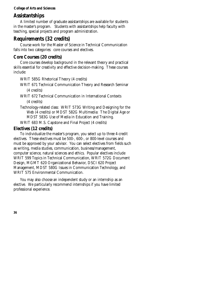#### **College of Arts and Sciences**

## **Assistantships**

A limited number of graduate assistantships are available for students in the master's program. Students with assistantships help faculty with teaching, special projects and program administration.

## **Requirements (32 credits)**

Course work for the Master of Science in Technical Communication falls into two categories: core courses and electives.

## **Core Courses (20 credits)**

Core courses develop background in the relevant theory and practical skills essential for creativity and effective decision-making. These courses include:

WRIT 585G Rhetorical Theory (4 credits)

WRIT 671 Technical Communication Theory and Research Seminar (4 credits)

WRIT 672 Technical Communication in International Contexts (4 credits)

Technology-related class: WRIT 573G Writing and Designing for the Web (4 credits) or MDST 582G Multimedia: The Digital Age or MDST 583G Use of Media in Education and Training.

WRIT 683 M.S. Capstone and Final Project (4 credits)

## **Electives (12 credits)**

To individualize the master's program, you select up to three 4-credit electives. These electives must be 500-, 600-, or 800-level courses and must be approved by your advisor. You can select electives from fields such as writing, media studies, communication, business/management, computer science, natural sciences and ethics. Popular electives include WRIT 599 Topics in Technical Communication, WRIT 572G Document Design, MGMT 620 Organizational Behavior, DSCI 620 Project Management, MDST 580G Issues in Communication Technology, and WRIT 575 Environmental Communication.

You may also choose an independent study or an internship as an elective. We particularly recommend internships if you have limited professional experience.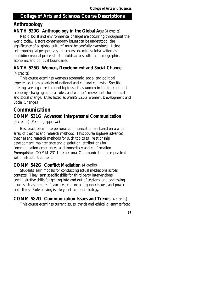#### **College of Arts and Sciences Course Descriptions**

## **Anthropology**

#### **ANTH 520G Anthropology in the Global Age** (4 credits)

Rapid social and environmental changes are occurring throughout the world today. Before contemporary issues can be understood, the significance of a "global culture" must be carefully examined. Using anthropological perspectives, this course examines globalization as a multidimensional process that unfolds across cultural, demographic, economic and political boundaries.

#### **ANTH 525G Women, Development and Social Change**  (4 credits)

This course examines women's economic, social and political experiences from a variety of national and cultural contexts. Specific offerings are organized around topics such as women in the international economy, changing cultural roles, and women's movements for political and social change. (Also listed as WmnS 525G Women, Development and Social Change.)

## **Communication**

## **COMM 531G Advanced Interpersonal Communication**

(4 credits) (Pending approval)

Best practices in interpersonal communication are based on a wide array of theories and research methods. This course explores advanced theories and research methods for such topics as: relationship development, maintenance and dissolution, attributions for communication experiences, and immediacy and confirmation. **Prerequisite**: COMM 231 Interpersonal Communication or equivalent with instructor's consent.

#### **COMM 542G Conflict Mediation** (4 credits)

Students learn models for conducting actual mediations across contexts. They learn specific skills for third party interventions, administrative skills for getting into and out of sessions, and addressing issues such as the use of caucuses, culture and gender issues, and power and ethics. Role playing is a key instructional strategy.

## **COMM 582G Communication Issues and Trends** (4 credits)

This course examines current issues, trends and ethical dilemmas faced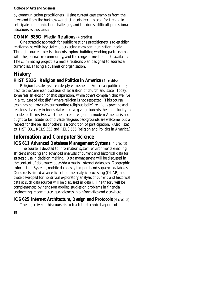#### **College of Arts and Sciences**

by communication practitioners. Using current case examples from the news and from the business world, students learn to scan for trends, to anticipate communication challenges, and to address difficult professional situations as they arise.

#### **COMM 585G Media Relations** (4 credits)

One strategic approach for public relations practitioners is to establish relationships with key stakeholders using mass communication media. Through course projects, students explore building working partnerships with the journalism community, and the range of media outlets available. The culminating project is a media relations plan designed to address a current issue facing a business or organization.

## **History**

#### **HIST 531G Religion and Politics in America** (4 credits)

Religion has always been deeply enmeshed in American political life, despite the American tradition of separation of church and state. Today, some fear an erosion of that separation, while others complain that we live in a "culture of disbelief" where religion is not respected. This course examines controversies surrounding religious belief, religious practice and religious diversity in industrial America, giving students the opportunity to decide for themselves what the place of religion in modern America is and ought to be. Students of diverse religious backgrounds are welcome, but a respect for the beliefs of others is a condition of participation. (Also listed as HIST 331, RELS 355 and RELS 555 Religion and Politics in America.)

## **Information and Computer Science**

#### **ICS 611 Advanced Database Management Systems** (4 credits)

The course is devoted to information system environments enabling efficient indexing and advanced analyses of current and historical data for strategic use in decision making. Data management will be discussed in the content of data warehouses/data marts; Internet databases; Geographic Information Systems, mobile databases, temporal and sequence databases. Constructs aimed at an efficient online analytic processing (OLAP) and these developed for nontrivial exploratory analysis of current and historical data at such data sources will be discussed in detail. The theory will be complemented by hands-on applied studies on problems in financial engineering, e-commerce, geo-sciences, bioinformatics and elsewhere.

## **ICS 625 Internet Architecture, Design and Protocols** (4 credits)

The objective of this course is to teach the technical aspects of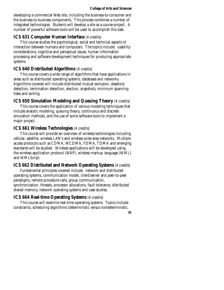#### **College of Arts and Sciences**

developing a commercial Web site, including the business-to-consumer and the business-to-business components. This process combines a number of integrated technologies. Students will develop a site as a course project. A number of powerful software tools will be used to accomplish this task.

#### **ICS 631 Computer Human Interface** (4 credits)

This course studies the psychological, social and technical aspects of interaction between humans and computers. The topics include: usability considerations, cognitive and perceptual issues, human information processing and software development techniques for producing appropriate systems.

#### **ICS 640 Distributed Algorithms** (4 credits)

This course covers a wide range of algorithms that have applications in areas such as distributed operating systems, databases and networks. Algorithms covered will include distributed mutual exclusion, deadlock detection, termination detection, election, snapshots, minimum spanning trees and sorting.

#### **ICS 650 Simulation Modeling and Queuing Theory** (4 credits)

This course covers the application of various modeling techniques that include analytic modeling, queuing theory, continuous and discrete simulation methods, and the use of some software tools to implement a major project.

#### **ICS 661 Wireless Technologies** (4 credits)

This course will provide an overview of wireless technologies including cellular, satellite, wireless LAN's and wireless wide-area networks. Multiple access protocols such as CDMA, WCDMA, FDMA, TDMA and emerging standards will be studied. Wireless applications will be developed using the wireless application protocol (WAP), wireless markup language (WML) and WMLScript.

#### **ICS 662 Distributed and Network Operating Systems** (4 credits)

Fundamental principles covered include: network and distributed operating systems, communication model, client/server and peer-to-peer paradigms, remote procedure calls, group communication, synchronization, threads, processor allocations, fault tolerance, distributed shared memory, network operating systems and case studies.

#### **ICS 664 Real-time Operating Systems** (4 credits)

This course will examine real-time operating systems. Topics include constraints, scheduling algorithms (deterministic versus nondeterministic,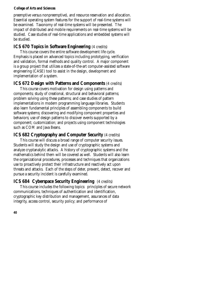preemptive versus nonpreemptive), and resource reservation and allocation. Essential operating system features for the support of real-time systems will be examined. Taxonomy of real-time systems will be presented. The impact of distributed and mobile requirements on real-time systems will be studied. Case studies of real-time applications and embedded systems will be studied.

### **ICS 670 Topics in Software Engineering** (4 credits)

This course covers the entire software development life cycle. Emphasis is placed on advanced topics including prototyping, verification and validation, formal methods and quality control. A major component is a group project that utilizes a state-of-the-art computer-assisted software engineering (CASE) tool to assist in the design, development and implementation of a system.

### **ICS 672 Design with Patterns and Components** (4 credits)

This course covers motivation for design using patterns and components; study of creational, structural and behavioral patterns; problem solving using these patterns; and case studies of pattern implementations in modern programming language libraries. Students also learn fundamental principles of assembling components to build software systems; discovering and modifying component properties and behaviors; use of design patterns to discover events supported by a component; customization; and projects using component technologies such as COM and Java Beans.

### **ICS 682 Cryptography and Computer Security (4 credits)**

This course will discuss a broad range of computer security issues. Students will study the design and use of cryptographic systems and analyze cryptanalytic attacks. A history of cryptographic systems and the mathematics behind them will be covered as well. Students will also learn the organizational procedures, processes and techniques that organizations use to proactively protect their infrastructure and reactively act upon threats and attacks. Each of the steps of deter, prevent, detect, recover and pursue a security incident is carefully examined.

**ICS 684 Cyberspace Security Engineering** (4 credits) This course includes the following topics: principles of secure network communications, techniques of authentication and identification, cryptographic key distribution and management, assurances of data integrity, access control, security policy; and performance of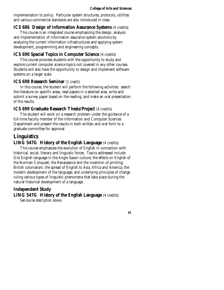implementation to policy. Particular system structures, protocols, utilities and various commercial standards are also introduced in class.

#### **ICS 686 Design of Information Assurance Systems** (4 credits)

This course is an integrated course emphasizing the design, analysis and implementation of information assurance system solutions by analyzing the current information infrastructures and applying system development, programming and engineering concepts.

### **ICS 690 Special Topics in Computer Science** (4 credits)

This course provides students with the opportunity to study and explore current computer science topics not covered in any other courses. Students will also have the opportunity to design and implement software systems on a larger scale.

#### **ICS 698 Research Seminar** (1 credit)

In this course, the student will perform the following activities: search the literature on specific areas, read papers in a selected area, write and submit a survey paper based on the reading, and make an oral presentation of the results.

#### **ICS 699 Graduate Research Thesis/Project** (4 credits)

The student will work on a research problem under the guidance of a full-time faculty member of the Information and Computer Sciences Department and present the results in both written and oral form to a graduate committee for approval.

### **Linguistics**

#### **LING 547G History of the English Language** (4 credits)

This course emphasizes the evolution of English in connection with historical, social, literary and linguistic forces. Topics addressed include Old English language in the Anglo-Saxon culture; the effects on English of the Norman Conquest, the Renaissance and the invention of printing; British colonialism; the spread of English to Asia, Africa and America; the modern development of the language; and underlying principles of change ruling various types of linguistic phenomena that take place during the natural historical development of a language.

#### **Independent Study**

**LING 547G History of the English Language** (4 credits)

*See course description above.*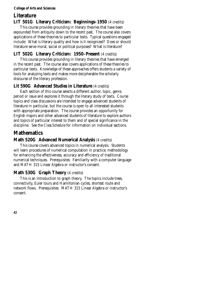# **Literature LIT 501G Literary Criticism: Beginnings–1950** (4 credits)

This course provides grounding in literary theories that have been expounded from antiquity down to the recent past. The course also covers applications of these theories to particular texts. Typical questions engaged include: What is literary quality and how is it recognized? Does or should literature serve moral, social or political purposes? What is literature?

# **LIT 502G Literary Criticism: 1950–Present** (4 credits)

This course provides grounding in literary theories that have emerged in the recent past. The course also covers applications of these theories to particular texts. Knowledge of these approaches offers students a variety of tools for analyzing texts and makes more decipherable the scholarly discourse of the literary profession.

### **Lit 590G Advanced Studies in Literature** (4 credits)

Each section of this course selects a different author, topic, genre, period or issue and explores it through the literary study of texts. Course topics and class discussions are intended to engage advanced students of literature in particular, but the course is open to all interested students with appropriate preparation. The course provides an opportunity for English majors and other advanced students of literature to explore authors and topics of particular interest to them and of special significance in the discipline. See the *Class Schedule* for information on individual sections.

# **Mathematics**

### **Math 520G Advanced Numerical Analysis** (4 credits)

This course covers advanced topics in numerical analysis. Students will learn procedures of numerical computation in practice; methodology for enhancing the effectiveness, accuracy and efficiency of traditional numerical techniques. Prerequisites: Familiarity with a computer language and MATH 315 Linear Algebra or instructor's consent.

# **Math 530G Graph Theory** (4 credits)

This is an introduction to graph theory. The topics include trees, connectivity, Euler tours and Hamiltonian cycles, shortest route and network flows. Prerequisites: MATH 315 Linear Algebra or instructor's consent.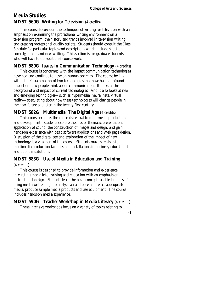# **Media Studies MDST 560G Writing for Television** (4 credits)

This course focuses on the techniques of writing for television with an emphasis on examining the professional writing environment on a television program, the history and trends involved in television writing and creating professional quality scripts. Students should consult the *Class Schedule* for particular topics and descriptions which include situation comedy, drama and newswriting. This section is for graduate students who will have to do additional course work.

### **MDST 580G Issues in Communication Technology** (4 credits)

This course is concerned with the impact communication technologies have had and continue to have on human societies. The course begins with a brief examination of two technologies that have had a profound impact on how people think about communication. It looks at the background and impact of current technologies. And it also looks at new and emerging technologies—such as hypermedia, neural nets, virtual reality—speculating about how these technologies will change people in the near future and later in the twenty-first century.

### **MDST 582G Multimedia: The Digital Age** (4 credits)

This course explores the concepts central to multimedia production and development. Students explore theories of thematic presentation, application of sound, the construction of images and design, and gain hands-on experience with basic software applications and Web page design. Discussion of the digital age and exploration of the impact of new technology is a vital part of the course. Students make site visits to multimedia production facilities and installations in business, educational and public institutions.

# **MDST 583G Use of Media in Education and Training**

### (4 credits)

This course is designed to provide information and experience integrating media into training and education with an emphasis on instructional design. Students learn the basic concepts and techniques of using media well enough to analyze an audience and select appropriate media, produce sample media products and use equipment. The course includes hands-on media experience.

# **MDST 590G Teacher Workshop in Media Literacy** (4 credits)

These intensive workshops focus on a variety of topics relating to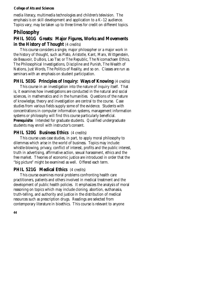media literacy, multimedia technologies and children's television. The emphasis is on skill development and application to a K–12 audience. Topics vary; may be taken up to three times for credit on different topics.

# **Philosophy**

## **PHIL 501G Greats: Major Figures, Works and Movements in the History of Thought** (4 credits)

This course considers a single, major philosopher or a major work in the history of thought, such as Plato, Aristotle, Kant, Marx, Wittgenstein, de Beauvoir, DuBois, Lao Tse; or The Republic, The Nicomachaen Ethics, The Philosophical Investigations, Discipline and Punish, The Wealth of Nations, Just Words, The Politics of Reality, and so on. Classes are run as seminars with an emphasis on student participation.

### **PHIL 503G Principles of Inquiry: Ways of Knowing (4 credits)**

This course in an investigation into the nature of inquiry itself. That is, it examines how investigations are conducted in the natural and social sciences, in mathematics and in the humanities. Questions of the nature of knowledge, theory and investigation are central to the course. Case studies from various fields supply some of the evidence. Students with concentrations in computer information systems, management information systems or philosophy will find this course particularly beneficial. **Prerequisite**: Intended for graduate students. Qualified undergraduate students may enroll with instructor's consent.

### **PHIL 520G Business Ethics** (4 credits)

This course uses case studies, in part, to apply moral philosophy to dilemmas which arise in the world of business. Topics may include: whistle-blowing, privacy, conflict of interest, profits and the public interest, truth in advertising, affirmative action, sexual harassment, ethics and the free market. Theories of economic justice are introduced in order that the "big picture" might be examined as well. Offered each term.

#### **PHIL 521G Medical Ethics** (4 credits)

This course examines moral problems confronting health care practitioners, patients and others involved in medical treatment and the development of public health policies. It emphasizes the analysis of moral reasoning on topics which may include cloning, abortion, euthanasia, truth-telling, and authority and justice in the distribution of medical resources such as prescription drugs. Readings are selected from contemporary literature in bioethics. This course is relevant to anyone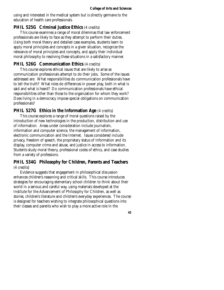using and interested in the medical system but is directly germane to the education of health care professionals.

#### **PHIL 525G Criminal Justice Ethics (4 credits)**

This course examines a range of moral dilemmas that law enforcement professionals are likely to face as they attempt to perform their duties. Using both moral theory and detailed case examples, students learn to apply moral principles and concepts in a given situation, recognize the relevance of moral principles and concepts, and apply their individual moral philosophy to resolving these situations in a satisfactory manner.

### **PHIL 526G Communication Ethics (4 credits)**

This course explores ethical issues that are likely to arise as communication professionals attempt to do their jobs. Some of the issues addressed are: What responsibilities do communication professionals have to tell the truth? What roles do differences in power play, both in what is said and what is heard? Do communication professionals have ethical responsibilities other than those to the organization for whom they work? Does living in a democracy impose special obligations on communication professionals?

### **PHIL 527G Ethics in the Information Age (4 credits)**

This course explores a range of moral questions raised by the introduction of new technologies in the production, distribution and use of information. Areas under consideration include journalism, information and computer science, the management of information, electronic communication and the Internet. Issues considered include privacy, freedom of speech, the proprietary status of information and its display, computer crime and abuse, and justice in access to information. Students study moral theory, professional codes of ethics, and case studies from a variety of professions.

### **PHIL 534G Philosophy for Children, Parents and Teachers**  (4 credits)

Evidence suggests that engagement in philosophical discussion enhances children's reasoning and critical skills. This course introduces strategies for encouraging elementary school children to think about their world in a serious and careful way, using materials developed at the Institute for the Advancement of Philosophy for Children, as well as stories, children's literature and children's everyday experiences. The course is designed for teachers wishing to integrate philosophical questions into their classes and parents who wish to play a more active role in the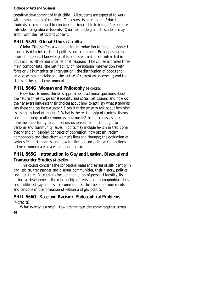cognitive development of their child. All students are expected to work with a small group of children. The course is open to all. Education students are encouraged to consider this invaluable training. Prerequisite: Intended for graduate students. Qualified undergraduate students may enroll with the instructor's consent.

### **PHIL 552G Global Ethics (4 credits)**

Global Ethics offers a wide-ranging introduction to the philosophical issues raised by international politics and economics. Presupposing no prior philosophical knowledge, it is addressed to students interested in both applied ethics and international relations. The course addresses three main components: the justifiability of international intervention (with force or via humanitarian intervention); the distribution of goods and services across the globe and the justice of current arrangements; and the ethics of the global environment.

### **PHIL 564G Women and Philosophy (4 credits)**

How have feminist thinkers approached traditional questions about the nature of reality, personal identity and social institutions, and how do their answers influence their choices about how to act? By what standards can these choices be evaluated? Does it make sense to talk about feminism as a single school of thought? What is the relationship of feminist theory and philosophy to other women's movements? In this course, students have the opportunity to connect discussions of feminist thought to personal and community issues. Topics may include sexism in traditional theory and philosophy; concepts of oppression; how sexism, racism, homophobia and class affect women's lives and thought; the evaluation of various feminist theories; and how intellectual and political connections between women are created and maintained.

# **PHIL 565G Introduction to Gay and Lesbian, Bisexual and Transgender Studies** (4 credits)

This course concerns the conceptual bases and senses of self-identity in gay, lesbian, transgender and bisexual communities, their history, politics and literature. Discussions include the notion of personal identity, its historical development, the relationship of sexism and homophobia, ideas and realities of gay and lesbian communities, the liberation movements and tensions in the formation of lesbian and gay politics.

# **PHIL 566G Race and Racism: Philosophical Problems**

(4 credits)

**46**  What exactly is a race? How has the race idea come together across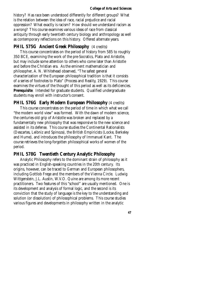history? Has race been understood differently for different groups? What is the relation between the idea of race, racial prejudice and racial oppression? What exactly is racism? How should we understand racism as a wrong? This course examines various ideas of race from classical antiquity through early twentieth century biology and anthropology as well as contemporary reflections on this history. Offered alternate years.

#### **PHIL 575G** Ancient Greek Philosophy (4 credits)

This course concentrates on the period of history from 585 to roughly 350 BCE, examining the work of the pre-Socratics, Plato and Aristotle, but may include some attention to others who come later than Aristotle and before the Christian era. As the eminent mathematician and philosopher, A. N. Whitehead observed, "The safest general characterization of the European philosophical tradition is that it consists of a series of footnotes to Plato" (Process and Reality, 1929). This course examines the virtues of the thought of this period as well as its deficiencies. **Prerequisite**: Intended for graduate students. Qualified undergraduate students may enroll with instructor's consent.

### **PHIL 576G Early Modern European Philosophy** (4 credits)

This course concentrates on the period of time in which what we call "the modern world view" was formed. With the dawn of modern science, the centuries-old grip of Aristotle was broken and replaced by a fundamentally new philosophy that was responsive to the new science and assisted in its defense. This course studies the Continental Rationalists (Descartes, Leibniz and Spinoza), the British Empiricists (Locke, Berkeley and Hume), and introduces the philosophy of Immanuel Kant. The course retrieves the long-forgotten philosophical works of women of the period.

#### **PHIL 578G Twentieth Century Analytic Philosophy**

Analytic Philosophy refers to the dominant strain of philosophy as it was practiced in English-speaking countries in the 20th century. Its origins, however, can be traced to German and European philosophers, including Gottlob Frege and the members of the Vienna Circle. Ludwig Wittgenstein, J.L. Austin, W.V.O. Quine are among its more recent practitioners. Two features of this "school" are usually mentioned. One is its development and analysis of formal logic, and the second is its conviction that the study of language is the key to the understanding and solution (or dissolution) of philosophical problems. This course studies various figures and developments in philosophy written in the analytic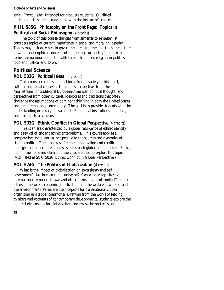style. Prerequisite: Intended for graduate students. Qualified undergraduate students may enroll with the instructor's consent.

### **PHIL 585G Philosophy on the Front Page: Topics in Political and Social Philosophy** (4 credits)

The topic of this course changes from semester to semester. It considers topics of current importance in social and moral philosophy. Topics may include ethics in government, environmental ethics, the nature of work, philosophical concepts of mothering, surrogates, the justice of some international conflict, health care distribution, religion in politics, food and justice, and so on.

# **Political Science POL 502G Political Ideas** (4 credits)

This course examines political ideas from a variety of historical, cultural and social contexts. It includes perspectives from the "mainstream" of traditional European-American political thought, and perspectives from other cultures, ideologies and traditions that often challenge the assumptions of dominant thinking in both the United States and the international community. The goal is to provide students with the understanding necessary to evaluate U.S. political institutions and ideas, and participate as citizens.

# **POL 503G Ethnic Conflict in Global Perspective** (4 credits)

This is an era characterized by a global resurgence of ethnic identity and a revival of ancient ethnic antagonisms. This course applies a comparative and historical perspective to the sources and dynamics of ethnic conflict. The processes of ethnic mobilization and conflict management are explored in case studies both global and domestic. Films, fiction, memoirs and classroom exercises are used to explore this topic. (Also listed as SOC 503G Ethnic Conflict in Global Perspective.)

# **POL 524G The Politics of Globalization** (4 credits)

What is the impact of globalization on sovereignty and self government? Are human rights universal? Can we develop effective international responses to war and other forms of violent conflict? Is there a tension between economic globalization and the welfare of workers and the environment? What are the prospects for transnational citizen organizing in a global commons? Drawing from the works of leading thinkers and accounts of contemporary developments, students explore the political dimensions for globalization and assess the obstacles and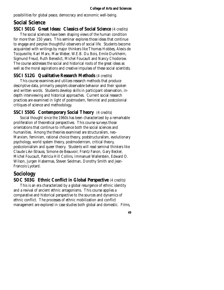possibilities for global peace, democracy and economic well-being.

# **Social Science**

#### **SSCI 501G Great Ideas: Classics of Social Science** (4 credits)

The social sciences have been shaping views of the human condition for more than 150 years. This seminar explores those ideas that continue to engage and perplex thoughtful observers of social life. Students become acquainted with writings by major thinkers like Thomas Hobbes, Alexis de Tocqueville, Karl Marx, Max Weber, W.E.B. Du Bois, Emile Durkheim, Sigmund Freud, Ruth Benedict, Michel Foucault and Nancy Chodorow. The course addresses the social and historical roots of the great ideas as well as the moral aspirations and creative impulses of these social scientists.

#### **SSCI 512G Qualitative Research Methods** (4 credits)

This course examines and utilizes research methods that produce descriptive data, primarily people's observable behavior and their spoken and written words. Students develop skills in participant observation, indepth interviewing and historical approaches. Current social research practices are examined in light of postmodern, feminist and postcolonial critiques of science and methodology.

#### **SSCI 550G Contemporary Social Theory** (4 credits)

Social thought since the 1960s has been characterized by a remarkable proliferation of theoretical perspectives. This course surveys those orientations that continue to influence both the social sciences and humanities. Among the theories examined are structuralism, neo-Marxism, feminism, rational choice theory, poststructuralism, evolutionary psychology, world system theory, postmodernism, critical theory, postcolonialism and queer theory. Students will read seminal thinkers like Claude Lévi-Strauss, Simone de Beauvoir, Frantz Fanon, Gary Becker, Michel Foucault, Patricia Hill Collins, Immanuel Wallerstein, Edward O. Wilson, Jurgen Habermas, Steven Seidman, Dorothy Smith and Jean-Francois Lyotard.

# **Sociology**

#### **SOC 503G Ethnic Conflict in Global Perspective** (4 credits)

This is an era characterized by a global resurgence of ethnic identity and a revival of ancient ethnic antagonisms. This course applies a comparative and historical perspective to the sources and dynamics of ethnic conflict. The processes of ethnic mobilization and conflict management are explored in case studies both global and domestic. Films,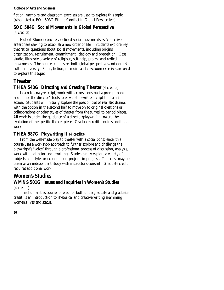fiction, memoirs and classroom exercises are used to explore this topic. (Also listed as POL 503G Ethnic Conflict in Global Perspective.)

## **SOC 504G Social Movements in Global Perspective**  (4 credits)

Hubert Blumer concisely defined social movements as "collective enterprises seeking to establish a new order of life." Students explore key theoretical questions about social movements, including origins, organization, recruitment, commitment, ideology and opposition. Case studies illustrate a variety of religious, self-help, protest and radical movements. The course emphasizes both global perspectives and domestic cultural diversity. Films, fiction, memoirs and classroom exercises are used to explore this topic.

# **Theater**

# **THEA 540G Directing and Creating Theater** (4 credits)

Learn to analyze script, work with actors, construct a prompt book, and utilize the director's tools to elevate the written script to dramatic action. Students will initially explore the possibilities of realistic drama, with the option in the second half to move on to original creations or collaborations or other styles of theater from the surreal to period pieces. All work is under the guidance of a director/playwright, toward the evolution of the specific theater piece. Graduate credit requires additional work.

# **THEA 587G Playwriting II** (4 credits)

From the well-made play to theater with a social conscience, this course uses a workshop approach to further explore and challenge the playwright's "voice" through a professional process of discussion, analysis, work with a director and rewriting. Students may explore a variety of subjects and styles or expand upon projects in progress. This class may be taken as an independent study with instructor's consent. Graduate credit requires additional work.

# **Women's Studies**

# **WMNS 501G Issues and Inquiries in Women's Studies**

### (4 credits)

This humanities course, offered for both undergraduate and graduate credit, is an introduction to rhetorical and creative writing examining women's lives and status.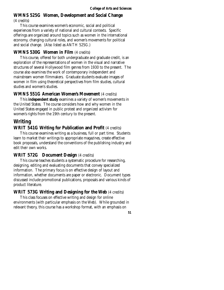# **WMNS 525G Women, Development and Social Change**

(4 credits)

This course examines women's economic, social and political experiences from a variety of national and cultural contexts. Specific offerings are organized around topics such as women in the international economy, changing cultural roles, and women's movements for political and social change. (Also listed as ANTH 525G.)

### **WMNS 530G Women in Film** (4 credits)

This course, offered for both undergraduate and graduate credit, is an exploration of the representations of women in the visual and narrative structures of several Hollywood film genres from 1930 to the present. The course also examines the work of contemporary independent and mainstream women filmmakers. Graduate students evaluate images of women in film using theoretical perspectives from film studies, cultural studies and women's studies.

### **WMNS 551G American Women's Movement** (4 credits)

This **independent study** examines a variety of women's movements in the United States. The course considers how and why women in the United States engaged in public protest and organized activism for women's rights from the 19th century to the present.

# **Writing**

### **WRIT 541G Writing for Publication and Profit** (4 credits)

This course examines writing as a business, full or part time. Students learn to market their writings to appropriate magazines, create effective book proposals, understand the conventions of the publishing industry and edit their own works.

### **WRIT 572G Document Design** (4 credits)

This course teaches students a systematic procedure for researching, designing, editing and evaluating documents that convey specialized information. The primary focus is on effective design of layout and information, whether documents are paper or electronic. Document types discussed include promotional publications, proposals and various kinds of product literature.

### **WRIT 573G Writing and Designing for the Web** (4 credits)

This class focuses on effective writing and design for online environments (with particular emphasis on the Web). While grounded in relevant theory, this course has a workshop format, with an emphasis on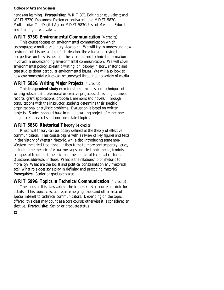hands-on learning. **Prerequisite**s: WRIT 371 Editing or equivalent; and WRIT 572G Document Design or equivalent; and MDST 582G Multimedia: The Digital Age or MDST 583G Use of Media in Education and Training or equivalent.

# **WRIT 575G Environmental Communication** (4 credits)

This course focuses on environmental communication which encompasses a multidisciplinary viewpoint. We will try to understand how environmental issues and conflicts develop, the values underlying the perspectives on these issues, and the scientific and technical information involved in understanding environmental communication. We will cover environmental policy, scientific writing, philosophy, history, rhetoric and case studies about particular environmental issues. We will also look at how environmental values can be conveyed throughout a variety of media.

# **WRIT 583G Writing Major Projects** (4 credits)

This **independent study** examines the principles and techniques of writing substantial professional or creative projects such as long business reports, grant applications, proposals, memoirs and novels. Through consultations with the instructor, students determine their specific organizational or stylistic problems. Evaluation is based on written projects. Students should have in mind a writing project of either one long piece or several short ones on related topics.

# **WRIT 585G Rhetorical Theory** (4 credits)

Rhetorical theory can be loosely defined as the theory of effective communication. This course begins with a review of key figures and texts in the history of Western rhetoric, while also introducing some non-Western rhetorical traditions. It then turns to more contemporary issues, including the rhetoric of visual messages and electronic media, feminist critiques of traditional rhetoric, and the politics of technical rhetoric. Questions addressed include: What is the relationship of rhetoric to morality? What are the social and political constraints on any rhetorical act? What role does style play in defining and practicing rhetoric? **Prerequisite**: Senior or graduate status.

# **WRIT 599G Topics in Technical Communication** (4 credits)

The focus of this class varies: check the semester course schedule for details. This topics class addresses emerging issues and other areas of special interest to technical communicators. Depending on the topic offered, this class may count as a core course; otherwise it is considered an elective. **Prerequisite**: Senior or graduate status.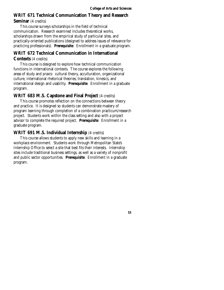# **WRIT 671 Technical Communication Theory and Research**

### **Seminar** (4 credits)

This course surveys scholarships in the field of technical communication. Research examined includes theoretical works, scholarships drawn from the empirical study of particular sites, and practically-oriented publications (designed to address issues of relevance for practicing professionals). **Prerequisite**: Enrollment in a graduate program.

# **WRIT 672 Technical Communication in International**

### **Contexts** (4 credits)

This course is designed to explore how technical communication functions in international contexts. The course explores the following areas of study and praxis: cultural theory, acculturation, organizational culture, international rhetorical theories, translation, kinesics, and international design and usability. **Prerequisite**: Enrollment in a graduate program.

### **WRIT 683 M.S. Capstone and Final Project** (4 credits)

This course promotes reflection on the connections between theory and practice. It is designed so students can demonstrate mastery of program learning through completion of a combination practicum/research project. Students work within the class setting and also with a project advisor to complete the required project. **Prerequisite**: Enrollment in a graduate program.

### **WRIT 691 M.S. Individual Internship** (4 credits)

This course allows students to apply new skills and learning in a workplace environment. Students work through Metropolitan State's Internship Office to select a site that best fits their interests. Internship sites include traditional business settings, as well as a variety of nonprofit and public sector opportunities. **Prerequisite**: Enrollment in a graduate program.

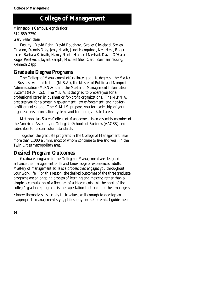Minneapolis Campus, eighth floor 612-659-7250 Gary Seiler, dean

Faculty: David Bahn, David Bouchard, Grover Cleveland, Steven Creason, Dennis Daly, Jerry Heath, Janet Henquinet, Ken Hess, Roger Israel, Barbara Keinath, Nancy Nentl, Hameed Nezhad, David O'Hara, Roger Prestwich, Jayant Saraph, Michael Sher, Carol Bormann Young, Kenneth Zapp

# **Graduate Degree Programs**

The College of Management offers three graduate degrees: the Master of Business Administration (M.B.A.), the Master of Public and Nonprofit Administration (M.P.N.A.), and the Master of Management Information Systems (M.M.I.S.). The M.B.A. is designed to prepare you for a professional career in business or for-profit organizations. The M.P.N.A. prepares you for a career in government, law enforcement, and not-forprofit organizations. The M.M.I.S. prepares you for leadership of your organization's information systems and technology-related areas.

Metropolitan State's College of Management is an assembly member of the American Assembly of Collegiate Schools of Business (AACSB) and subscribes to its curriculum standards.

Together, the graduate programs in the College of Management have more than 1,000 alumni, most of whom continue to live and work in the Twin Cities metropolitan area.

# **Desired Program Outcomes**

Graduate programs in the College of Management are designed to enhance the management skills and knowledge of experienced adults. Mastery of management skills is a process that engages you throughout your work life. For this reason, the desired outcomes of the three graduate programs are an ongoing process of learning and mastery, rather than a simple accumulation of a fixed set of achievements. At the heart of the college's graduate programs is the expectation that accomplished managers:

• know themselves, especially their values, well enough to develop an appropriate management style, philosophy and set of ethical guidelines;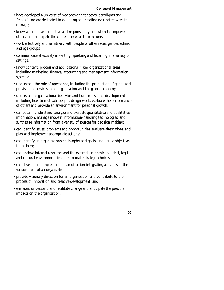- have developed a universe of management concepts, paradigms and "maps," and are dedicated to exploring and creating ever-better ways to manage;
- know when to take initiative and responsibility and when to empower others, and anticipate the consequences of their actions;
- work effectively and sensitively with people of other races, gender, ethnic and age groups;
- communicate effectively in writing, speaking and listening in a variety of settings;
- know content, process and applications in key organizational areas including marketing, finance, accounting and management information systems;
- understand the role of operations, including the production of goods and provision of services in an organization and the global economy;
- understand organizational behavior and human resource development including how to motivate people, design work, evaluate the performance of others and provide an environment for personal growth;
- can obtain, understand, analyze and evaluate quantitative and qualitative information, manage modern information-handling technologies, and synthesize information from a variety of sources for decision making;
- can identify issues, problems and opportunities, evaluate alternatives, and plan and implement appropriate actions;
- can identify an organization's philosophy and goals, and derive objectives from them;
- can analyze internal resources and the external economic, political, legal and cultural environment in order to make strategic choices;
- can develop and implement a plan of action integrating activities of the various parts of an organization;
- provide visionary direction for an organization and contribute to the process of innovation and creative development; and
- envision, understand and facilitate change and anticipate the possible impacts on the organization.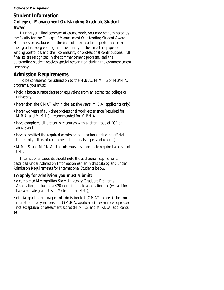# **Student Information College of Management Outstanding Graduate Student Award**

During your final semester of course work, you may be nominated by the faculty for the College of Management Outstanding Student Award. Nominees are evaluated on the basis of their academic performance in their graduate degree program, the quality of their master's papers or writing portfolios, and their community or professional contributions. All finalists are recognized in the commencement program, and the outstanding student receives special recognition during the commencement ceremony.

# **Admission Requirements**

To be considered for admission to the M.B.A., M.M.I.S or M.P.N.A. programs, you must:

- hold a baccalaureate degree or equivalent from an accredited college or university;
- have taken the GMAT within the last five years (M.B.A. applicants only);
- have two years of full-time professional work experience (required for M.B.A. and M.M.I.S.; recommended for M.P.N.A.);
- have completed all prerequisite courses with a letter grade of "C" or above; and
- have submitted the required admission application (including official transcripts, letters of recommendation, goals paper and resume).
- M.M.I.S. and M.P.N.A. students must also complete required assessment tests.

International students should note the additional requirements described under Admission Information earlier in this catalog and under Admission Requirements for International Students below.

# **To apply for admission you must submit:**

- a completed Metropolitan State University Graduate Programs Application, including a \$20 nonrefundable application fee (waived for baccalaureate graduates of Metropolitan State);
- official graduate management admission test (GMAT) scores (taken no more than five years previous) (M.B.A. applicants)—examinee copies are not acceptable; or assessment scores (M.M.I.S. and M.P.N.A. applicants);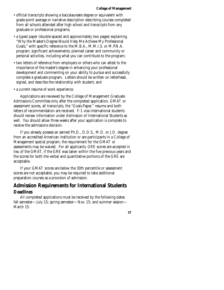- official transcripts showing a baccalaureate degree or equivalent with grade-point average or narrative description describing courses completed from all schools attended after high school and transcripts from any graduate or professional programs;
- a typed paper (double-spaced and approximately two pages) explaining "Why the Master's Degree Would Help Me Achieve My Professional Goals," with specific reference to the M.B.A., M.M.I.S. or M.P.N.A. program; significant achievements; planned career and community or personal activities, including what you can contribute to the program;
- two letters of reference from employers or others who can attest to the importance of the master's degree in enhancing your professional development and commenting on your ability to pursue and successfully complete a graduate program. Letters should be written on letterhead, signed, and describe the relationship with student; and
- a current resume of work experience.

Applications are reviewed by the College of Management Graduate Admissions Committee only after the completed application, GMAT or assessment scores, all transcripts, the "Goals Paper," resume and both letters of recommendation are received. F-1 visa international students should review information under Admission of International Students as well. You should allow three weeks after your application is complete to receive the admissions decision.

If you already possess an earned Ph.D., D.D.S., M.D. or J.D. degree from an accredited American institution or are participants in a College of Management special program, the requirement for the GMAT or assessments may be waived. For all applicants, GRE scores are accepted in lieu of the GMAT, if the GRE was taken within the five previous years and the scores for both the verbal and quantitative portions of the GRE are acceptable.

If your GMAT scores are below the 30th percentile or assessment scores are not acceptable, you may be required to take additional preparation courses as a provision of admission.

# **Admission Requirements for International Students Deadlines**

All completed applications must be received by the following dates: fall semester—July 15; spring semester—Nov. 15; and summer session— March 15.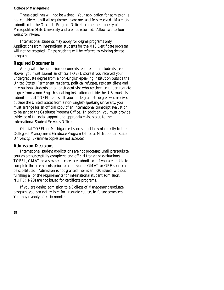These deadlines will not be waived. Your application for admission is not considered until all requirements are met and fees received. Materials submitted to the Graduate Program Office become the property of Metropolitan State University and are not returned. Allow two to four weeks for review.

International students may apply for degree programs only. Applications from international students for the MIS Certificate program will not be accepted. These students will be referred to existing degree programs.

#### **Required Documents**

Along with the admission documents required of all students (see above), you must submit an official TOEFL score if you received your undergraduate degree from a non-English-speaking institution outside the United States. Permanent residents, political refugees, resident aliens and international students on a nonstudent visa who received an undergraduate degree from a non-English-speaking institution outside the U.S. must also submit official TOEFL scores. If your undergraduate degree was received outside the United States from a non-English-speaking university, you must arrange for an official copy of an international transcript evaluation to be sent to the Graduate Program Office. In addition, you must provide evidence of financial support and appropriate visa status to the International Student Services Office.

Official TOEFL or Michigan test scores must be sent directly to the College of Management Graduate Program Office at Metropolitan State University. Examinee copies are not accepted.

#### **Admission Decisions**

International student applications are not processed until prerequisite courses are successfully completed and official transcript evaluations, TOEFL, GMAT or assessment scores are submitted. If you are unable to complete the assessments prior to admission, a GMAT or GRE score can be substituted. Admission is not granted, nor is an I-20 issued, without fulfilling all of the requirements for international student admission. NOTE: I-20s are not issued for certificate programs.

If you are denied admission to a College of Management graduate program, you can not register for graduate courses in future semesters. You may reapply after six months.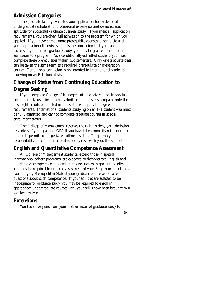# **Admission Categories**

The graduate faculty evaluates your application for evidence of undergraduate scholarship, professional experience and demonstrated aptitude for successful graduate business study. If you meet all application requirements, you are given full admission to the program for which you applied. If you have one or more prerequisite courses to complete and your application otherwise supports the conclusion that you can successfully undertake graduate study, you may be granted conditional admission to a program. As a conditionally-admitted student, you must complete these prerequisites within two semesters. Only one graduate class can be taken the same term as a required prerequisite or preparation course. Conditional admission is not granted to international students studying on an F-1 student visa.

# **Change of Status from Continuing Education to Degree Seeking**

If you complete College of Management graduate courses in specialenrollment status prior to being admitted to a master's program, only the first eight credits completed in this status will apply to degree requirements. International students studying on an F-1 student visa must be fully admitted and cannot complete graduate courses in special enrollment status.

The College of Management reserves the right to deny you admission regardless of your graduate GPA if you have taken more than the number of credits permitted in special enrollment status. The primary responsibility for compliance of this policy rests with you, the student.

# **English and Quantitative Competence Assessment**

All College of Management students, except those in special international cohort programs, are expected to demonstrate English and quantitative competence at a level to ensure success in graduate studies. You may be required to undergo assessment of your English or quantitative capability by Metropolitan State if your graduate course work raises questions about such competence. If your abilities are assessed to be inadequate for graduate study, you may be required to enroll in appropriate undergraduate courses until your skills have been brought to a satisfactory level.

# **Extensions**

You have five years from your first semester of graduate study to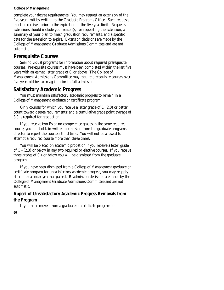complete your degree requirements. You may request an extension of the five-year limit by writing to the Graduate Programs Office. Such requests must be received prior to the expiration of the five-year limit. Requests for extensions should include your reason(s) for requesting the extension, a summary of your plan to finish graduation requirements, and a specific date for the extension to expire. Extension decisions are made by the College of Management Graduate Admissions Committee and are not automatic.

# **Prerequisite Courses**

See individual programs for information about required prerequisite courses. Prerequisite courses must have been completed within the last five years with an earned letter grade of C or above. The College of Management Admissions Committee may require prerequisite courses over five years old be taken again prior to full admission.

# **Satisfactory Academic Progress**

You must maintain satisfactory academic progress to remain in a College of Management graduate or certificate program.

Only courses for which you receive a letter grade of C (2.0) or better count toward degree requirements; and a cumulative grade point average of 3.0 is required for graduation.

If you receive two Fs or no competence grades in the same required course, you must obtain written permission from the graduate programs director to repeat the course a third time. You will not be allowed to attempt a required course more than three times.

You will be placed on academic probation if you receive a letter grade of C+ (2.3) or below in any two required or elective courses. If you receive three grades of C+ or below you will be dismissed from the graduate program.

If you have been dismissed from a College of Management graduate or certificate program for unsatisfactory academic progress, you may reapply after one calendar year has passed. Readmission decisions are made by the College of Management Graduate Admissions Committee and are not automatic.

# **Appeal of Unsatisfactory Academic Progress Removals from the Program**

If you are removed from a graduate or certificate program for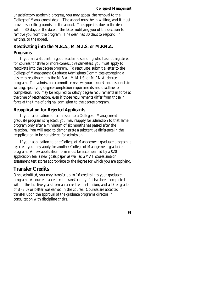unsatisfactory academic progress, you may appeal the removal to the College of Management dean. The appeal must be in writing, and it must provide specific grounds for the appeal. The appeal is due to the dean within 30 days of the date of the letter notifying you of the decision to remove you from the program. The dean has 30 days to respond, in writing, to the appeal.

# **Reactivating into the M.B.A., M.M.I.S. or M.P.N.A.**

#### **Programs**

If you are a student in good academic standing who has not registered for courses for three or more consecutive semesters, you must apply to reactivate into the degree program. To reactivate, submit a letter to the College of Management Graduate Admissions Committee expressing a desire to reactivate into the M.B.A., M.M.I.S. or M.P.N.A. degree program. The admissions committee reviews your request and responds in writing, specifying degree completion requirements and deadline for completion. You may be required to satisfy degree requirements in force at the time of reactivation, even if those requirements differ from those in force at the time of original admission to the degree program.

### **Reapplication for Rejected Applicants**

If your application for admission to a College of Management graduate program is rejected, you may reapply for admission to that same program only after a minimum of six months has passed after the rejection. You will need to demonstrate a substantive difference in the reapplication to be considered for admission.

If your application to one College of Management graduate program is rejected, you may apply for another College of Management graduate program. A new application form must be accompanied by a \$20 application fee, a new goals paper as well as GMAT scores and/or assessment test scores appropriate to the degree for which you are applying.

# **Transfer Credits**

Once admitted, you may transfer up to 16 credits into your graduate program. A course is accepted in transfer only if it has been completed within the last five years from an accredited institution, and a letter grade of B (3.0) or better was earned in the course. Courses are accepted in transfer upon the approval of the graduate programs director in consultation with discipline chairs.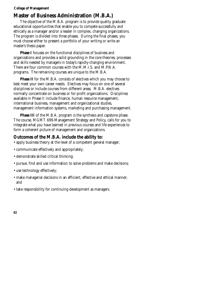# **Master of Business Administration (M.B.A.)**

The objective of the M.B.A. program is to provide quality graduate educational opportunities that enable you to compete successfully and ethically as a manager and/or a leader in complex, changing organizations. The program is divided into three phases. During the final phases, you must choose either to present a portfolio of your writing or write an master's thesis paper.

**Phase I** focuses on the functional disciplines of business and organizations and provides a solid grounding in the core theories, processes and skills needed by managers in today's rapidly-changing environment. There are four common courses with the M.M.I.S. and M.P.N.A. programs. The remaining courses are unique to the M.B.A.

**Phase II** for the M.B.A. consists of electives which you may choose to best meet your own career needs. Electives may focus on one of several disciplines or include courses from different areas. M.B.A. electives normally concentrate on business or for-profit organizations. Disciplines available in Phase II include finance, human resource management, international business, management and organizational studies, management information systems, marketing and purchasing management.

**Phase III** of the M.B.A. program is the synthesis and capstone phase. The course, MGMT 699-Management Strategy and Policy, calls for you to integrate what you have learned in previous courses and life experiences to form a coherent picture of management and organizations.

#### **Outcomes of the M.B.A. include the ability to:**

- apply business theory at the level of a competent general manager;
- communicate effectively and appropriately;
- demonstrate skilled critical thinking;
- pursue, find and use information to solve problems and make decisions;
- use technology effectively;
- make managerial decisions in an efficient, effective and ethical manner; and
- take responsibility for continuing development as managers.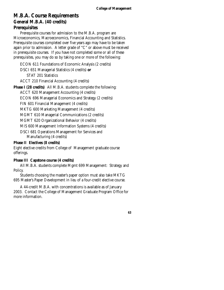# **M.B.A. Course Requirements General M.B.A. (40 credits) Prerequisites**

Prerequisite courses for admission to the M.B.A. program are Microeconomics, Macroeconomics, Financial Accounting and Statistics. Prerequisite courses completed over five years ago may have to be taken again prior to admission. A letter grade of "C" or above must be received in prerequisite courses. If you have not completed some or all of these prerequisites, you may do so by taking one or more of the following:

ECON 611 Foundations of Economic Analysis (2 credits) DSCI 651 Managerial Statistics (4 credits) **or**  STAT 201 Statistics ACCT 210 Financial Accounting (4 credits)

**Phase I (28 credits)** All M.B.A. students complete the following:

ACCT 620 Management Accounting (4 credits)

ECON 696 Managerial Economics and Strategy (2 credits)

FIN 601 Financial Management (4 credits)

MKTG 600 Marketing Management (4 credits)

MGMT 610 Managerial Communications (2 credits)

MGMT 620 Organizational Behavior (4 credits)

MIS 600 Management Information Systems (4 credits)

DSCI 681 Operations Management for Services and Manufacturing (4 credits)

#### **Phase II Electives (8 credits)**

Eight elective credits from College of Management graduate course offerings.

#### **Phase III Capstone course (4 credits)**

All M.B.A. students complete Mgmt 699 Management: Strategy and Policy.

Students choosing the master's paper option must also take MKTG 695 Master's Paper Development in lieu of a four-credit elective course.

A 44-credit M.B.A. with concentrations is available as of January 2003. Contact the College of Management Graduate Program Office for more information.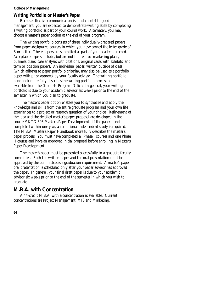#### **Writing Portfolio or Master's Paper**

Because effective communication is fundamental to good management, you are expected to demonstrate writing skills by completing a writing portfolio as part of your course work. Alternately, you may choose a master's paper option at the end of your program.

The writing portfolio consists of three individually-prepared papers from paper-designated courses in which you have earned the letter grade of B or better. These papers are submitted as part of your academic record. Acceptable papers include, but are not limited to: marketing plans, business plans, case analysis with citations, original cases with exhibits, and term or position papers. An individual paper, written outside of class (which adheres to paper portfolio criteria), may also be used as a portfolio paper with prior approval by your faculty advisor. The writing portfolio handbook more fully describes the writing portfolio process and is available from the Graduate Program Office. In general, your writing portfolio is due to your academic advisor six weeks prior to the end of the semester in which you plan to graduate.

The master's paper option enables you to synthesize and apply the knowledge and skills from the entire graduate program and your own life experiences to a project or research question of your choice. Refinement of the idea and the detailed master's paper proposal are developed in the course MKTG 695 Master's Paper Development. If the paper is not completed within one year, an additional independent study is required. The M.B.A. Master's Paper Handbook more fully describes the master's paper process. You must have completed all Phase I courses and one Phase II course and have an approved initial proposal before enrolling in Master's Paper Development.

The master's paper must be presented successfully to a graduate faculty committee. Both the written paper and the oral presentation must be approved by the committee as a graduation requirement. A master's paper oral presentation is scheduled only after your paper advisor has approved the paper. In general, your final draft paper is due to your academic advisor six weeks prior to the end of the semester in which you wish to graduate.

# **M.B.A. with Concentration**

A 44-credit M.B.A. with a concentration is available. Current concentrations are Project Management, MIS and Marketing.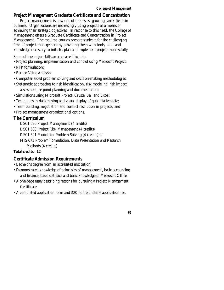### **Project Management Graduate Certificate and Concentration**

Project management is now one of the fastest growing career fields in business. Organizations are increasingly using projects as a means of achieving their strategic objectives. In response to this need, the College of Management offers a Graduate Certificate and Concentration in Project Management. The required courses prepare students for the challenging field of project management by providing them with tools, skills and knowledge necessary to initiate, plan and implement projects successfully.

Some of the major skills areas covered include:

- Project planning, implementation and control using Microsoft Project;
- RFP formulation;
- Earned Value Analysis;
- Computer-aided problem solving and decision-making methodologies;
- Systematic approaches to risk identification, risk modeling, risk impact assessment, respond planning and documentation;
- Simulations using Microsoft Project, Crystal Ball and Excel;
- Techniques in data mining and visual display of quantitative data;
- Team building, negotiation and conflict resolution in projects; and
- Project management organizational options.

# **The Curriculum**

DSCI 620 Project Management (4 credits)

DSCI 630 Project Risk Management (4 credits)

DSCI 691 Models for Problem Solving (4 credits) or

MIS 671 Problem Formulation, Data Presentation and Research

Methods (4 credits)

#### **Total credits: 12**

# **Certificate Admission Requirements**

- Bachelor's degree from an accredited institution.
- Demonstrated knowledge of principles of management, basic accounting and finance, basic statistics and basic knowledge of Microsoft Office.
- A one-page essay describing reasons for pursuing a Project Management Certificate.
- A completed application form and \$20 nonrefundable application fee.

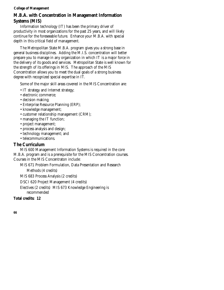# **M.B.A. with Concentration in Management Information Systems (MIS)**

Information technology (IT) has been the primary driver of productivity in most organizations for the past 25 years, and will likely continue for the foreseeable future. Enhance your M.B.A. with special depth in this critical field of management.

The Metropolitan State M.B.A. program gives you a strong base in general business disciplines. Adding the M.I.S. concentration will better prepare you to manage in any organization in which IT is a major force in the delivery of its goods and services. Metropolitan State is well known for the strength of its offerings in MIS. The approach of the MIS Concentration allows you to meet the dual goals of a strong business degree with recognized special expertise in IT.

Some of the major skill areas covered in the MIS Concentration are:

- IT strategy and Internet strategy;
- electronic commerce;
- decision making;
- Enterprise Resource Planning (ERP);
- knowledge management;
- customer relationship management (CRM);
- managing the IT function;
- project management;
- process analysis and design;
- technology management; and
- telecommunications.

# **The Curriculum**

MIS 600 Management Information Systems is required in the core M.B.A. program and is a prerequisite for the MIS Concentration courses. Courses in the MIS Concentraton include:

MIS 671 Problem Formulation, Data Presentation and Research

Methods (4 credits)

MIS 683 Process Analysis (2 credits)

DSCI 620 Project Management (4 credits)

Electives (2 credits) MIS 673 Knowledge Engineering is recommended

**Total credits: 12**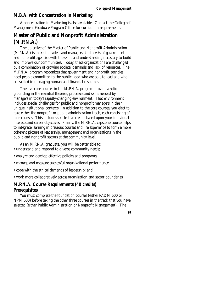#### **M.B.A. with Concentration in Marketing**

A concentration in Marketing is also available. Contact the College of Management Graduate Program Office for curriculum requirements.

# **Master of Public and Nonprofit Administration (M.P.N.A.)**

The objective of the Master of Public and Nonprofit Administration (M.P.N.A.) is to equip leaders and managers at all levels of government and nonprofit agencies with the skills and understanding necessary to build and improve our communities. Today, these organizations are challenged by a combination of growing societal demands and lack of resources. The M.P.N.A. program recognizes that government and nonprofit agencies need people committed to the public good who are able to lead and who are skilled in managing human and financial resources.

The five core courses in the M.P.N.A. program provide a solid grounding in the essential theories, processes and skills needed by managers in today's rapidly-changing environment. That environment includes special challenges for public and nonprofit managers in their unique institutional contexts. In addition to the core courses, you elect to take either the nonprofit or public administration track, each consisting of four courses. This includes six elective credits based upon your individual interests and career objectives. Finally, the M.P.N.A. capstone course helps to integrate learning in previous courses and life experience to form a more coherent picture of leadership, management and organizations in the public and nonprofit sectors at the community level.

As an M.P.N.A. graduate, you will be better able to:

- understand and respond to diverse community needs;
- analyze and develop effective policies and programs;
- manage and measure successful organizational performance;
- cope with the ethical demands of leadership; and
- work more collaboratively across organization and sector boundaries.

#### **M.P.N.A. Course Requirements (40 credits) Prerequisites**

You must complete the foundation courses (either PADM 600 or NPM 600) before taking the other three courses in the track that you have selected (either Public Administration or Nonprofit Management). The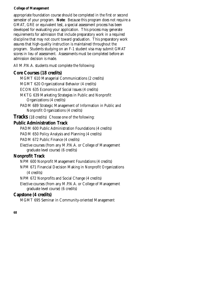appropriate foundation course should be completed in the first or second semester of your program. **Note**: Because this program does not require a GMAT, GRE or equivalent test, a special assessment process has been developed for evaluating your application. This process may generate requirements for admission that include preparatory work in a required discipline that may not count toward graduation. This preparatory work assures that high-quality instruction is maintained throughout the program. Students studying on an F-1 student visa may submit GMAT scores in lieu of assessment. Assessments must be completed before an admission decision is made.

All M.P.N.A. students must complete the following:

### **Core Courses (18 credits)**

MGMT 610 Managerial Communications (2 credits)

MGMT 620 Organizational Behavior (4 credits)

ECON 635 Economics of Social Issues (4 credits)

- MKTG 639 Marketing Strategies in Public and Nonprofit Organizations (4 credits)
- PADM 689 Strategic Management of Information in Public and Nonprofit Organizations (4 credits)

**Tracks** (18 credits) Choose one of the following:

### **Public Administration Track**

PADM 600 Public Administration Foundations (4 credits)

PADM 650 Policy Analysis and Planning (4 credits)

PADM 672 Public Finance (4 credits)

Elective courses (from any M.P.N.A. or College of Management graduate level course) (6 credits)

### **Nonprofit Track**

NPM 600 Nonprofit Management Foundations (4 credits)

NPM 671 Financial Decision Making in Nonprofit Organizations

(4 credits)

NPM 672 Nonprofits and Social Change (4 credits)

Elective courses (from any M.P.N.A. or College of Management graduate level course) (6 credits)

### **Capstone (4 credits)**

MGMT 695 Seminar in Community-oriented Management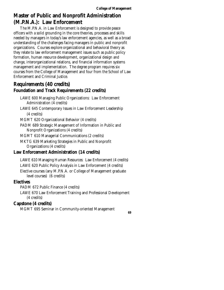# **Master of Public and Nonprofit Administration (M.P.N.A.): Law Enforcement**

The M.P.N.A. in Law Enforcement is designed to provide peace officers with a solid grounding in the core theories, processes and skills needed by managers in today's law enforcement agencies, as well as a broad understanding of the challenges facing managers in public and nonprofit organizations. Courses explore organizational and behavioral theory as they relate to law enforcement management issues such as public policy formation, human resource development, organizational design and change, interorganizational relations, and financial information systems management and implementation. The degree program requires six courses from the College of Management and four from the School of Law Enforcement and Criminal Justice.

# **Requirements (40 credits) Foundation and Track Requirements (22 credits)**

LAWE 600 Managing Public Organizations: Law Enforcement Administration (4 credits)

LAWE 645 Contemporary Issues in Law Enforcement Leadership (4 credits)

MGMT 620 Organizational Behavior (4 credits)

PADM 689 Strategic Management of Information in Public and Nonprofit Organizations (4 credits)

MGMT 610 Managerial Communications (2 credits)

MKTG 639 Marketing Strategies in Public and Nonprofit Organizations (4 credits)

# **Law Enforcement Administration (14 credits)**

LAWE 610 Managing Human Resources: Law Enforcement (4 credits) LAWE 620 Public Policy Analysis in Law Enforcement (4 credits) Elective courses (any M.P.N.A. or College of Management graduate level courses) (6 credits)

### **Electives**

PADM 672 Public Finance (4 credits)

LAWE 670 Law Enforcement Training and Professional Development (4 credits)

# **Capstone (4 credits)**

MGMT 695 Seminar in Community-oriented Management **69**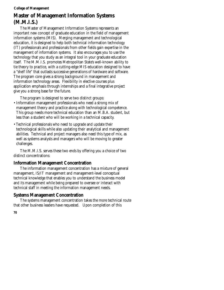# **Master of Management Information Systems (M.M.I.S.)**

The Master of Management Information Systems represents an important new concept of graduate education in the field of management information systems (MIS). Merging management and technological education, it is designed to help both technical information technology (IT) professionals and professionals from other fields gain expertise in the management of information systems. It also encourages you to use the technology that you study as an integral tool in your graduate education itself. The M.M.I.S. promotes Metropolitan State's well-known ability to tie theory to practice, with a cutting-edge MIS education designed to have a "shelf life" that outlasts successive generations of hardware and software. The program core gives a strong background in management and information technology areas. Flexibility in elective courses plus application emphasis through internships and a final integrative project give you a strong base for the future.

The program is designed to serve two distinct groups:

- Information management professionals who need a strong mix of management theory and practice along with technological competence. This group needs more technical education than an M.B.A. student, but less than a student who will be working in a technical capacity.
- Technical professionals who need to upgrade and update their technological skills while also updating their analytical and management abilities. Technical and project managers also need this type of mix, as well as systems analysts and managers who will be moving to greater challenges.

The M.M.I.S. serves these two ends by offering you a choice of two distinct concentrations:

# **Information Management Concentration**

The information management concentration has a mixture of general management, IS/IT management and management-level conceptual technical knowledge that enables you to understand the business model and its management while being prepared to oversee or interact with technical staff in meeting the information management needs.

# **Systems Management Concentration**

The systems management concentration takes the more technical route that other business leaders have requested. Upon completion of this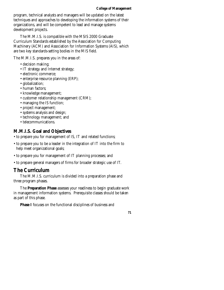program, technical analysts and managers will be updated on the latest techniques and approaches to developing the information systems of their organizations, and will be competent to lead and manage systems development projects.

The M.M.I.S. is compatible with the MSIS 2000 Graduate Curriculum Standards established by the Association for Computing Machinery (ACM) and Association for Information Systems (AIS), which are two key standards-setting bodies in the MIS field.

The M.M.I.S. prepares you in the areas of:

- decision making;
- IT strategy and Internet strategy;
- electronic commerce;
- enterprise resource planning (ERP);
- globalization;
- human factors;
- knowledge management;
- customer relationship management (CRM);
- managing the IS function;
- project management;
- systems analysis and design;
- technology management; and
- telecommunications.

### **M.M.I.S. Goal and Objectives**

- to prepare you for management of IS, IT and related functions;
- to prepare you to be a leader in the integration of IT into the firm to help meet organizational goals;
- to prepare you for management of IT planning processes; and
- to prepare general managers of firms for broader strategic use of IT.

### **The Curriculum**

The M.M.I.S. curriculum is divided into a preparation phase and three program phases.

The **Preparation Phase** assesses your readiness to begin graduate work in management information systems. Prerequisite classes should be taken as part of this phase.

**Phase I** focuses on the functional disciplines of business and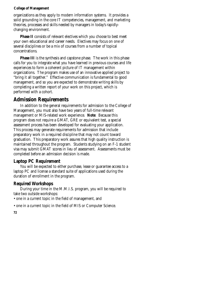organizations as they apply to modern information systems. It provides a solid grounding in the core IT competencies, management, and marketing theories, processes and skills needed by managers in today's rapidlychanging environment.

**Phase II** consists of relevant electives which you choose to best meet your own educational and career needs. Electives may focus on one of several disciplines or be a mix of courses from a number of topical concentrations.

**Phase III** is the synthesis and capstone phase. The work in this phase calls for you to integrate what you have learned in previous courses and life experiences to form a coherent picture of IT management within organizations. The program makes use of an innovative applied project to "bring it all together." Effective communication is fundamental to good management, and so you are expected to demonstrate writing skills by completing a written report of your work on this project, which is performed with a cohort.

### **Admission Requirements**

In addition to the general requirements for admission to the College of Management, you must also have two years of full-time relevant management or MIS-related work experience. **Note**: Because this program does not require a GMAT, GRE or equivalent test, a special assessment process has been developed for evaluating your application. This process may generate requirements for admission that include preparatory work in a required discipline that may not count toward graduation. This preparatory work assures that high quality instruction is maintained throughout the program. Students studying on an F-1 student visa may submit GMAT scores in lieu of assessment. Assessments must be completed before an admission decision is made.

#### **Laptop PC Requirement**

You will be expected to either purchase, lease or guarantee access to a laptop PC and license a standard suite of applications used during the duration of enrollment in the program.

#### **Required Workshops**

During your time in the M.M.I.S. program, you will be required to take two outside workshops:

• one in a current topic in the field of management, and

• one in a current topic in the field of MIS or Computer Science.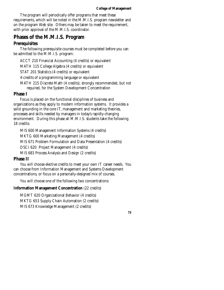The program will periodically offer programs that meet these requirements, which will be noted in the M.M.I.S. program newsletter and on the program Web site. Others may be taken to meet the requirement, with prior approval of the M.M.I.S. coordinator.

# **Phases of the M.M.I.S. Program**

# **Prerequisites**

The following prerequisite courses must be completed before you can be admitted to the M.M.I.S. program:

ACCT 210 Financial Accounting (4 credits) or equivalent

MATH 115 College Algebra (4 credits) or equivalent

STAT 201 Statistics (4 credits) or equivalent

4-credits of a programming language or equivalent

MATH 215 Discrete Math (4 credits); strongly recommended, but not required, for the System Development Concentration

# **Phase I**

Focus is placed on the functional disciplines of business and organizations as they apply to modern information systems. It provides a solid grounding in the core IT, management and marketing theories, processes and skills needed by managers in today's rapidly-changing environment. During this phase all M.M.I.S. students take the following 18 credits:

MIS 600 Management Information Systems (4 credits)

MKTG 600 Marketing Management (4 credits)

MIS 671 Problem Formulation and Data Presentation (4 credits)

DSCI 620 Project Management (4 credits)

MIS 683 Process Analysis and Design (2 credits)

# **Phase II**

You will choose elective credits to meet your own IT career needs. You can choose from Information Management and Systems Development concentrations, or focus on a personally-designed mix of courses.

You will choose one of the following two concentrations:

### **Information Management Concentration** (22 credits)

MGMT 620 Organizational Behavior (4 credits) MKTG 653 Supply Chain Automation (2 credits) MIS 673 Knowledge Management (2 credits)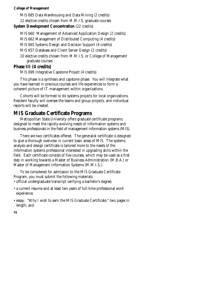MIS 685 Data Warehousing and Data Mining (2 credits) 12 elective credits chosen from M.M.I.S. graduate courses

#### **System Development Concentration (22 credits)**

MIS 660 Management of Advanced Application Design (2 credits)

MIS 662 Management of Distributed Computing (4 credits)

MIS 665 Systems Design and Decision Support (4 credits)

MIS 657 Database and Client Server Design (2 credits)

10 elective credits chosen from M.M.I.S. or College of Management graduate courses

### **Phase III (4 credits)**

MIS 699 Integrative Capstone Project (4 credits)

This phase is a synthesis and capstone phase. You will integrate what you have learned in previous courses and life experiences to form a coherent picture of IT management within organizations.

Cohorts will be formed to do systems projects for local organizations. Resident faculty will oversee the teams and group projects, and individual reports will be created.

# **MIS Graduate Certificate Programs**

Metropolitan State University offers graduate certificate programs designed to meet the rapidly-evolving needs of information systems and business professionals in the field of management information systems (MIS).

There are two certificates offered. The generalist certificate is designed to give a thorough overview in current basic areas of MIS. The systems analysis and design certificate is tailored more to the needs of the information systems professional interested in upgrading skills within the field. Each certificate consists of five courses, which may be used as a first step in working towards a Master of Business Administration (M.B.A.) or Master of Management Information Systems (M.M.I.S.).

To be considered for admission to the MIS Graduate Certificate Program, you must submit the following materials:

- official undergraduate transcript verifying a bachelor's degree;
- a current resume and at least two years of full-time professional work experience;
- essay: "Why I wish to earn the MIS Graduate Certificate," two pages in length; and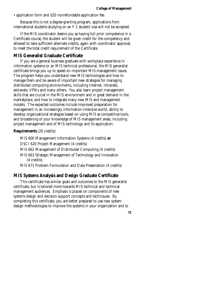• application form and \$20 nonrefundable application fee.

Because this is not a degree-granting program, applications from international students studying on an F-1 student visa will not be accepted.

If the MIS coordinator deems you as having full prior competence in a Certificate course, the student will be given credit for the competency and allowed to take sufficient alternate credits, again with coordinator approval, to meet the total credit requirement of the Certificate.

#### **MIS Generalist Graduate Certificate**

If you are a general business graduate with workplace experience in information systems or an MIS technical professional, the MIS generalist certificate brings you up to speed on important MIS management issues. The program helps you understand new MIS technologies and how to manage them and be aware of important new strategies for managing distributed computing environments, including Internet, intranets, extranets, VPNs and many others. You also learn project management skills that are crucial in the MIS environment and in great demand in the marketplace, and how to integrate many new MIS and management models. The expected outcomes include improved preparation for management in an increasingly information-intensive world, ability to develop organizational strategies based on using MIS as competitive tools, and broadening of your knowledge of MIS management areas, including project management and of MIS technology and its application.

#### **Requirements** (20 credits)

MIS 600 Management Information Systems (4 credits) **or**  DSCI 620 Project Management (4 credits) MIS 662 Management of Distributed Computing (4 credits) MIS 663 Strategic Management of Technology and Innovation (4 credits) MIS 671 Problem Formulation and Data Presentation (4 credits)

#### **MIS Systems Analysis and Design Graduate Certificate**

This certificate has similar goals and outcomes to the MIS generalist certificate, but is tailored more towards MIS technical and technical management audiences. Emphasis is placed on components of new systems design and decision-support concepts and techniques. By completing this certificate, you are better prepared to use new system design methodologies to improve the systems in your organization and to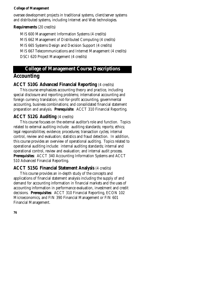oversee development projects in traditional systems, client/server systems and distributed systems, including Internet and Web technologies.

#### **Requirements** (20 credits)

MIS 600 Management Information Systems (4 credits) MIS 662 Management of Distributed Computing (4 credits) MIS 665 Systems Design and Decision Support (4 credits) MIS 667 Telecommunications and Internet Management (4 credits) DSCI 620 Project Management (4 credits)

### **College of Management Course Descriptions**

### **Accounting**

### **ACCT 510G Advanced Financial Reporting** (4 credits)

This course emphasizes accounting theory and practice, including special disclosure and reporting problems; international accounting and foreign currency translation; not-for-profit accounting, governmental accounting, business combinations; and consolidated financial statement preparation and analysis. **Prerequisite**: ACCT 310 Financial Reporting.

### **ACCT 512G Auditing** (4 credits)

This course focuses on the external auditor's role and function. Topics related to external auditing include: auditing standards; reports; ethics; legal responsibilities; evidence; procedures; transaction cycles; internal control, review and evaluation; statistics and fraud detection. In addition, this course provides an overview of operational auditing. Topics related to operational auditing include: internal auditing standards; internal and operational control, review and evaluation; and internal audit process. **Prerequisites**: ACCT 340 Accounting Information Systems and ACCT 510 Advanced Financial Reporting.

### **ACCT 515G Financial Statement Analysis** (4 credits)

This course provides an in-depth study of the concepts and applications of financial statement analysis including the supply of and demand for accounting information in financial markets and the uses of accounting information in performance evaluation, investment and credit decisions. **Prerequisites**: ACCT 310 Financial Reporting, ECON 102 Microeconomics, and FIN 390 Financial Management or FIN 601 Financial Management.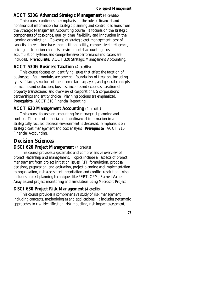#### **ACCT 520G Advanced Strategic Management** (4 credits)

This course continues the emphasis on the role of financial and nonfinancial information for strategic planning and control decisions from the Strategic Management Accounting course. It focuses on the strategic components of cost/price, quality, time, flexibility and innovation in the learning organization. Coverage of strategic cost management, cost of capacity, kaizen, time-based competition, agility, competitive intelligence, pricing, distribution channels, environmental accounting, cost accumulation systems and comprehensive performance indicators are included. **Prerequisite**: ACCT 320 Strategic Management Accounting.

#### **ACCT 530G Business Taxation** (4 credits)

This course focuses on identifying issues that affect the taxation of businesses. Four modules are covered: foundation of taxation, including types of taxes, structure of the income tax, taxpayers, and general concepts of income and deduction; business income and expenses; taxation of property transactions; and overview of corporations, S corporations, partnerships and entity choice. Planning options are emphasized. **Prerequisite**: ACCT 310 Financial Reporting.

#### **ACCT 620 Management Accounting** (4 credits)

This course focuses on accounting for managerial planning and control. The role of financial and nonfinancial information in a strategically focused decision environment is discussed. Emphasis is on strategic cost management and cost analysis. **Prerequisite**: ACCT 210 Financial Accounting.

### **Decision Sciences**

#### **DSCI 620 Project Management** (4 credits)

This course provides a systematic and comprehensive overview of project leadership and management. Topics include all aspects of project management from project initiation issues, RFP formulation, proposal decisions, preparation, and evaluation, project planning and implementation to organization, risk assessment, negotiation and conflict resolution. Also includes project planning techniques like PERT, CPM, Earned Value Anaylsis and project monitoring and simulation using Microsoft Project

#### **DSCI 630 Project Risk Management** (4 credits)

This course provides a comprehensive study of risk management including concepts, methodologies and applications. It includes systematic approaches to risk identification, risk modeling, risk impact assessment,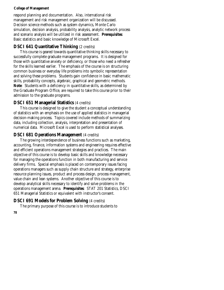respond planning and documentation. Also, international risk management and risk management organization will be discussed. Decision science methods such as system dynamics, Monte Carlo simulation, decision analysis, probability analysis, analytic network process and scenario analysis will be utilized in risk assessment. **Prerequisites**: Basic statistics and basic knowledge of Microsoft Excel.

#### **DSCI 641 Quantitative Thinking (2 credits)**

This course is geared towards quantitative thinking skills necessary to successfully complete graduate management programs. It is designed for those with quantitative anxiety or deficiency, or those who need a refresher for the skills learned earlier. The emphasis of the course is on structuring common business or everyday life problems into symbolic representation and solving these problems. Students gain confidence in basic mathematic skills, probability concepts, algebraic, graphical and geometric methods. **Note**: Students with a deficiency in quantitative skills, as determined by the Graduate Program Office, are required to take this course prior to their admission to the graduate programs.

#### **DSCI 651 Managerial Statistics** (4 credits)

This course is designed to give the student a conceptual understanding of statistics with an emphasis on the use of applied statistics in managerial decision-making process. Topics covered include methods of summarizing data, including collection, analysis, interpretation and presentation of numerical data. Microsoft Excel is used to perform statistical analyses.

#### **DSCI 681 Operations Management** (4 credits)

The growing interdependence of business functions such as marketing, accounting, finance, information systems and engineering requires effective and efficient operations management strategies and practices. The main objective of this course is to develop basic skills and knowledge necessary for managing the operations function in both manufacturing and service delivery firms. Special emphasis is placed on contemporary issues facing operations managers such as supply chain structure and strategy, enterprise resource planning issues, product and process design, process management, value chain and lean systems. Another objective of this course is to develop analytical skills necessary to identify and solve problems in the operations management arena. **Prerequisites**: STAT 201 Statistics, DSCI 651 Managerial Statistics or equivalent with instructor's consent.

### **DSCI 691 Models for Problem Solving** (4 credits)

The primary purpose of this course is to introduce students to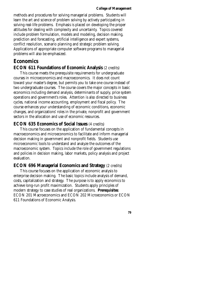methods and procedures for solving managerial problems. Students will learn the art and science of problem solving by actively participating in solving real-life problems. Emphasis is placed on developing the proper attitudes for dealing with complexity and uncertainty. Topics covered include problem formulation, models and modeling, decision making, prediction and forecasting, artificial intelligence and expert systems, conflict resolution, scenario planning and strategic problem solving. Applications of appropriate computer software programs to managerial problems will also be emphasized.

### **Economics**

#### **ECON 611 Foundations of Economic Analysis** (2 credits)

This course meets the prerequisite requirements for undergraduate courses in microeconomics and macroeconomics. It does not count toward your master's degree, but permits you to take one course instead of two undergraduate courses. The course covers the major concepts in basic economics including demand analysis, determinants of supply, price system operations and government's roles. Attention is also directed to business cycles, national income accounting, employment and fiscal policy. The course enhances your understanding of economic conditions, economic changes, and organizations' roles in the private, nonprofit and government sectors in the allocation and use of economic resources.

#### **ECON 635 Economics of Social Issues** (4 credits)

This course focuses on the application of fundamental concepts in macroeconomics and microeconomics to facilitate and inform managerial decision making in government and nonprofit fields. Students use microeconomic tools to understand and analyze the outcomes of the macroeconomic system. Topics include the role of government regulations and policies in decision making, labor markets, policy analysis and project evaluation.

#### **ECON 696 Managerial Economics and Strategy** (2 credits)

This course focuses on the application of economic analysis to enterprise decision making. The basic topics include analysis of demand, costs, capitalization and strategy. The purpose is to apply economics to achieve long-run profit maximization. Students apply principles of modern strategy to case studies of real organizations. **Prerequisites**: ECON 201 Macroeconomics and ECON 202 Microeconomics or ECON 611 Foundations of Economic Analysis.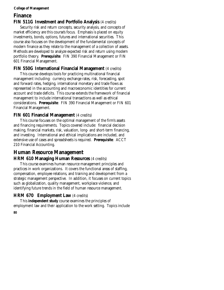# **Finance**

### **FIN 511G Investment and Portfolio Analysis** (4 credits)

Security risk and return concepts, security analysis, and concepts of market efficiency are this course's focus. Emphasis is placed on equity investments, bonds, options, futures and international securities. This course also focuses on the development of the fundamental concepts of modern finance as they relate to the management of a collection of assets. Methods are developed to analyze expected risk and return using modern portfolio theory. **Prerequisite**: FIN 390 Financial Management or FIN 601 Financial Management.

### **FIN 550G International Financial Management** (4 credits)

This course develops tools for practicing multinational financial management including: currency exchange rates, risk, forecasting, spot and forward rates, hedging, international monetary and trade flows as represented in the accounting and macroeconomic identities for current account and trade deficits. This course extends the framework of financial management to include international transactions as well as ethical considerations. **Prerequisite**: FIN 390 Financial Management or FIN 601 Financial Management.

### **FIN 601 Financial Management** (4 credits)

This course focuses on the optimal management of the firm's assets and financing requirements. Topics covered include: financial decision making, financial markets, risk, valuation, long- and short-term financing, and investing. International and ethical implications are included, and extensive use of cases and spreadsheets is required. **Prerequisite**: ACCT 210 Financial Accounting.

# **Human Resource Management**

### **HRM 610 Managing Human Resources** (4 credits)

This course examines human resource management principles and practices in work organizations. It covers the functional areas of staffing, compensation, employee relations, and training and development from a strategic management perspective. In addition, it focuses on current topics such as globalization, quality management, workplace violence, and identifying future trends in the field of human resource management.

### **HRM 670 Employment Law** (4 credits)

This **independent study** course examines the principles of employment law and their application to the work setting. Topics include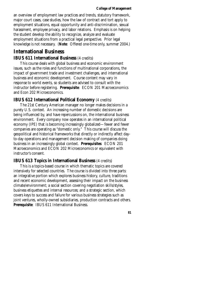an overview of employment law practices and trends, statutory framework, major court cases, case studies, how the law of contract and tort apply to employment situations, equal opportunity and anti-discrimination, sexual harassment, employee privacy, and labor relations. Emphasis is on helping the student develop the ability to recognize, analyze and evaluate employment situations from a practical legal perspective. Prior legal knowledge is not necessary. (**Note**: Offered one-time only, summer 2004.)

### **International Business**

#### **IBUS 611 International Business** (4 credits)

This course deals with global business and economic environment issues, such as the roles and functions of multinational corporations, the impact of government trade and investment challenges, and international business and economic development. Course content may vary in response to world events, so students are advised to consult with the instructor before registering. **Prerequisite**: ECON 201 Macroeconomics and Econ 202 Microeconomics.

#### **IBUS 612 International Political Economy** (4 credits)

The 21st Century American manager no longer makes decisions in a purely U.S. context. An increasing number of domestic decisions are being influenced by, and have repercussions on, the international business environment. Every company now operates in an international political economy (IPE) that is becoming increasingly globalized—fewer and fewer companies are operating as "domestic only." This course will discuss the geopolitical and historical frameworks that directly or indirectly affect dayto-day operations and management decision making of companies doing business in an increasingly global context. **Prerequisites**: ECON 201 Macroeconomics and ECON 202 Microeconomics or equivalent with instructor's consent.

#### **IBUS 613 Topics in International Business** (4 credits)

This is a topics-based course in which thematic topics are covered intensively for selected countries. The course is divided into three parts: an integrative portion which explores business history, culture, traditions and recent economic development, assessing their impact on the business climate/environment; a social section covering negotiation skills/styles, business etiquettes and internal resources; and a strategic section, which covers keys to success and failure for various business strategies such as joint ventures, wholly-owned subsidiaries, production contracts and others. **Prerequisite**: IBUS 611 International Business.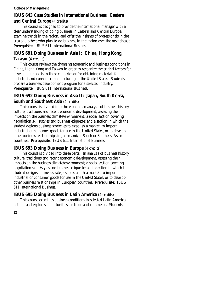### **IBUS 643 Case Studies in International Business: Eastern and Central Europe** (4 credits)

This course is designed to provide the international manager with a clear understanding of doing business in Eastern and Central Europe, examine trends in the region, and offer the insights of professionals in the area and others who plan to do business in the region over the next decade. **Prerequisite**: IBUS 611 International Business.

# **IBUS 691 Doing Business in Asia I: China, Hong Kong,**

### **Taiwan** (4 credits)

This course reviews the changing economic and business conditions in China, Hong Kong and Taiwan in order to recognize the critical factors for developing markets in these countries or for obtaining materials for industrial and consumer manufacturing in the United States. Students prepare a business development program for a selected industry. **Prerequisite**: IBUS 611 International Business.

### **IBUS 692 Doing Business in Asia II: Japan, South Korea, South and Southeast Asia** (4 credits)

This course is divided into three parts: an analysis of business history, culture, traditions and recent economic development, assessing their impacts on the business climate/environment; a social section covering negotiation skills/styles and business etiquette; and a section in which the student designs business strategies to establish a market, to import industrial or consumer goods for use in the United States, or to develop other business relationships in Japan and/or South or Southeast Asian countries. **Prerequisite**: IBUS 611 International Business.

### **IBUS 693 Doing Business in Europe** (4 credits)

This course is divided into three parts: an analysis of business history, culture, traditions and recent economic development, assessing their impacts on the business climate/environment; a social section covering negotiation skills/styles and business etiquette; and a section in which the student designs business strategies to establish a market, to import industrial or consumer goods for use in the United States, or to develop other business relationships in European countries. **Prerequisite**: IBUS 611 International Business.

## **IBUS 695 Doing Business in Latin America** (4 credits)

This course examines business conditions in selected Latin American nations and explores opportunities for trade and commerce. Students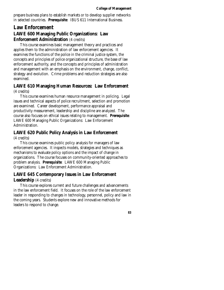prepare business plans to establish markets or to develop supplier networks in selected countries. **Prerequisite**: IBUS 611 International Business.

## **Law Enforcement LAWE 600 Managing Public Organizations: Law Enforcement Administration** (4 credits)

This course examines basic management theory and practices and applies them to the administration of law enforcement agencies. It examines the functions of the police in the criminal justice system, the concepts and principles of police organizational structure, the base of law enforcement authority, and the concepts and principles of administration and management with an emphasis on the environment, change, conflict, strategy and evolution. Crime problems and reduction strategies are also examined.

### **LAWE 610 Managing Human Resources: Law Enforcement**  (4 credits)

This course examines human resource management in policing. Legal issues and technical aspects of police recruitment, selection and promotion are examined. Career development, performance appraisal and productivity measurement, leadership and discipline are analyzed. The course also focuses on ethical issues relating to management. **Prerequisite**: LAWE 600 Managing Public Organizations: Law Enforcement Administration.

# **LAWE 620 Public Policy Analysis in Law Enforcement**

#### (4 credits)

This course examines public policy analysis for managers of law enforcement agencies. It inspects models, strategies and techniques as mechanisms to evaluate policy options and the impact of change in organizations. The course focuses on community-oriented approaches to problem analysis. **Prerequisite**: LAWE 600 Managing Public Organizations: Law Enforcement Administration.

### **LAWE 645 Contemporary Issues in Law Enforcement Leadership** (4 credits)

This course explores current and future challenges and advancements in the law enforcement field. It focuses on the role of the law enforcement leader in responding to changes in technology, personnel, policy and law in the coming years. Students explore new and innovative methods for leaders to respond to change.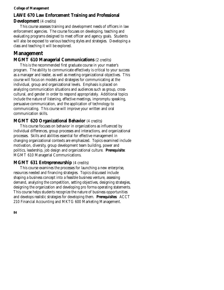### **LAWE 670 Law Enforcement Training and Professional Development** (4 credits)

This course assesses training and development needs of officers in law enforcement agencies. The course focuses on developing, teaching and evaluating programs designed to meet officer and agency goals. Students will also be exposed to various teaching styles and strategies. Developing a class and teaching it will be explored.

# **Management**

### **MGMT 610 Managerial Communications (2 credits)**

This is the recommended first graduate course in your master's program. The ability to communicate effectively is critical to your success as a manager and leader, as well as meeting organizational objectives. This course will focus on models and strategies for communicating at the individual, group and organizational levels. Emphasis is placed on analyzing communication situations and audiences such as group, crosscultural, and gender in order to respond appropriately. Additional topics include the nature of listening, effective meetings, impromptu speaking, persuasive communication, and the application of technology to communicating. This course will improve your written and oral communication skills.

### **MGMT 620 Organizational Behavior** (4 credits)

This course focuses on behavior in organizations as influenced by individual differences, group processes and interactions, and organizational processes. Skills and abilities essential for effective management in changing organizational contexts are emphasized. Topics examined include motivation, diversity, group development team building, power and politics, leadership, job design and organizational culture. **Prerequisite**: MGMT 610 Managerial Communications.

### **MGMT 631 Entrepreneurship** (4 credits)

This course examines the processes for launching a new enterprise, resources needed and financing strategies. Topics discussed include shaping a business concept into a feasible business venture, assessing demand, analyzing the competition, setting objectives, designing strategies, designing the organization and developing pro forma operating statements. This course helps students recognize the nature of business opportunities and develops realistic strategies for developing them. **Prerequisites**: ACCT 210 Financial Accounting and MKTG 600 Marketing Management.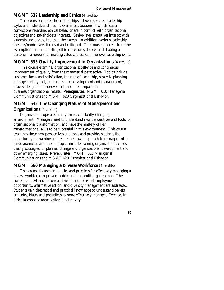#### **MGMT 632 Leadership and Ethics** (4 credits)

This course explores the relationships between selected leadership styles and individual ethics. It examines situations in which leader convictions regarding ethical behavior are in conflict with organizational objectives and stakeholders' interests. Senior-level executives interact with students and discuss topics in their areas. In addition, various leadership theories/models are discussed and critiqued. The course proceeds from the assumption that anticipating ethical pressures/choices and shaping a personal framework for making value choices can improve leadership skills.

#### **MGMT 633 Quality Improvement in Organizations** (4 credits)

This course examines organizational excellence and continuous improvement of quality from the managerial perspective. Topics include customer focus and satisfaction, the role of leadership, strategic planning, management by fact, human resource development and management, process design and improvement, and their impact on business/organizational results. **Prerequisites**: MGMT 610 Managerial Communications and MGMT 620 Organizational Behavior.

### **MGMT 635 The Changing Nature of Management and Organizations** (4 credits)

#### Organizations operate in a dynamic, constantly-changing environment. Managers need to understand new perspectives and tools for organizational transformation, and have the mastery of key transformational skills to be successful in this environment. This course examines these new perspectives and tools and provides students the opportunity to examine and refine their own approach to management in this dynamic environment. Topics include learning organizations, chaos theory, strategies for planned change and organizational development and other emerging issues. **Prerequisites**: MGMT 610 Managerial

Communications and MGMT 620 Organizational Behavior.

#### **MGMT 660 Managing a Diverse Workforce** (4 credits)

This course focuses on policies and practices for effectively managing a diverse workforce in private, public and nonprofit organizations. The current context and historical development of equal employment opportunity, affirmative action, and diversity management are addressed. Students gain theoretical and practical knowledge to understand beliefs, attitudes, biases and prejudices to more effectively manage differences in order to enhance organization productivity.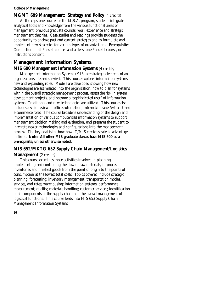#### **MGMT 699 Management: Strategy and Policy** (4 credits)

As the capstone course for the M.B.A. program, students integrate analytical tools and knowledge from the various functional areas of management, previous graduate courses, work experience and strategic management theories. Case studies and readings provide students the opportunity to analyze past and current strategies and to formulate and implement new strategies for various types of organizations. **Prerequisite**: Completion of all Phase I courses and at least one Phase II course, or instructor's consent.

### **Management Information Systems MIS 600 Management Information Systems** (4 credits)

Management Information Systems (MIS) are strategic elements of an organization's life and survival. This course explores information systems' new and expanding roles. Models are developed showing how new technologies are assimilated into the organization, how to plan for systems within the overall strategic management process, assess the risk in system development projects, and become a "sophisticated user" of information systems. Traditional and new technologies are utilized. This course also includes a solid review of office automation, Internet/intranet/extranet and e-commerce roles. The course broadens understanding of the design and implementation of various computerized information systems to support management decision making and evaluation, and prepares the student to integrate newer technologies and configurations into the management process. The key goal is to show how IT/MIS creates strategic advantage in firms. **Note**: **All other MIS graduate classes have MIS 600 as a prerequisite, unless otherwise noted.** 

### **MIS 652/MKTG 652 Supply Chain Management/Logistics Management** (2 credits)

This course examines those activities involved in planning, implementing and controlling the flow of raw materials, in-process inventories and finished goods from the point of origin to the points of consumption at the lowest total costs. Topics covered include strategic planning; forecasting; inventory management; transportation modes, services, and rates; warehousing; information systems; performance measurement; quality; materials handling; customer services; identification of all components of the supply chain and the overall management of logistical functions. This course leads into MIS 653 Supply Chain Management Information Systems.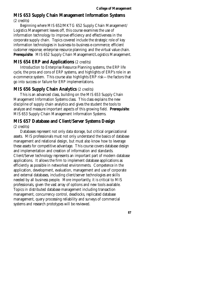#### **MIS 653 Supply Chain Management Information Systems**  (2 credits)

Beginning where MIS 652/MKTG 652 Supply Chain Management/ Logistics Management leaves off, this course examines the use of information technology to improve efficiency and effectiveness in the corporate supply chain. Topics covered include the strategic role of key information technologies in business-to-business e-commerce; efficient customer response; enterprise resource planning; and the virtual value chain. **Prerequisite**: MIS 652 Supply Chain Management/Logistics Management.

#### **MIS 654 ERP and Applications** (2 credits)

Introduction to Enterprise Resource Planning systems, the ERP life cycle, the pros and cons of ERP systems, and highlights of ERP's role in an e-commerce system. This course also highlights ERP risk—the factors that go into success or failure for ERP implementations.

#### **MIS 656 Supply Chain Analytics** (2 credits)

This is an advanced class, building on the MIS 653 Supply Chain Management Information Systems class. This class explains the new discipline of supply chain analytics and gives the student the tools to analyze and measure important aspects of this growing field. **Prerequisite**: MIS 653 Supply Chain Management Information Systems.

# **MIS 657 Database and Client/Server Systems Design**

#### (2 credits)

Databases represent not only data storage, but critical organizational assets. MIS professionals must not only understand the basics of database management and relational design, but must also know how to leverage these assets for competitive advantage. This course covers database design and implementation and creation of information and standards. Client/Server technology represents an important part of modern database applications. It allows the firm to implement database applications as efficiently as possible in networked environments. Competence in the application, development, evaluation, management and use of corporate and external databases, including client/server technologies are skills needed by all business people. More importantly, it is critical to MIS professionals, given the vast array of options and new tools available. Topics in distributed database management including transaction management, concurrency control, deadlocks, replicated database management, query processing reliability and surveys of commercial systems and research prototypes will be reviewed.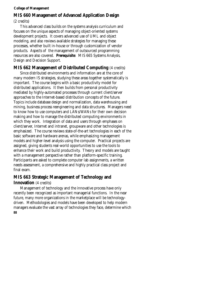### **MIS 660 Management of Advanced Application Design**

(2 credits)

This advanced class builds on the systems analysis curriculum and focuses on the unique aspects of managing object-oriented systems development projects. It covers advanced use of UML and object modeling, and also reviews available strategies for managing these processes, whether built in-house or through customization of vendor products. Aspects of the management of outsourced programming resources are also covered. **Prerequisite**: MIS 665 Systems Analysis, Design and Decision Support.

### **MIS 662 Management of Distributed Computing** (4 credits)

Since distributed environments and information are at the core of many modern IS strategies, studying these areas together systematically is important. The course begins with a basic productivity model for distributed applications. It then builds from personal productivity mediated by highly-automated processes through current client/server approaches to the Internet-based distribution concepts of the future. Topics include database design and normalization, data warehousing and mining, business process reengineering and data structures. Managers need to know how to use computers and LANs/WANs for their own decision making and how to manage the distributed computing environments in which they work. Integration of data and users through emphases on client/server, Internet and intranet, groupware and other technologies is emphasized. The course reviews state-of-the-art technologies in each of the basic software and hardware arenas, while emphasizing management models and higher-level analysis using the computer. Practical projects are assigned, giving students real-world opportunities to use the tools to enhance their work and build productivity. Theory and models are taught with a management perspective rather than platform-specific training. Participants are asked to complete computer lab assignments, a written needs assessment, a comprehensive and highly practical class project and final exam.

### **MIS 663 Strategic Management of Technology and Innovation** (4 credits)

Management of technology and the innovative process have only recently been recognized as important managerial functions. In the near future, many more organizations in the marketplace will be technologydriven. Methodologies and models have been developed to help modern managers evaluate the vast array of technologies they face, determine which **88**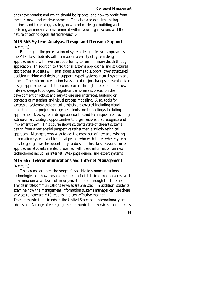ones have promise and which should be ignored, and how to profit from them in new product development. The class also explains linking business and technology strategy, new product design, building and fostering an innovative environment within your organization, and the nature of technological entrepreneurship.

#### **MIS 665 Systems Analysis, Design and Decision Support**  (4 credits)

Building on the presentation of system design life cycle approaches in the MIS class, students will learn about a variety of system design approaches and will have the opportunity to learn in more depth through application. In addition to traditional systems approaches and structured approaches, students will learn about systems to support lower structured decision making and decision support, expert systems, neural systems and others. The Internet revolution has sparked major changes in event-driven design approaches, which the course covers through presentation of new Internet design topologies. Significant emphasis is placed on the development of robust and easy-to-use user interfaces, building on concepts of metaphor and visual process modeling. Also, tools for successful systems development projects are covered including visual modeling tools, project management tools and budgeting/scheduling approaches. New systems design approaches and techniques are providing extraordinary strategic opportunities to organizations that recognize and implement them. This course shows students state-of-the-art systems design from a managerial perspective rather than a strictly technical approach. Managers who wish to get the most out of new and existing information systems and technical people who wish to see where systems may be going have the opportunity to do so in this class. Beyond current approaches, students are also presented with basic information on new technologies including Internet (Web page design) and expert systems.

#### **MIS 667 Telecommunications and Internet Management**  (4 credits)

This course explores the range of available telecommunications technologies and how they can be used to facilitate information access and dissemination at all levels of an organization and through the Internet. Trends in telecommunications services are analyzed. In addition, students examine how the management information systems manager can use these services to generate MIS reports in a cost-effective manner. Telecommunications trends in the United States and internationally are addressed. A range of emerging telecommunications services is explored as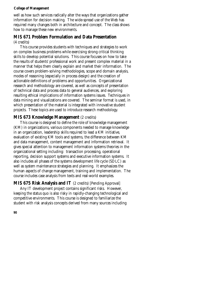well as how such services radically alter the ways that organizations gather information for decision making. The wide-spread use of the Web has required many changes both in architecture and concept. The class shows how to manage these new environments.

# **MIS 671 Problem Formulation and Data Presentation**

#### (4 credits)

This course provides students with techniques and strategies to work on complex business problems while exercising strong critical thinking skills to develop potential solutions. This course focuses on how to take the results of students' professional work and present complex material in a manner that helps them clearly explain and market their information. The course covers problem-solving methodologies, scope and domain analysis, modes of reasoning (especially in process design) and the creation of actionable definitions of problems and opportunities. Organizational research and methodology are covered, as well as concepts of presentation of technical data and process data to general audiences, and exploring resulting ethical implications of information systems issues. Techniques in data mining and visualizations are covered. The seminar format is used, in which presentation of the material is integrated with innovative student projects. These topics are used to introduce research methodology.

### **MIS 673 Knowledge Management** (2 credits)

This course is designed to define the role of knowledge management (KM) in organizations, various components needed to manage knowledge in an organization, leadership skills required to lead a KM initiative, evaluation of existing KM tools and systems, the difference between KM and data management, content management and information retrieval. It gives special attention to management information systems theories in the organizational setting including: transaction processing, operational reporting, decision support systems and executive information systems. It also includes all phases of the systems development life cycle (SDLC) as well as system maintenance strategies and planning. It emphasizes the human aspects of change management, training and implementation. The course includes case analysis from texts and real-world examples.

### **MIS 675 Risk Analysis and IT** (2 credits) [Pending Approval]

Any IT development project contains significant risks. However, keeping the status quo is also risky in rapidly-changing technological and competitive environments. This course is designed to familiarize the student with risk analysis concepts derived from many sources including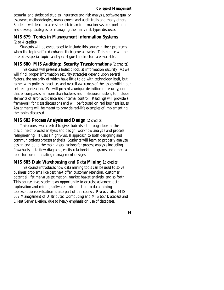actuarial and statistical studies, insurance and risk analysis, software quality assurance methodologies, management and audit trails and many others. Students will learn to assess the risk in an information systems portfolio and develop strategies for managing the many risk types discussed.

### **MIS 679 Topics in Management Information Systems**

(2 or 4 credits)

Students will be encouraged to include this course in their programs when the topics offered enhance their general tracks. This course will be offered as special topics and special guest instructors are available.

### **MIS 680 MIS Auditing: Security Transformations** (2 credits)

This course will present a holistic look at information security. As we will find, proper information security strategies depend upon several factors, the majority of which have little to do with technology itself, but rather with policies, practices and overall awareness of the issues within our entire organization. We will present a unique definition of security, one that encompasses far more than hackers and malicious insiders, to include elements of error avoidance and internal control. Readings will provide a framework for class discussions and will be focused on real business issues. Assignments will be meant to provide real-life examples of implementing the topics discussed.

#### **MIS 683 Process Analysis and Design** (2 credits)

This course was created to give students a thorough look at the discipline of process analysis and design, workflow analysis and process reengineering. It uses a highly-visual approach to both designing and communications process analysis. Students will learn to properly analyze, design and build the main visualizations for process analysis including flowcharts, data flow diagrams, entity relationship diagrams and others as tools for communicating management designs.

### **MIS 685 Data Warehousing and Data Mining (**2 credits)

This course introduces how data mining tools can be used to solve business problems like best next offer, customer retention, customer potential lifetime value estimation, market basket analysis, and so forth. This course gives students an opportunity to exercise advanced data exploration and mining software. Introduction to data mining tools/solutions evaluation is also part of this course. **Prerequisite**: MIS 662 Management of Distributed Computing and MIS 657 Database and Client Server Design, due to heavy emphasis on use of databases.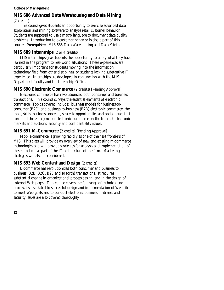# **MIS 686 Advanced Data Warehousing and Data Mining**

(2 credits)

This course gives students an opportunity to exercise advanced data exploration and mining software to analyze retail customer behavior. Students are supposed to use a macro language to document data quality problems. Introduction to e-customer behavior is also a part of this course. **Prerequisite**: MIS 685 Data Warehousing and Data Mining.

### **MIS 689 Internships** (2 or 4 credits)

MIS internships give students the opportunity to apply what they have learned in the program to real-world situations. These experiences are particularly important for students moving into the information technology field from other disciplines, or students lacking substantive IT experience. Internships are developed in conjunction with the MIS Department faculty and the Internship Office.

### **MIS 690 Electronic Commerce** (2 credits) [Pending Approval]

Electronic commerce has revolutionized both consumer and business transactions. This course surveys the essential elements of electronic commerce. Topics covered include: business models for business-toconsumer (B2C) and business-to-business (B2B) electronic commerce; the tools, skills, business concepts, strategic opportunities and social issues that surround the emergence of electronic commerce on the Internet; electronic markets and auctions, security and confidentiality issues.

### **MIS 691 M-Commerce** (2 credits) [Pending Approval]

Mobile commerce is growing rapidly as one of the next frontiers of MIS. This class will provide an overview of new and existing m-commerce technologies and will provide strategies for analysis and implementation of these products as part of the IT architecture of the firm. Marketing strategies will also be considered.

### **MIS 693 Web Content and Design (2 credits)**

E-commerce has revolutionized both consumer and business to business (B2B, B2C, B2E and so forth) transactions. It requires substantial change in organizational process design, and in the design of Internet Web pages. This course covers the full range of technical and process issues related to successful design and implementation of Web sites to meet Web goals and to conduct electronic business. Intranet and security issues are also covered thoroughly.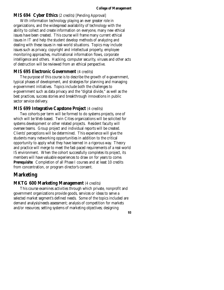#### **MIS 694 Cyber Ethics** (2 credits) [Pending Approval]

With information technology playing an ever greater role in organizations, and the widespread availability of technology with the ability to collect and create information on everyone, many new ethical issues have been created. This course will frame many current ethical issues in IT and help the student develop methods of analyzing and dealing with these issues in real-world situations. Topics may include issues such as privacy, copyright and intellectual property, employee monitoring approaches, multinational information flows, corporate intelligence and others. Hacking, computer security, viruses and other acts of destruction will be reviewed from an ethical perspective.

#### **MIS 695 Electronic Government** (4 credits)

The purpose of this course is to describe the growth of e-government, typical phases of development, and strategies for planning and managing e-government initiatives. Topics include both the challenges to e-government such as data privacy and the "digital divide," as well as the best practices, success stories and breakthrough innovations in public sector service delivery.

#### **MIS 699 Integrative Capstone Project** (4 credits)

Two cohorts per term will be formed to do systems projects, one of which will be Web-based. Twin Cities organizations will be solicited for systems development or other related projects. Resident faculty will oversee teams. Group project and individual reports will be created. Clients' perceptions will be determined. This experience will give the students many networking opportunities in addition to the critical opportunity to apply what they have learned in a rigorous way. Theory and practice will merge to meet the fast-paced requirements of a real-world IS environment. When the cohort successfully completes its project, its members will have valuable experiences to draw on for years to come. **Prerequisite**: Completion of all Phase I courses and at least 10 credits from concentration, or program director's consent.

### **Marketing**

#### **MKTG 600 Marketing Management** (4 credits)

This course examines activities through which private, nonprofit and government organizations provide goods, services or ideas to serve a selected market segment's defined needs. Some of the topics included are demand analysis/needs assessment; analysis of competition for markets and/or resources; setting systems of marketing objectives; designing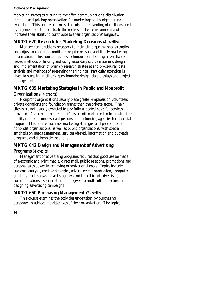marketing strategies relating to the offer, communications, distribution methods and pricing; organization for marketing; and budgeting and evaluation. This course enhances students' understanding of methods used by organizations to perpetuate themselves in their environment and increases their ability to contribute to their organizations' longevity.

### **MKTG 620 Research for Marketing Decisions** (4 credits)

Management decisions necessary to maintain organizational strengths and adjust to changing conditions require relevant and timely marketing information. This course provides techniques for defining researchable issues, methods of finding and using secondary source materials, design and implementation of primary research strategies and procedures, data analysis and methods of presenting the findings. Particular attention is given to sampling methods, questionnaire design, data displays and project management.

### **MKTG 639 Marketing Strategies in Public and Nonprofit**

#### **Organizations** (4 credits)

Nonprofit organizations usually place greater emphasis on volunteers, private donations and foundation grants than the private sector. Their clients are not usually expected to pay fully-allocated costs for services provided. As a result, marketing efforts are often directed to improving the quality of life for underserved persons and to funding agencies for financial support. This course examines marketing strategies and procedures of nonprofit organizations, as well as public organizations, with special emphasis on needs assessment, services offered, information and outreach programs and stakeholder relations.

### **MKTG 642 Design and Management of Advertising**

#### **Programs** (4 credits)

Management of advertising programs requires that good use be made of electronic and print media, direct mail, public relations, promotions and personal sales power in achieving organizational goals. Topics include audience analysis, creative strategies, advertisement production, computer graphics, trade shows, advertising laws and the ethics of advertising communications. Special attention is given to multicultural factors in designing advertising campaigns.

### **MKTG 650 Purchasing Management (2 credits)**

This course examines the activities undertaken by purchasing personnel to achieve the objectives of their organization. The topics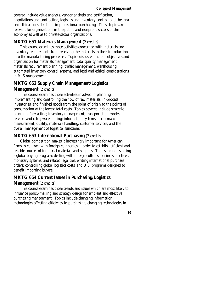covered include value analysis, vendor analysis and certification, negotiations and contracting, logistics and inventory control, and the legal and ethical considerations in professional purchasing. These topics are relevant for organizations in the public and nonprofit sectors of the economy as well as to private-sector organizations.

#### **MKTG 651 Materials Management** (2 credits)

This course examines those activities concerned with materials and inventory requirements from receiving the materials to their introduction into the manufacturing processes. Topics discussed include objectives and organization for materials management, total quality management, materials requirement planning, traffic management, warehousing, automated inventory control systems, and legal and ethical considerations in MIS management.

### **MKTG 652 Supply Chain Management/Logistics Management** (2 credits)

This course examines those activities involved in planning, implementing and controlling the flow of raw materials, in-process inventories, and finished goods from the point of origin to the points of consumption at the lowest total costs. Topics covered include strategic planning; forecasting; inventory management; transportation modes, services and rates; warehousing; information systems; performance measurement; quality; materials handling; customer services; and the overall management of logistical functions.

#### **MKTG 653 International Purchasing (2 credits)**

Global competition makes it increasingly important for American firms to contract with foreign companies in order to establish efficient and reliable sources of industrial materials and supplies. Topics include starting a global buying program; dealing with foreign cultures, business practices, monetary systems, and related legalities; writing international purchase orders; controlling global logistics costs; and U.S. programs designed to benefit importing buyers.

#### **MKTG 654 Current Issues in Purchasing/Logistics**

#### **Management** (2 credits)

This course examines those trends and issues which are most likely to influence policy-making and strategy design for efficient and effective purchasing management. Topics include changing information technologies affecting efficiency in purchasing; changing technologies in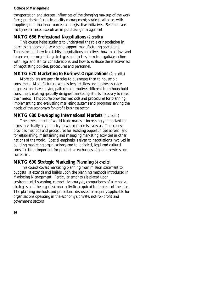transportation and storage; influences of the changing makeup of the work force; purchasing's role in quality management; strategic alliances with suppliers; multinational sources; and legislative initiatives. Seminars are led by experienced executives in purchasing management.

#### **MKTG 656 Professional Negotiations** (2 credits)

This course helps students to understand the role of negotiation in purchasing goods and services to support manufacturing operations. Topics include how to establish negotiations objectives, how to analyze and to use various negotiating strategies and tactics, how to negotiate in line with legal and ethical considerations, and how to evaluate the effectiveness of negotiating policies, procedures and personnel.

#### **MKTG 670 Marketing to Business Organizations** (2 credits)

More dollars are spent in sales to businesses than to household consumers. Manufacturers, wholesalers, retailers and business service organizations have buying patterns and motives different from household consumers, making specially-designed marketing efforts necessary to meet their needs. This course provides methods and procedures for planning, implementing and evaluating marketing systems and programs serving the needs of the economy's for-profit business sector.

#### **MKTG 680 Developing International Markets** (4 credits)

The development of world trade makes it increasingly important for firms in virtually any industry to widen markets overseas. This course provides methods and procedures for assessing opportunities abroad, and for establishing, maintaining and managing marketing activities in other nations of the world. Special emphasis is given to negotiations involved in building marketing organizations, and to logistical, legal and cultural considerations important for productive exchanges of goods, services and currencies.

#### **MKTG 690 Strategic Marketing Planning** (4 credits)

This course covers marketing planning from mission statement to budgets. It extends and builds upon the planning methods introduced in Marketing Management. Particular emphasis is placed upon environmental scanning, competitive analysis, comparisons of alternative strategies and the organizational activities required to implement the plan. The planning methods and procedures discussed are equally applicable for organizations operating in the economy's private, not-for-profit and government sectors.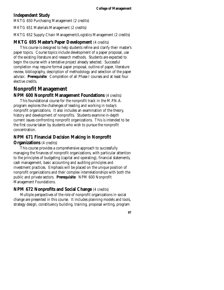### **Independent Study**

MKTG 650 Purchasing Management (2 credits)

MKTG 651 Materials Management (2 credits)

MKTG 652 Supply Chain Management/Logistics Management (2 credits)

### **MKTG 695 Master's Paper Development** (4 credits)

This course is designed to help students refine and clarify their master's paper topics. Course topics include development of a paper proposal, use of the existing literature and research methods. Students are expected to begin the course with a tentative project already selected. Successful completion may require formal paper proposal, outline of paper, literature review, bibliography, description of methodology and selection of the paper advisor. **Prerequisite**: Completion of all Phase I courses and at least four elective credits.

# **Nonprofit Management**

#### **NPM 600 Nonprofit Management Foundations** (4 credits)

This foundational course for the nonprofit track in the M.P.N.A. program explores the challenges of leading and working in today's nonprofit organizations. It also includes an examination of the theory, history and development of nonprofits. Students examine in-depth current issues confronting nonprofit organizations. This is intended to be the first course taken by students who wish to pursue the nonprofit concentration.

### **NPM 671 Financial Decision Making in Nonprofit**

#### **Organizations** (4 credits)

This course provides a comprehensive approach to successfully managing the finances of nonprofit organizations, with particular attention to the principles of budgeting (capital and operating), financial statements, cash management, basic accounting and auditing principles and investment practices. Emphasis will be placed on the unique position of nonprofit organizations and their complex interrelationships with both the public and private sectors. **Prerequisite**: NPM 600 Nonprofit Management Foundations.

#### **NPM 672 Nonprofits and Social Change** (4 credits)

Multiple perspectives of the role of nonprofit organizations in social change are presented in this course. It includes planning models and tools, strategy design, constituency building, training, proposal writing, program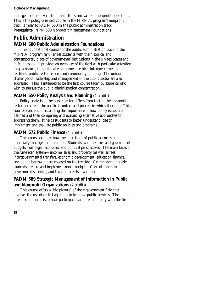management and evaluation, and ethics and value in nonprofit operations. This is the policy-oriented course in the M.P.N.A. program's nonprofit track, similar to PADM 650 in the public administration track. **Prerequisite**: NPM 600 Nonprofit Management Foundations.

# **Public Administration**

### **PADM 600 Public Administration Foundations**

This foundational course for the public administration track in the M.P.N.A. program familiarizes students with the historical and contemporary place of governmental institutions in the United States and in Minnesota. It provides an overview of the field with particular attention to governance, the political environment, ethics, intergovernmental relations, public sector reform and community building. The unique challenges of leadership and management in the public sector are also addressed. This is intended to be the first course taken by students who wish to pursue the public administration concentration.

### **PADM 650 Policy Analysis and Planning** (4 credits)

Policy analysis in the public sector differs from that in the nonprofit sector because of the political context and process in which it occurs. This course's core is understanding the importance of how policy issues are defined and then comparing and evaluating alternative approaches to addressing them. It helps students to better understand, design, implement and evaluate public policies and programs.

#### **PADM 672 Public Finance (4 credits)**

This course explores how the operations of public agencies are financially managed and paid for. Students examine taxes and government budgets from legal, economic and political perspectives. The main taxes of the American system—income, sales and property (as well as fees), intergovernmental transfers, economic development, education finance, and public borrowing are covered on the tax side. On the spending side, students prepare and implement mock budgets. Current topics in government spending and taxation are also examined.

### **PADM 689 Strategic Management of Information in Public and Nonprofit Organizations** (4 credits)

This course offers a "big picture" of the e-government field that involves the use of digital age tools to improve public services. The intended outcome is to have participants acquire familiarity with the field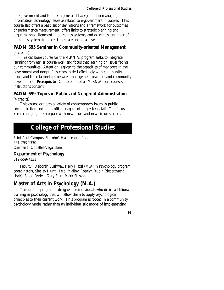of e-government and to offer a generalist background in managing information technology issues as related to e-government initiatives. This course also offers a basic set of definitions and a framework for outcomes or performance measurement, offers links to strategic planning and organizational alignment in outcomes systems, and examines a number of outcomes systems in place at the state and local level.

#### **PADM 695 Seminar in Community-oriented Management**  (4 credits)

This capstone course for the M.P.N.A. program seeks to integrate learning from earlier course work and focus that learning on issues facing our communities. Attention is given to the capacities of managers in the government and nonprofit sectors to deal effectively with community issues and the relationships between management practices and community development. **Prerequisite**: Completion of all M.P.N.A. core courses or instructor's consent.

#### **PADM 699 Topics in Public and Nonprofit Administration**  (4 credits)

This course explores a variety of contemporary issues in public administration and nonprofit management in greater detail. The focus keeps changing to keep pace with new issues and new circumstances.

# **College of Professional Studies**

Saint Paul Campus, St. John's Hall, second floor 651-793-1330 Carmen I. Coballes-Vega, dean

### **Department of Psychology**

612-659-7131

Faculty: Deborah Bushway, Kelly Hazel (M.A. in Psychology program coordinator), Shelley Hunt, Heidi Malloy, Rosalyn Rubin (department chair), Susan Rydell, Gary Starr, Mark Stasson.

## **Master of Arts in Psychology (M.A.)**

This unique program is designed for individuals who desire additional training in psychology that will allow them to apply psychological principles to their current work. This program is rooted in a community psychology model rather than an individualistic model of implementing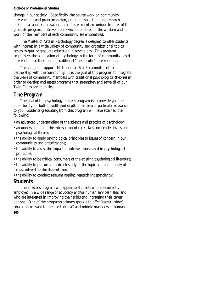change in our society. Specifically, the course work on community interventions and program design, program evaluation, and research methods as applied to evaluation and assessment are unique features of this graduate program. Interventions which are rooted in the wisdom and work of the members of each community are emphasized.

The Master of Arts in Psychology degree is designed to offer students with interest in a wide variety of community and organizational topics access to quality graduate education in psychology. This program emphasizes the application of psychology in the form of community-based interventions rather than in traditional "therapeutic" interventions.

This program supports Metropolitan State's commitment to partnership with the community. It is the goal of this program to integrate the views of community members with traditional psychological theories in order to develop and assess programs that strengthen and serve all of our Twin Cities communities.

### **The Program**

The goal of the psychology master's program is to provide you the opportunity for both breadth and depth in an area of particular relevance to you. Students graduating from this program will have attained the following:

- an advanced understanding of the science and practice of psychology;
- an understanding of the intersection of race, class and gender issues and psychological theory;
- the ability to apply psychological principles to issues of concern in our communities and organizations;
- the ability to assess the impact of interventions based in psychological principles;
- the ability to be critical consumers of the existing psychological literature;
- the ability to pursue an in-depth study of the topic and community of most interest to the student; and
- the ability to conduct relevant applied research independently.

### **Students**

This master's program will appeal to students who are currently employed in a wide range of advocacy and/or human services fields, and who are interested in improving their skills and increasing their career options. One of the program's primary goals is to offer "career ladder" education relevant to the needs of staff and middle managers in human **100**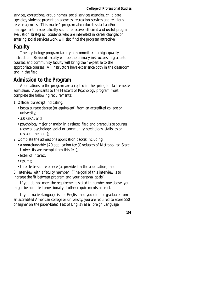services, corrections, group homes, social services agencies, child care agencies, violence prevention agencies, recreation services and religious service agencies. This master's program also educates staff and/or management in scientifically sound, effective, efficient and useful program evaluation strategies. Students who are interested in career changes or entering social services work will also find the program attractive.

### **Faculty**

The psychology program faculty are committed to high-quality instruction. Resident faculty will be the primary instructors in graduate courses, and community faculty will bring their expertise to the appropriate courses. All instructors have experience both in the classroom and in the field.

### **Admission to the Program**

Applications to the program are accepted in the spring for fall semester admission. Applicants to the Master's of Psychology program must complete the following requirements:

- 1. Official transcript indicating:
	- baccalaureate degree (or equivalent) from an accredited college or university;
	- 3.0 GPA; and
	- psychology major or major in a related field and prerequisite courses (general psychology, social or community psychology, statistics or research methods);
- 2. Complete the admissions application packet including:
	- a nonrefundable \$20 application fee (Graduates of Metropolitan State University are exempt from this fee.);
	- letter of interest:
	- resume;
	- three letters of reference (as provided in the application); and

3. Interview with a faculty member. (The goal of this interview is to increase the fit between program and your personal goals.)

If you do not meet the requirements stated in number one above, you might be admitted provisionally if other requirements are met.

If your native language is not English and you did not graduate from an accredited American college or university, you are required to score 550 or higher on the paper-based Test of English as a Foreign Language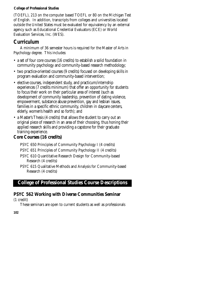(TOEFL), 213 on the computer based TOEFL or 80 on the Michigan Test of English. In addition, transcripts from colleges and universities located outside the United States must be evaluated for equivalency by an external agency such as Educational Credential Evaluators (ECE) or World Evaluation Services, Inc. (WES).

## **Curriculum**

A minimum of 36 semester hours is required for the Master of Arts in Psychology degree. This includes:

- a set of four core courses (16 credits) to establish a solid foundation in community psychology and community-based research methodology;
- two practice-oriented courses (9 credits) focused on developing skills in program evaluation and community-based intervention;
- elective courses, independent study, and practicum/internship experiences (7 credits minimum) that offer an opportunity for students to focus their work on their particular area of interest (such as development of community leadership, prevention of dating violence, empowerment, substance abuse prevention, gay and lesbian issues, families in a specific ethnic community, children in daycare centers, elderly, women's health and so forth); and
- a Master's Thesis (4 credits) that allows the student to carry out an original piece of research in an area of their choosing, thus honing their applied research skills and providing a capstone for their graduate training experience.

### **Core Courses (16 credits)**

PSYC 650 Principles of Community Psychology I (4 credits)

- PSYC 651 Principles of Community Psychology II (4 credits)
- PSYC 610 Quantitative Research Design for Community-based Research (4 credits)
- PSYC 615 Qualitative Methods and Analysis for Community-based Research (4 credits)

### **College of Professional Studies Course Descriptions**

### **PSYC 562 Working with Diverse Communities Seminar**

(1 credit)

These seminars are open to current students as well as professionals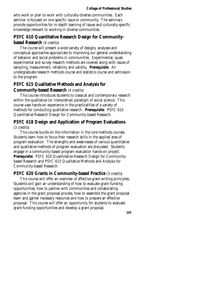who work or plan to work with culturally-diverse communities. Each seminar is focused on one specific issue or community. The seminars provide opportunities for in-depth learning of issues and culturally-specific knowledge relevant to working in diverse communities.

### **PSYC 610 Quantitative Research Design for Communitybased Research** (4 credits)

The course will present a wide variety of designs, analyses and conceptual approaches appropriate to improving our general understanding of behavior and social problems in communities. Experimental, quasi experimental and survey research methods are covered along with issues of sampling, measurement, reliability and validity. **Prerequisite**: An undergraduate research methods course and statistics course and admission to the program.

### **PSYC 615 Qualitative Methods and Analysis for Community-based Research** (4 credits)

This course introduces students to classical and contemporary research within the qualitative (or interpretive) paradigm of social science. This course uses hands-on experience in the practicalities of a variety of methods for conducting qualitative research. **Prerequisite**: PSYC 610 Quantitative Research Design for Community-based Research.

### **PSYC 618 Design and Application of Program Evaluations**  (3 credits)

This course builds on the information in the core methods courses. Students learn how to focus their research skills in the applied area of program evaluation. The strengths and weaknesses of various quantitative and qualitative methods of program evaluation are discussed. Students engage in a community-based program evaluation hands-on project. **Prerequisite**: PSYC 610 Quantitative Research Design for Communitybased Research and PSYC 615 Qualitative Methods and Analysis for Community-based Research.

### **PSYC 620 Grants in Community-based Practice** (3 credits)

This course will offer an overview of effective grant-writing principles. Students will gain an understanding of how to evaluate grant-funding opportunities, how to partner with communities and collaborating agencies in the grant proposal process, how to assemble the grant proposal team and garner necessary resources and how to prepare an effective proposal. This course will offer an opportunity for students to evaluate grant-funding opportunities and develop a grant proposal.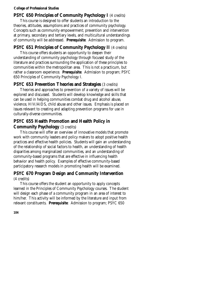#### **PSYC 650 Principles of Community Psychology I** (4 credits)

This course is designed to offer students an introduction to the theories, attitudes, assumptions and practices of community psychology. Concepts such as community empowerment; prevention and intervention at primary, secondary and tertiary levels, and multicultural understandings of community will be addressed. **Prerequisite**: Admission to program.

### **PSYC 651 Principles of Community Psychology II** (4 credits)

This course offers students an opportunity to deepen their understanding of community psychology through focused study of the literature and practices surrounding the application of these principles to communities within the metropolitan area. This is not a practicum, but rather a classroom experience. **Prerequisite**: Admission to program; PSYC 650 Principles of Community Psychology I.

#### **PSYC 653 Prevention Theories and Strategies** (3 credits)

Theories and approaches to prevention of a variety of issues will be explored and discussed. Students will develop knowledge and skills that can be used in helping communities combat drug and alcohol abuse, violence, HIV/AIDS, child abuse and other issues. Emphasis is placed on issues relevant to creating and adapting prevention programs for use in culturally-diverse communities.

### **PSYC 655 Health Promotion and Health Policy in**

### **Community Psychology** (3 credits)

This course will offer an overview of innovative models that promote work with community leaders and policy makers to adopt positive health practices and effective health policies. Students will gain an understanding of the relationship of social factors to health, an understanding of health disparities among marginalized communities, and an understanding of community-based programs that are effective in influencing health behavior and health policy. Examples of effective community-based participatory research models in promoting health will be examined.

#### **PSYC 670 Program Design and Community Intervention**  (4 credits)

This course offers the student an opportunity to apply concepts learned in the Principles of Community Psychology courses. The student will design each phase of a community program in an area of interest to him/her. This activity will be informed by the literature and input from relevant constituents. **Prerequisite**: Admission to program; PSYC 650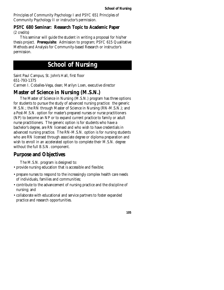Principles of Community Psychology I and PSYC 651 Principles of Community Psychology II or instructor's permission.

#### **PSYC 680 Seminar: Research Topic to Academic Paper**  (2 credits)

This seminar will guide the student in writing a proposal for his/her thesis project. **Prerequisite**: Admission to program; PSYC 615 Qualitative Methods and Analysis for Community-based Research or instructor's permission.

# **School of Nursing**

Saint Paul Campus, St. John's Hall, first floor 651-793-1375 Carmen I. Coballes-Vega, dean; Marilyn Loen, executive director

# **Master of Science in Nursing (M.S.N.)**

The Master of Science in Nursing (M.S.N.) program has three options for students to pursue the study of advanced nursing practice: the generic M.S.N.; the RN through Master of Science in Nursing (RN-M.S.N.); and a Post-M.S.N. option for master's prepared nurses or nurse practitioners (NP) to become an NP or to expand current practice to family or adult nurse practitioners. The generic option is for students who have a bachelor's degree, are RN licensed and who wish to have credentials in advanced nursing practice. The RN-M.S.N. option is for nursing students who are RN licensed through associate degree or diploma preparation and wish to enroll in an accelerated option to complete their M.S.N. degree without the full B.S.N. component.

# **Purpose and Objectives**

The M.S.N. program is designed to:

- provide nursing education that is accessible and flexible;
- prepare nurses to respond to the increasingly complex health care needs of individuals, families and communities;
- contribute to the advancement of nursing practice and the discipline of nursing; and
- collaborate with educational and service partners to foster expanded practice and research opportunities.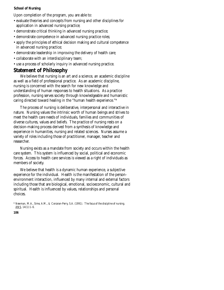Upon completion of the program, you are able to:

- evaluate theories and concepts from nursing and other disciplines for application in advanced nursing practice;
- demonstrate critical thinking in advanced nursing practice;
- demonstrate competence in advanced nursing practice roles;
- apply the principles of ethical decision making and cultural competence in advanced nursing practice;
- demonstrate leadership in improving the delivery of health care;
- collaborate with an interdisciplinary team;
- use a process of scholarly inquiry in advanced nursing practice.

### **Statement of Philosophy**

We believe that nursing is an art and a science, an academic discipline as well as a field of professional practice. As an academic discipline, nursing is concerned with the search for new knowledge and understanding of human responses to health situations. As a practice profession, nursing serves society through knowledgeable and humanistic caring directed toward healing in the "human health experience."*\** 

The process of nursing is deliberative, interpersonal and interactive in nature. Nursing values the intrinsic worth of human beings and strives to meet the health care needs of individuals, families and communities of diverse cultures, values and beliefs. The practice of nursing rests on a decision-making process derived from a synthesis of knowledge and experience in humanities, nursing and related sciences. Nurses assume a variety of roles including those of practitioner, manager, teacher and researcher.

Nursing exists as a mandate from society and occurs within the health care system. This system is influenced by social, political and economic forces. Access to health care services is viewed as a right of individuals as members of society.

We believe that health is a dynamic human experience, a subjective experience for the individual. Health is the manifestation of the personenvironment interaction, influenced by many internal and external factors including those that are biological, emotional, socioeconomic, cultural and spiritual. Health is influenced by values, relationships and personal choices.

*<sup>\*</sup> Newman, M.A., Sime, A.M., & Corcoran-Perry, S.A. (1991). The focus of the discipline of nursing.*  ANS*, 14(1):1–6.*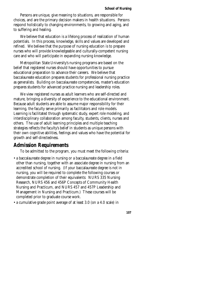Persons are unique, give meaning to situations, are responsible for choices, and are the primary decision makers in health situations. Persons respond holistically to changing environments, to growing and aging, and to suffering and healing.

We believe that education is a lifelong process of realization of human potentials. In this process, knowledge, skills and values are developed and refined. We believe that the purpose of nursing education is to prepare nurses who will provide knowledgeable and culturally-competent nursing care and who will participate in expanding nursing knowledge.

Metropolitan State University's nursing programs are based on the belief that registered nurses should have opportunities to pursue educational preparation to advance their careers. We believe that baccalaureate education prepares students for professional nursing practice as generalists. Building on baccalaureate competencies, master's education prepares students for advanced practice nursing and leadership roles.

We view registered nurses as adult learners who are self-directed and mature, bringing a diversity of experience to the educational environment. Because adult students are able to assume major responsibility for their learning, the faculty serve primarily as facilitators and role models. Learning is facilitated through systematic study, expert role modeling, and interdisciplinary collaboration among faculty, students, clients, nurses and others. The use of adult learning principles and multiple teaching strategies reflects the faculty's belief in students as unique persons with their own cognitive abilities, feelings and values who have the potential for growth and self-directedness.

#### **Admission Requirements**

To be admitted to the program, you must meet the following criteria:

- a baccalaureate degree in nursing or a baccalaureate degree in a field other than nursing, together with an associate degree in nursing from an accredited school of nursing. (If your baccalaureate degree is not in nursing, you will be required to complete the following courses or demonstrate completion of their equivalents: NURS 335 Nursing Research, NURS 456 and 456P Concepts of Community Health Nursing and Practicum, and NURS 457 and 457P Leadership and Management in Nursing and Practicum.) These courses will be completed prior to graduate course work.
- a cumulative grade point average of at least 3.0 (on a 4.0 scale) in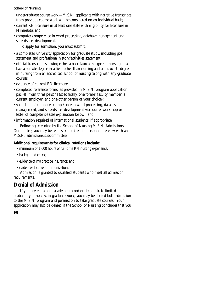undergraduate course work—M.S.N. applicants with narrative transcripts from previous course work will be considered on an individual basis;

- current RN licensure in at least one state with eligibility for licensure in Minnesota; and
- computer competence in word processing, database management and spreadsheet development.

To apply for admission, you must submit:

- a completed university application for graduate study, including goal statement and professional history/activities statement;
- official transcripts showing either a baccalaureate degree in nursing or a baccalaureate degree in a field other than nursing and an associate degree in nursing from an accredited school of nursing (along with any graduate courses);
- evidence of current RN licensure;
- completed reference forms (as provided in M.S.N. program application packet) from three persons (specifically, one former faculty member, a current employer, and one other person of your choice);
- validation of computer competence in word processing, database management, and spreadsheet development via course, workshop or letter of competence (see explanation below); and
- information required of international students, if appropriate.

Following screening by the School of Nursing M.S.N. Admissions Committee, you may be requested to attend a personal interview with an M.S.N. admissions subcommittee.

### **Additional requirements for clinical rotations include:**

- minimum of 1,000 hours of full-time RN nursing experience;
- background check;
- evidence of malpractice insurance; and
- evidence of current immunization.

Admission is granted to qualified students who meet all admission requirements.

# **Denial of Admission**

If you present a poor academic record or demonstrate limited probability of success in graduate work, you may be denied both admission to the M.S.N. program and permission to take graduate courses. Your application may also be denied if the School of Nursing concludes that you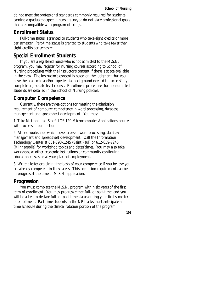do not meet the professional standards commonly required for students earning a graduate degree in nursing and/or do not state professional goals that are compatible with program offerings.

### **Enrollment Status**

Full-time status is granted to students who take eight credits or more per semester. Part-time status is granted to students who take fewer than eight credits per semester.

### **Special Enrollment Students**

If you are a registered nurse who is not admitted to the M.S.N. program, you may register for nursing courses according to School of Nursing procedures with the instructor's consent if there is space available in the class. The instructor's consent is based on the judgment that you have the academic and/or experiential background needed to successfully complete a graduate-level course. Enrollment procedures for nonadmitted students are detailed in the School of Nursing policies.

### **Computer Competence**

Currently, there are three options for meeting the admission requirement of computer competence in word processing, database management and spreadsheet development. You may:

1. Take Metropolitan State's ICS 120 Microcomputer Applications course, with successful completion.

2. Attend workshops which cover areas of word processing, database management and spreadsheet development. Call the Information Technology Center at 651-793-1245 (Saint Paul) or 612-659-7245 (Minneapolis) for workshop topics and dates/times. You may also take workshops at other academic institutions or community continuing education classes or at your place of employment.

3. Write a letter explaining the basis of your competence if you believe you are already competent in these areas. This admission requirement can be in progress at the time of M.S.N. application.

### **Progression**

You must complete the M.S.N. program within six years of the first term of enrollment. You may progress either full- or part-time; and you will be asked to declare full- or part-time status during your first semester of enrollment. Part-time students in the NP tracks must anticipate a fulltime schedule during the clinical rotation portion of the program.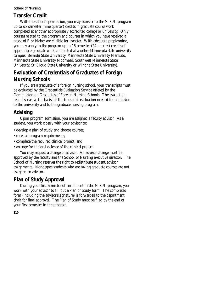# **Transfer Credit**

With the school's permission, you may transfer to the M.S.N. program up to six semester (nine quarter) credits in graduate course work completed at another appropriately accredited college or university. Only courses related to the program and courses in which you have received a grade of B or higher are eligible for transfer. With adequate preplanning, you may apply to the program up to 16 semester (24 quarter) credits of appropriate graduate work completed at another Minnesota state university campus (Bemidji State University, Minnesota State University Mankato, Minnesota State University Moorhead, Southwest Minnesota State University, St. Cloud State University or Winona State University).

# **Evaluation of Credentials of Graduates of Foreign Nursing Schools**

If you are a graduate of a foreign nursing school, your transcripts must be evaluated by the Credentials Evaluation Service offered by the Commission on Graduates of Foreign Nursing Schools. The evaluation report serves as the basis for the transcript evaluation needed for admission to the university and to the graduate nursing program.

# **Advising**

Upon program admission, you are assigned a faculty advisor. As a student, you work closely with your advisor to:

- develop a plan of study and choose courses;
- meet all program requirements;
- complete the required clinical project; and
- arrange for the oral defense of the clinical project.

You may request a change of advisor. An advisor change must be approved by the faculty and the School of Nursing executive director. The School of Nursing reserves the right to redistribute student/advisor assignments. Nondegree students who are taking graduate courses are not assigned an advisor.

# **Plan of Study Approval**

During your first semester of enrollment in the M.S.N. program, you work with your advisor to fill out a Plan of Study form. The completed form (including the advisor's signature) is forwarded to the department chair for final approval. The Plan of Study must be filed by the end of your first semester in the program.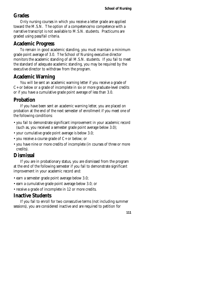# **Grades**

Only nursing courses in which you receive a letter grade are applied toward the M.S.N. The option of a competence/no competence with a narrative transcript is not available to M.S.N. students. Practicums are graded using pass/fail criteria.

# **Academic Progress**

To remain in good academic standing, you must maintain a minimum grade point average of 3.0. The School of Nursing executive director monitors the academic standing of all M.S.N. students. If you fail to meet the standard of adequate academic standing, you may be required by the executive director to withdraw from the program.

## **Academic Warning**

You will be sent an academic warning letter if you receive a grade of C+ or below or a grade of incomplete in six or more graduate-level credits or if you have a cumulative grade point average of less than 3.0.

# **Probation**

If you have been sent an academic warning letter, you are placed on probation at the end of the next semester of enrollment if you meet one of the following conditions:

- you fail to demonstrate significant improvement in your academic record (such as, you received a semester grade point average below 3.0);
- your cumulative grade point average is below 3.0;
- you receive a course grade of C+ or below; or
- you have nine or more credits of incomplete (in courses of three or more credits).

## **Dismissal**

If you are in probationary status, you are dismissed from the program at the end of the following semester if you fail to demonstrate significant improvement in your academic record and:

- earn a semester grade point average below 3.0;
- earn a cumulative grade point average below 3.0; or
- receive a grade of incomplete in 12 or more credits.

# **Inactive Students**

If you fail to enroll for two consecutive terms (not including summer sessions), you are considered inactive and are required to petition for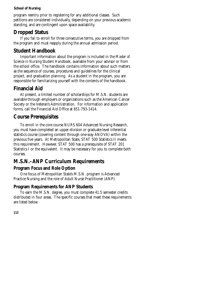program reentry prior to registering for any additional classes. Such petitions are considered individually, depending on your previous academic standing, and are contingent upon space availability.

## **Dropped Status**

If you fail to enroll for three consecutive terms, you are dropped from the program and must reapply during the annual admission period.

## **Student Handbook**

Important information about the program is included in the *Master of Science in Nursing Student Handbook*, available from your advisor or from the school office. The handbook contains information about such matters as the sequence of courses, procedures and guidelines for the clinical project, and graduation planning. As a student in the program, you are responsible for familiarizing yourself with the contents of the handbook.

## **Financial Aid**

At present, a limited number of scholarships for M.S.N. students are available through employers or organizations such as the American Cancer Society or the Veteran's Administration. For information and application forms, call the Financial Aid Office at 651-793-1414.

## **Course Prerequisites**

To enroll in the core course NURS 604 Advanced Nursing Research, you must have completed an upper-division or graduate-level inferential statistics course (covering content through one-way ANOVA) within the previous five years. At Metropolitan State, STAT 500 Statistics II meets this requirement. However, STAT 500 has a prerequisite of STAT 201 Statistics I or the equivalent. It may be necessary for you to complete both courses.

# **M.S.N.–ANP Curriculum Requirements**

## **Program Focus and Role Option**

One focus of Metropolitan State's M.S.N. program is Advanced Practice Nursing and the role of Adult Nurse Practitioner (ANP).

### **Program Requirements for ANP Students**

To earn the M.S.N. degree, you must complete 41.5 semester credits distributed in four areas. The specific courses that meet these requirements are listed below.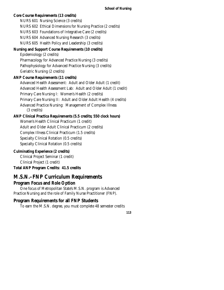## **Core Course Requirements (13 credits)**  NURS 601 Nursing Science (3 credits) NURS 602 Ethical Dimensions for Nursing Practice (2 credits) NURS 603 Foundations of Integrative Care (2 credits) NURS 604 Advanced Nursing Research (3 credits) NURS 605 Health Policy and Leadership (3 credits) **Nursing and Support Course Requirements (10 credits)**  Epidemiology (2 credits) Pharmacology for Advanced Practice Nursing (3 credits) Pathophysiology for Advanced Practice Nursing (3 credits) Geriatric Nursing (2 credits) **ANP Course Requirements (11 credits)**  Advanced Health Assessment: Adult and Older Adult (1 credit) Advanced Health Assessment Lab: Adult and Older Adult (1 credit) Primary Care Nursing I: Women's Health (2 credits) Primary Care Nursing II: Adult and Older Adult Health (4 credits) Advanced Practice Nursing: Management of Complex Illness (3 credits) **ANP Clinical Practica Requirements (5.5 credits; 550 clock hours)**  Women's Health Clinical Practicum (1 credit) Adult and Older Adult Clinical Practicum (2 credits) Complex Illness Clinical Practicum (1.5 credits) Specialty Clinical Rotation (0.5 credits) Specialty Clinical Rotation (0.5 credits) **Culminating Experience (2 credits)**  Clinical Project Seminar (1 credit) Clinical Project (1 credit)

**Total ANP Program Credits: 41.5 credits** 

## **M.S.N.–FNP Curriculum Requirements Program Focus and Role Option**

One focus of Metropolitan State's M.S.N. program is Advanced Practice Nursing and the role of Family Nurse Practitioner (FNP).

### **Program Requirements for all FNP Students**

To earn the M.S.N. degree, you must complete 48 semester credits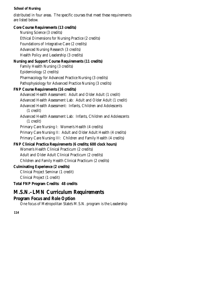distributed in four areas. The specific courses that meet these requirements are listed below.

### **Core Course Requirements (13 credits)**

Nursing Science (3 credits) Ethical Dimensions for Nursing Practice (2 credits) Foundations of Integrative Care (2 credits) Advanced Nursing Research (3 credits) Health Policy and Leadership (3 credits)

### **Nursing and Support Course Requirements (11 credits)**

Family Health Nursing (3 credits) Epidemiology (2 credits) Pharmacology for Advanced Practice Nursing (3 credits) Pathophysiology for Advanced Practice Nursing (3 credits)

### **FNP Course Requirements (16 credits)**

Advanced Health Assessment: Adult and Older Adult (1 credit) Advanced Health Assessment Lab: Adult and Older Adult (1 credit) Advanced Health Assessment: Infants, Children and Adolescents (1 credit) Advanced Health Assessment Lab: Infants, Children and Adolescents (1 credit) Primary Care Nursing I: Women's Health (4 credits) Primary Care Nursing II: Adult and Older Adult Health (4 credits)

Primary Care Nursing III: Children and Family Health (4 credits)

### **FNP Clinical Practica Requirements (6 credits; 600 clock hours)**

Women's Health Clinical Practicum (2 credits) Adult and Older Adult Clinical Practicum (2 credits) Children and Family Health Clinical Practicum (2 credits)

### **Culminating Experience (2 credits)**

Clinical Project Seminar (1 credit) Clinical Project (1 credit)

**Total FNP Program Credits: 48 credits** 

## **M.S.N.–LMN Curriculum Requirements**

### **Program Focus and Role Option**

One focus of Metropolitan State's M.S.N. program is the Leadership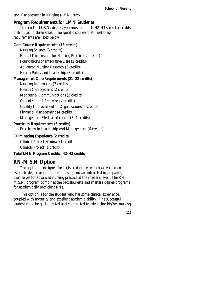and Management in Nursing (LMN) track.

### **Program Requirements for LMN Students**

To earn the M.S.N. degree, you must complete 42–43 semester credits distributed in three areas. The specific courses that meet these requirements are listed below.

### **Core Course Requirements (13 credits)**

Nursing Science (3 credits) Ethical Dimensions for Nursing Practice (2 credits) Foundations of Integrative Care (2 credits) Advanced Nursing Research (3 credits) Health Policy and Leadership (3 credits)

### **Management Core Requirements (21–22 credits)**

Nursing Informatics (2 credits)

Health Care Systems (2 credits)

Managerial Communications (2 credits)

Organizational Behavior (4 credits)

Quality Improvement in Organizations (4 credits)

Financial Management (4 credits)

Management Elective of choice (3–4 credits)

### **Practicum Requirements (6 credits)**

Practicum in Leadership and Management (6 credits)

### **Culminating Experience (2 credits)**

Clinical Project Seminar (1 credit)

Clinical Project (1 credit)

### **Total LMN Program Credits: 42–43 credits**

## **RN-M.S.N Option**

This option is designed for registered nurses who have earned an associate degree or diploma in nursing and are interested in preparing themselves for advanced nursing practice at the master's level. The RN-M.S.N. program combines the baccalaureate and master's degree programs for academically proficient RNs.

This option is for the student who has some clinical experience, coupled with maturity and excellent academic ability. The successful student must be goal-directed and committed to advancing his/her nursing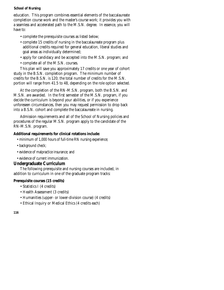education. This program combines essential elements of the baccalaureate completion course work and the master's course work; it provides you with a seamless and accelerated path to the M.S.N. degree. In essence, you will have to:

- complete the prerequisite courses as listed below;
- complete 15 credits of nursing in the baccalaureate program plus additional credits required for general education, liberal studies and goal areas as individually determined;
- apply for candidacy and be accepted into the M.S.N. program; and
- complete all of the M.S.N. courses.

This plan will save you approximately 17 credits or one year of cohort study in the B.S.N. completion program. The minimum number of credits for the B.S.N. is 120; the total number of credits for the M.S.N. portion will range from 41.5 to 48, depending on the role option selected.

At the completion of the RN-M.S.N. program, both the B.S.N. and M.S.N. are awarded. In the first semester of the M.S.N. program, if you decide the curriculum is beyond your abilities, or if you experience unforeseen circumstances, then you may request permission to drop back into a B.S.N. cohort and complete the baccalaureate in nursing.

Admission requirements and all of the School of Nursing policies and procedures of the regular M.S.N. program apply to the candidate of the RN-M.S.N. program.

#### **Additional requirements for clinical rotations include:**

- minimum of 1,000 hours of full-time RN nursing experience;
- background check;
- evidence of malpractice insurance; and
- evidence of current immunization.

### **Undergraduate Curriculum**

The following prerequisite and nursing courses are included, in addition to curriculum in one of the graduate program tracks:

#### **Prerequisite courses (15 credits)**

- Statistics I (4 credits)
- Health Assessment (3 credits)
- Humanities (upper- or lower-division course) (4 credits)
- Ethical Inquiry or Medical Ethics (4 credits each)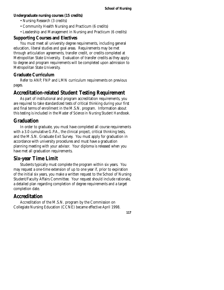### **Undergraduate nursing courses (15 credits)**

- Nursing Research (3 credits)
- Community Health Nursing and Practicum (6 credits)
- Leadership and Management in Nursing and Practicum (6 credits)

### **Supporting Courses and Electives**

You must meet all university degree requirements, including general education, liberal studies and goal areas. Requirements may be met through articulation agreements, transfer credit, or credits completed at Metropolitan State University. Evaluation of transfer credits as they apply to degree and program requirements will be completed upon admission to Metropolitan State University.

### **Graduate Curriculum**

Refer to ANP, FNP and LMN curriculum requirements on previous pages.

## **Accreditation-related Student Testing Requirement**

As part of institutional and program accreditation requirements, you are required to take standardized tests of critical thinking during your first and final terms of enrollment in the M.S.N. program. Information about this testing is included in the *Master of Science in Nursing Student Handbook*.

## **Graduation**

In order to graduate, you must have completed all course requirements with a 3.0 cumulative G.P.A., the clinical project, critical thinking tests, and the M.S.N. Graduate Exit Survey. You must apply for graduation in accordance with university procedures and must have a graduation planning meeting with your advisor. Your diploma is released when you have met all graduation requirements.

## **Six-year Time Limit**

Students typically must complete the program within six years. You may request a one-time extension of up to one year if, prior to expiration of the initial six years, you make a written request to the School of Nursing Student/Faculty Affairs Committee. Your request should include rationale, a detailed plan regarding completion of degree requirements and a target completion date.

## **Accreditation**

Accreditation of the M.S.N. program by the Commission on Collegiate Nursing Education (CCNE) became effective April 1998.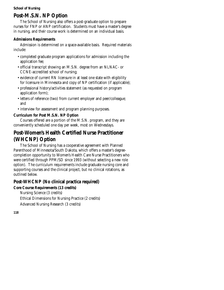## **Post-M.S.N. NP Option**

The School of Nursing also offers a post-graduate option to prepare nurses for FNP or ANP certification. Students must have a master's degree in nursing, and their course work is determined on an individual basis.

### **Admissions Requirements**

Admission is determined on a space-available basis. Required materials include:

- completed graduate program applications for admission including the application fee;
- official transcript showing an M.S.N. degree from an NLNAC- or CCNE-accredited school of nursing;
- evidence of current RN licensure in at least one state with eligibility for licensure in Minnesota and copy of NP certification (if applicable);
- professional history/activities statement (as requested on program application form);
- letters of reference (two) from current employer and peer/colleague; and
- interview for assessment and program planning purposes.

### **Curriculum for Post M.S.N. NP Option**

Courses offered are a portion of the M.S.N. program, and they are conveniently scheduled one day per week, most on Wednesdays.

# **Post-Women's Health Certified Nurse Practitioner (WHCNP) Option**

The School of Nursing has a cooperative agreement with Planned Parenthood of Minnesota/South Dakota, which offers a master's degreecompletion opportunity to Women's Health Care Nurse Practitioners who were certified through PPM/SD since 1993 (without selecting a new role option). The curriculum requirements include graduate nursing core and supporting courses and the clinical project, but no clinical rotations, as outlined below.

### **Post-WHCNP (No clinical practica required)**

### **Core Course Requirements (13 credits)**

Nursing Science (3 credits) Ethical Dimensions for Nursing Practice (2 credits)

Advanced Nursing Research (3 credits)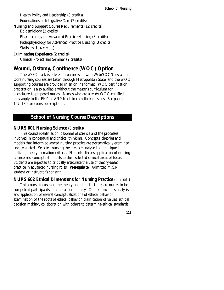Health Policy and Leadership (3 credits) Foundations of Integrative Care (2 credits)

#### **Nursing and Support Course Requirements (12 credits)**

Epidemiology (2 credits)

Pharmacology for Advanced Practice Nursing (3 credits)

Pathophysiology for Advanced Practice Nursing (3 credits) Statistics II (4 credits)

### **Culminating Experience (2 credits)**

Clinical Project and Seminar (2 credits)

## **Wound, Ostomy, Continence (WOC) Option**

The WOC track is offered in partnership with WebWOCNurse.com. Core nursing courses are taken through Metropolitan State, and the WOC supporting courses are provided in an online format. WOC certification preparation is also available without the master's curriculum for baccalaureate-prepared nurses. Nurses who are already WOC-certified may apply to the FNP or ANP track to earn their master's. See pages 127–130 for course descriptions.

### **School of Nursing Course Descriptions**

### **NURS 601 Nursing Science** (3 credits)

This course identifies philosophies of science and the processes involved in conceptual and critical thinking. Concepts, theories and models that inform advanced nursing practice are systematically examined and evaluated. Selected nursing theories are analyzed and critiqued utilizing theory formation criteria. Students discuss application of nursing science and conceptual models to their selected clinical areas of focus. Students are expected to critically articulate the use of theory-based practice in advanced nursing roles. **Prerequisite**: Admitted M.S.N. student or instructor's consent.

### **NURS 602 Ethical Dimensions for Nursing Practice** (2 credits)

This course focuses on the theory and skills that prepare nurses to be competent participants of a moral community. Content includes analysis and application of several conceptualizations of ethical behavior, examination of the roots of ethical behavior, clarification of values, ethical decision making, collaboration with others to determine ethical standards,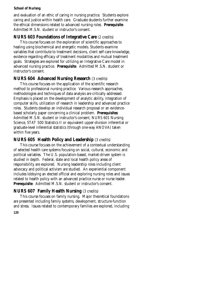and evaluation of an ethic of caring in nursing practice. Students explore caring and justice within health care. Graduate students further examine the ethical dimensions related to advanced nursing roles. **Prerequisite**: Admitted M.S.N. student or instructor's consent.

### **NURS 603 Foundations of Integrative Care** (2 credits)

This course focuses on the exploration of scientific approaches to healing using biochemical and energetic models. Students examine variables that contribute to treatment decisions, client self-care knowledge, evidence regarding efficacy of treatment modalities and mutual treatment goals. Strategies are explored for utilizing an Integrative Care model in advanced nursing practice. **Prerequisite**: Admitted M.S.N. student or instructor's consent.

### **NURS 604 Advanced Nursing Research** (3 credits)

This course focuses on the application of the scientific research method to professional nursing practice. Various research approaches, methodologies and techniques of data analysis are critically addressed. Emphasis is placed on the development of analytic ability, integration of computer skills, utilization of research in leadership and advanced practice roles. Students develop an individual research proposal or an evidencebased scholarly paper concerning a clinical problem. **Prerequisites**: Admitted M.S.N. student or instructor's consent, NURS 601 Nursing Science, STAT 500 Statistics II or equivalent upper-division inferential or graduate-level inferential statistics (through one-way ANOVA) taken within five years.

### **NURS 605 Health Policy and Leadership** (3 credits)

This course focuses on the achievement of a contextual understanding of selected health care systems focusing on social, cultural, economic and political variables. The U.S. population-based, market-driven system is studied in depth. Federal, state and local health policy areas of responsibility are explored. Nursing leadership roles including client advocacy and political activism are studied. An experiential component includes lobbying an elected official and exploring nursing roles and issues related to health policy with an advanced practice nurse or nurse leader. **Prerequisite**: Admitted M.S.N. student or instructor's consent.

### **NURS 607 Family Health Nursing** (3 credits)

**120**  This course focuses on family nursing. Major theoretical foundations are presented including family systems, development, structure-function and stress. Issues related to contemporary families are explored, including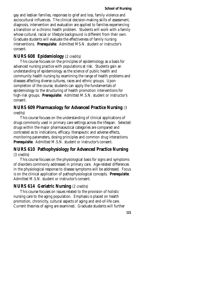gay and lesbian families, responses to grief and loss, family violence and sociocultural influences. The clinical decision-making skills of assessment, diagnosis, intervention and evaluation are applied to families experiencing a transition or a chronic health problem. Students will work with a family whose cultural, racial or lifestyle background is different from their own. Graduate students will evaluate the effectiveness of family nursing interventions. **Prerequisite**: Admitted MS.N. student or instructor's consent.

### **NURS 608 Epidemiology** (2 credits)

This course focuses on the principles of epidemiology as a basis for advanced nursing practice with populations at risk. Students gain an understanding of epidemiology as the science of public health and community health nursing by examining the range of health problems and diseases affecting diverse cultures, races and ethnic groups. Upon completion of the course, students can apply the fundamentals of epidemiology to the structuring of health promotion interventions for high-risk groups. **Prerequisite**: Admitted M.S.N. student or instructor's consent.

### **NURS 609 Pharmacology for Advanced Practice Nursing** (3 credits)

This course focuses on the understanding of clinical applications of drugs commonly used in primary care settings across the lifespan. Selected drugs within the major pharmaceutical categories are compared and contrasted as to indications, efficacy, therapeutic and adverse effects, monitoring parameters, dosing principles and common drug interactions. **Prerequisite**: Admitted M.S.N. student or instructor's consent.

### **NURS 610 Pathophysiology for Advanced Practice Nursing**  (3 credits)

This course focuses on the physiological basis for signs and symptoms of disorders commonly addressed in primary care. Age-related differences in the physiological response to disease symptoms will be addressed. Focus is on the clinical application of pathophysiological concepts. **Prerequisite**: Admitted M.S.N. student or instructor's consent.

### **NURS 614 Geriatric Nursing** (2 credits)

This course focuses on issues related to the provision of holistic nursing care to the aging population. Emphasis is placed on health promotion, chronicity, cultural aspects of aging and end-of-life care. Current theories of aging are examined. Graduate students will further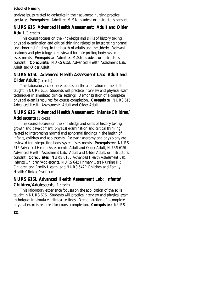analyze issues related to geriatrics in their advanced nursing practice specialty. **Prerequisite**: Admitted M.S.N. student or instructor's consent.

### **NURS 615 Advanced Health Assessment: Adult and Older Adult** (1 credit)

This course focuses on the knowledge and skills of history taking, physical examination and critical thinking related to interpreting normal and abnormal findings in the health of adults and the elderly. Relevant anatomy and physiology are reviewed for interpreting body system assessments. **Prerequisite**: Admitted M.S.N. student or instructor's consent. **Corequisite**: NURS 615L Advanced Health Assessment Lab: Adult and Older Adult.

### **NURS 615L Advanced Health Assessment Lab: Adult and Older Adult** (1 credit)

This laboratory experience focuses on the application of the skills taught in NURS 615. Students will practice interview and physical exam techniques in simulated clinical settings. Demonstration of a complete physical exam is required for course completion. **Corequisite**: NURS 615 Advanced Health Assessment: Adult and Older Adult.

### **NURS 616 Advanced Health Assessment: Infants/Children/ Adolescents** (1 credit)

This course focuses on the knowledge and skills of history taking, growth and development, physical examination and critical thinking related to interpreting normal and abnormal findings in the health of infants, children and adolescents. Relevant anatomy and physiology are reviewed for interpreting body system assessments. **Prerequisites**: NURS 615 Advanced Health Assessment: Adult and Older Adult, NURS 615L Advanced Health Assessment Lab: Adult and Older Adult, or instructor's consent. **Corequisites**: NURS 616L Advanced Health Assessment Lab: Infants/Children/Adolescents, NURS 642 Primary Care Nursing III: Children and Family Health, and NURS 642P Children and Family Health Clinical Practicum.

### **NURS 616L Advanced Health Assessment Lab: Infants/ Children/Adolescents** (1 credit)

This laboratory experience focuses on the application of the skills taught in NURS 616. Students will practice interview and physical exam techniques in simulated clinical settings. Demonstration of a complete physical exam is required for course completion. **Corequisites**: NURS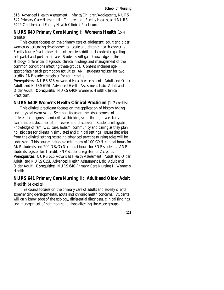616 Advanced Health Assessment: Infants/Children/Adolescents, NURS 642 Primary Care Nursing III: Children and Family Health, and NURS 642P Children and Family Health Clinical Practicum.

### **NURS 640 Primary Care Nursing I: Women's Health (**2–4 credits)

This course focuses on the primary care of adolescent, adult and older women experiencing developmental, acute and chronic health concerns. Family Nurse Practitioner students receive additional content regarding antepartal and postpartal care. Students will gain knowledge of the etiology, differential diagnoses, clinical findings and management of the common conditions affecting these groups. Content includes ageappropriate health promotion activities. ANP students register for two credits; FNP students register for four credits.

**Prerequisites**: NURS 615 Advanced Health Assessment: Adult and Older Adult, and NURS 615L Advanced Health Assessment Lab: Adult and Older Adult. **Corequisite**: NURS 640P Women's Health Clinical Practicum.

#### **NURS 640P Women's Health Clinical Practicum** (1–2 credits)

This clinical practicum focuses on the application of history taking and physical exam skills. Seminars focus on the advancement of differential diagnostic and critical thinking skills through case study examination, documentation review and discussion. Students integrate knowledge of family, culture, holism, community and caring as they plan holistic care for clients in simulated and clinical settings. Issues that arise from the clinical setting regarding advanced practice nursing roles will be addressed. This course includes a minimum of 100 GYN clinical hours for ANP students and 200 OB/GYN clinical hours for FNP students. ANP students register for 1 credit; FNP students register for 2 credits. **Prerequisites**: NURS 615 Advanced Health Assessment: Adult and Older Adult, and NURS 615L Advanced Health Assessment Lab: Adult and Older Adult. **Corequisite**: NURS 640 Primary Care Nursing I: Women's Health.

### **NURS 641 Primary Care Nursing II: Adult and Older Adult Health** (4 credits)

This course focuses on the primary care of adults and elderly clients experiencing developmental, acute and chronic health concerns. Students will gain knowledge of the etiology, differential diagnoses, clinical findings and management of common conditions affecting these age groups.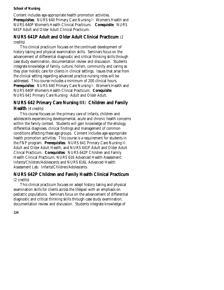Content includes age-appropriate health promotion activities. **Prerequisites**: NURS 640 Primary Care Nursing I: Women's Health and NURS 640P Women's Health Clinical Practicum. **Corequisite**: NURS 641P Adult and Older Adult Clinical Practicum.

### **NURS 641P Adult and Older Adult Clinical Practicum** (2 credits)

This clinical practicum focuses on the continued development of history taking and physical examination skills. Seminars focus on the advancement of differential diagnostic and critical thinking skills through case study examination, documentation review and discussion. Students integrate knowledge of family, culture, holism, community and caring as they plan holistic care for clients in clinical settings. Issues that arise from the clinical setting regarding advanced practice nursing roles will be addressed. This course includes a minimum of 200 clinical hours. **Prerequisites**: NURS 640 Primary Care Nursing I: Women's Health and NURS 640P Women's Health Clincal Practicum. **Corequisite**: NURS 641 Primary Care Nursing: Adult and Older Adult.

### **NURS 642 Primary Care Nursing III: Children and Family Health** (4 credits)

This course focuses on the primary care of infants, children and adolescents experiencing developmental, acute and chronic health concerns within the family context. Students will gain knowledge of the etiology, differential diagnoses, clinical findings and management of common conditions affecting these age groups. Content includes age-appropriate health promotion activities. This course is a requirement for students in the FNP program. **Prerequisites**: NURS 641 Primary Care Nursing II: Adult and Older Adult Health, and NURS 641P Adult and Older Adult Clincal Practicum. **Corequisites**: NURS 642P Children and Family Health Clinical Practicum, NURS 616 Advanced Health Assessment: Infants/Children/Adolescents and NURS 616L Advanced Health Assessment Lab: Infants/Children/Adolescents.

### **NURS 642P Children and Family Health Clinical Practicum**  (2 credits)

This clinical practicum focuses on adept history taking and physical examination skills for clients across the lifespan with an emphasis on pediatric populations. Seminars focus on the advancement of differential diagnostic and critical thinking skills through case study examination, documentation review and discussion. Students integrate knowledge of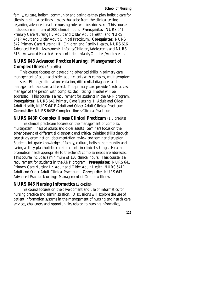family, culture, holism, community and caring as they plan holistic care for clients in clinical settings. Issues that arise from the clinical setting regarding advanced practice nursing roles will be addressed. This course includes a minimum of 200 clinical hours. **Prerequisites**: NURS 641 Primary Care Nursing II: Adult and Older Adult Health, and NURS 641P Adult and Older Adult Clinical Practicum. **Corequisites**: NURS 642 Primary Care Nursing III: Children and Family Health, NURS 616 Advanced Health Assessment: Infants/Children/Adolescents and NURS 616L Advanced Health Assessment Lab: Infants/Children/Adolescents.

# **NURS 643 Advanced Practice Nursing: Management of**

#### **Complex Illness** (3 credits)

This course focuses on developing advanced skills in primary care management of adult and older adult clients with complex, multisymptom illnesses. Etiology, clinical presentation, differential diagnoses and management issues are addressed. The primary care provider's role as case manager of the person with complex, debilitating illnesses will be addressed. This course is a requirement for students in the ANP program. **Prerequisites**: NURS 641 Primary Care Nursing II: Adult and Older Adult Health, NURS 641P Adult and Older Adult Clinical Practicum. **Corequisite**: NURS 643P Complex Illness Clinical Practicum.

#### **NURS 643P Complex Illness Clinical Practicum** (1.5 credits)

This clinical practicum focuses on the management of complex, multisystem illness of adults and older adults. Seminars focus on the advancement of differential diagnostic and critical thinking skills through case study examination, documentation review and seminar discussion. Students integrate knowledge of family, culture, holism, community and caring as they plan holistic care for clients in clinical settings. Health promotion needs appropriate to the client's complex needs are addressed. This course includes a minimum of 150 clinical hours. This course is a requirement for students in the ANP program. **Prerequisites**: NURS 641 Primary Care Nursing II: Adult and Older Adult Health, NURS 641P Adult and Older Adult Clinical Practicum. **Corequisite**: NURS 643 Advanced Practice Nursing: Management of Complex Illness.

### **NURS 646 Nursing Informatics** (2 credits)

This course focuses on the development and use of informatics for nursing practice and administration. Discussions will explore the use of patient information systems in the management of nursing and health care services, challenges and opportunities related to nursing informatics,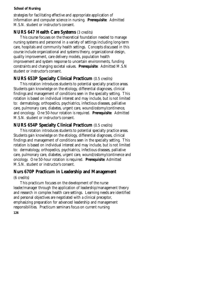strategies for facilitating effective and appropriate application of information and computer science in nursing. **Prerequisite**: Admitted M.S.N. student or instructor's consent.

### **NURS 647 Health Care Systems** (3 credits)

This course focuses on the theoretical foundation needed to manage nursing systems and personnel in a variety of settings including long-term care, hospitals and community health settings. Concepts discussed in this course include organizational and systems theory, organizational design, quality improvement, care delivery models, population health improvement and system response to uncertain environments, funding constraints and changing societal values. **Prerequisite**: Admitted M.S.N student or instructor's consent.

### **NURS 653P Specialty Clinical Practicum** (0.5 credits)

This rotation introduces students to potential specialty practice areas. Students gain knowledge on the etiology, differential diagnoses, clinical findings and management of conditions seen in the specialty setting. This rotation is based on individual interest and may include, but is not limited to: dermatology, orthopedics, psychiatrics, infectious diseases, palliative care, pulmonary care, diabetes, urgent care, wound/ostomy/continence, and oncology. One 50-hour rotation is required. **Prerequisite**: Admitted M.S.N. student or instructor's consent.

### **NURS 654P Specialty Clinical Practicum** (0.5 credits)

This rotation introduces students to potential specialty practice areas. Students gain knowledge on the etiology, differential diagnoses, clinical findings and management of conditions seen in the specialty setting. This rotation is based on individual interest and may include, but is not limited to: dermatology, orthopedics, psychiatrics, infectious diseases, palliative care, pulmonary care, diabetes, urgent care, wound/ostomy/continence and oncology. One 50-hour rotation is required. **Prerequisite**: Admitted M.S.N. student or instructor's consent.

### **Nurs 670P Practicum in Leadership and Management**

#### (6 credits)

**126**  This practicum focuses on the development of the nurse leader/manager through the application of leadership/management theory and research in complex health care settings. Learning needs are identified and personal objectives are negotiated with a clinical preceptor, emphasizing preparation for advanced leadership and management responsibilities. Practicum seminars focus on current nursing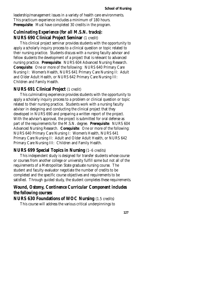leadership/management issues in a variety of health care environments. This practicum experience includes a minimum of 180 hours. **Prerequisite**: Must have completed 30 credits in the program.

### *Culminating Experience (for all M.S.N. tracks):*  **NURS 690 Clinical Project Seminar** (1 credit)

This clinical project seminar provides students with the opportunity to apply a scholarly inquiry process to a clinical question or topic related to their nursing practice. Students discuss with a nursing faculty advisor and fellow students the development of a project that is relevant to advanced nursing practice. **Prerequisite**: NURS 604 Advanced Nursing Research. **Corequisite**: One or more of the following: NURS 640 Primary Care Nursing I: Women's Health, NURS 641 Primary Care Nursing II: Adult and Older Adult Health, or NURS 642 Primary Care Nursing III: Children and Family Health.

#### **NURS 691 Clinical Project** (1 credit)

This culminating experience provides students with the opportunity to apply a scholarly inquiry process to a problem or clinical question or topic related to their nursing practice. Students work with a nursing faculty advisor in designing and conducting the clinical project that they developed in NURS 690 and preparing a written report of the project. With the advisor's approval, the project is submitted for oral defense as part of the requirements for the M.S.N. degree. **Prerequisite**: NURS 604 Advanced Nursing Research. **Corequisite**: One or more of the following: NURS 640 Primary Care Nursing I: Women's Health, NURS 641 Primary Care Nursing II: Adult and Older Adult Health, or NURS 642 Primary Care Nursing III: Children and Family Health.

#### **NURS 699 Special Topics in Nursing** (1–6 credits)

This independent study is designed for transfer students whose course or courses from another college or university fulfill some but not all of the requirements of a Metropolitan State graduate nursing course. The student and faculty evaluator negotiate the number of credits to be completed and the specific course objectives and requirements to be satisfied. Through guided study, the student completes these requirements.

### *Wound, Ostomy, Continence Curricular Component includes the following courses:*

**NURS 630 Foundations of WOC Nursing** (1.5 credits)

This course will address the various critical underpinnings to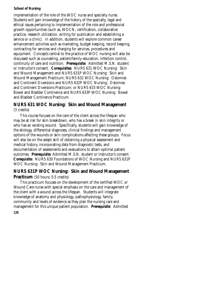implementation of the role of the WOC nurse and specialty nurse. Students will gain knowledge of the history of the specialty, legal and ethical issues pertaining to implementation of the role and professional growth opportunities (such as, WOCN, certification, collaborative practice, research utilization, writing for publication and establishing a service or a clinic). In addition, students will explore common career enhancement activities such as marketing, budget keeping, record keeping, contracting for services and charging for services, procedures and equipment. Concepts central to the practice of WOC nursing will also be discussed such as counseling, patient/family education, infection control, continuity of care and nutrition. **Prerequisite**: Admitted M.S.N. student or instructor's consent. **Corequisites**: NURS 631 WOC Nursing: Skin and Wound Management and NURS 631P WOC Nursing: Skin and Wound Management Practicum; NURS 632 WOC Nursing: Ostomies and Continent Diversions and NURS 632P WOC Nursing: Ostomies and Continent Diversions Practicum; or NURS 633 WOC Nursing: Bowel and Bladder Continence and NURS 633P WOC Nursing: Bowel and Bladder Continence Practicum.

### **NURS 631 WOC Nursing: Skin and Wound Management**  (3 credits)

This course focuses on the care of the client across the lifespan who may be at risk for skin breakdown, who has a break in skin integrity or who has an existing wound. Specifically, students will gain knowledge of the etiology, differential diagnoses, clinical findings and management options of the wounds or skin complications affecting these groups. Focus will also be on the adept skill of obtaining a physical assessment and medical history, incorporating data from diagnostic tests, and documentation of assessments and evaluations to attain optimal patient outcomes. **Prerequisite**: Admitted M.S.N. student or instructor's consent. **Corequisite**: NURS 630 Foundations of WOC Nursing and NURS 631P WOC Nursing: Skin and Wound Management Practicum.

### **NURS 631P WOC Nursing: Skin and Wound Management Practicum** (50 hours; 0.5 credits)

**128**  This practicum focuses on the development of the certified WOC or Wound Care nurse with special emphasis on the care and management of the client with a wound across the lifespan. Students will integrate knowledge of anatomy and physiology, pathophysiology, family, community and levels of evidence as they plan the nursing care and management for this unique patient population. **Prerequisite**: Admitted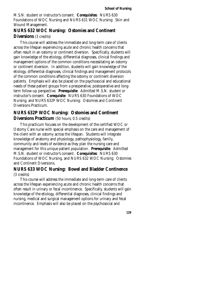M.S.N. student or instructor's consent. **Corequisites**: NURS 630 Foundations of WOC Nursing and NURS 631 WOC Nursing: Skin and Wound Management.

### **NURS 632 WOC Nursing: Ostomies and Continent Diversions** (3 credits)

This course will address the immediate and long-term care of clients across the lifespan experiencing acute and chronic health concerns that often result in an ostomy or continent diversion. Specifically, students will gain knowledge of the etiology, differential diagnoses, clinical findings and management options of the common conditions necessitating an ostomy or continent diversion. In addition, students will gain knowledge of the etiology, differential diagnoses, clinical findings and management protocols of the common conditions affecting the ostomy or continent diversion patients. Emphasis will also be placed on the psychosocial and educational needs of these patient groups from a preoperative, postoperative and longterm follow-up perspective. **Prerequisite**: Admitted M.S.N. student or instructor's consent. **Corequisite**: NURS 630 Foundations of WOC Nursing, and NURS 632P WOC Nursing: Ostomies and Continent Diversions Practicum.

### **NURS 632P WOC Nursing: Ostomies and Continent Diversions Practicum** (50 hours; 0.5 credits)

This practicum focuses on the development of the certified WOC or Ostomy Care nurse with special emphasis on the care and management of the client with an ostomy across the lifespan. Students will integrate knowledge of anatomy and physiology, pathophysiology, family, community and levels of evidence as they plan the nursing care and management for this unique patient population. **Prerequisite**: Admitted M.S.N. student or instructor's consent. **Corequisites**: NURS 630 Foundations of WOC Nursing, and NURS 632 WOC Nursing: Ostomies and Continent Diversions.

### **NURS 633 WOC Nursing: Bowel and Bladder Continence**  (3 credits)

This course will address the immediate and long-term care of clients across the lifespan experiencing acute and chronic health concerns that often result in urinary or fecal incontinence. Specifically, students will gain knowledge of the etiology, differential diagnoses, clinical findings and nursing, medical and surgical management options for urinary and fecal incontinence. Emphasis will also be placed on the psychosocial and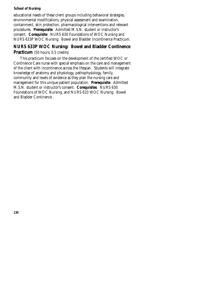educational needs of these client groups including behavioral strategies, environmental modifications, physical assessment and examination, containment, skin protection, pharmacological interventions and relevant procedures. **Prerequisite**: Admitted M.S.N. student or instructor's consent. **Corequisite**: NURS 630 Foundations of WOC Nursing and NURS 633P WOC Nursing: Bowel and Bladder Incontinence Practicum.

### **NURS 633P WOC Nursing: Bowel and Bladder Continence Practicum** (50 hours; 0.5 credits)

This practicum focuses on the development of the certified WOC or Continence Care nurse with special emphasis on the care and management of the client with incontinence across the lifespan. Students will integrate knowledge of anatomy and physiology, pathophysiology, family, community and levels of evidence as they plan the nursing care and management for this unique patient population. **Prerequisite**: Admitted M.S.N. student or instructor's consent. **Corequisites**: NURS 630 Foundations of WOC Nursing, and NURS 633 WOC Nursing: Bowel and Bladder Continence .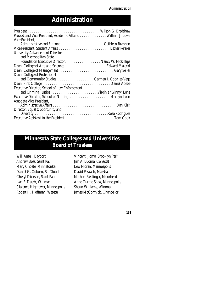# **Administration**

| Provost and Vice President, Academic Affairs. William J. Lowe |
|---------------------------------------------------------------|
| Vice President.                                               |
|                                                               |
|                                                               |
| <b>University Advancement Director</b>                        |
| and Metropolitan State                                        |
|                                                               |
|                                                               |
|                                                               |
| Dean, College of Professional                                 |
|                                                               |
|                                                               |
| <b>Executive Director, School of Law Enforcement</b>          |
|                                                               |
|                                                               |
| Associate Vice President,                                     |
|                                                               |
| Director, Equal Opportunity and                               |
|                                                               |
| Executive Assistant to the President Tom Cook                 |

# **Minnesota State Colleges and Universities Board of Trustees**

Will Antell, Bayport Andrew Boss, Saint Paul Mary Choate, Minnetonka Daniel G. Coborn, St. Cloud Cheryl Dickson, Saint Paul Ivan F. Dusek, Willmar Clarence Hightower, Minneapolis Robert H. Hoffman, Waseca

Vincent Ijioma, Brooklyn Park Jim A. Luoma, Cohasset Lew Moran, Minneapolis David Paskach, Marshall Michael Redlinger, Moorhead Anne Curme Shaw, Minneapolis Shaun Williams, Winona James McCormick, Chancellor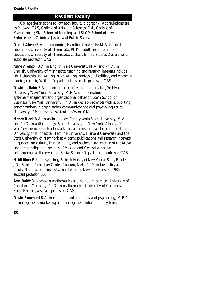## **Resident Faculty**

College designations follow each faculty biography. Abbreviations are as follows: CAS, College of Arts and Sciences; CM, College of Management; SN, School of Nursing, and SLCP, School of Law Enforcement, Criminal Justice and Public Safety.

**Daniel Abebe** B.A. in economics, Hamline University; M.A. in adult education, University of Minnesota; Ph.D., adult and international education, University of Minnesota; cochair, Ethnic Studies Department; associate professor. CAS

**Anne Aronson** B.A. in English, Yale University; M.A. and Ph.D. in English, University of Minnesota; teaching and research interests include adult students and writing, basic writing, professional editing, and women's studies; cochair, Writing Department; associate professor. CAS

**David L. Bahn** B.A. in computer science and mathematics, Yeshiva University/New York University; M.B.A. in information systems/management and organizational behavior, Stern School of Business, New York University; Ph.D. in decision sciences with supporting concentrations in organization communications and psycholinguistics, University of Minnesota; assistant professor. CM

**Nancy Black** B.A. in anthropology, Pennsylvania State University; M.A. and Ph.D. in anthropology, State University of New York, Albany; 20 years' experience as a teacher, advisor, administrator and researcher at the University of Minnesota, Hamline University, Harvard University and the State University of New York at Albany; publications and research interests in gender and culture, human rights, and sociocultural change of the Maya and other indigenous peoples of Mexico and Central America; anthropological theory; chair, Social Science Department; professor. CAS

**Heidi Block** B.A. in psychology, State University of New York at Stony Brook; J.D., Franklin Pierce Law Center, Concord, N.H.; Ph.D. in law, policy and society, Northeastern University; member of the New York Bar since 1986; assistant professor. SLC

**Axel Boldt** Diplomas in mathematics and computer science, University of Paderborn, Germany; Ph.D. in mathematics, University of California, Santa Barbara; assistant professor, CAS

**David Bouchard** B.A. in economic anthropology and psychology; M.B.A. in management, marketing and management information systems,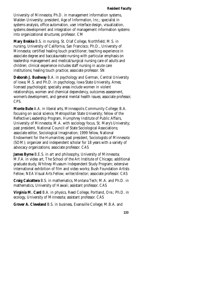University of Minnesota; Ph.D. in management information systems, Walden University; president, Age of Information, Inc.; specialist in systems analysis, office automation, user interface design, visualization, systems development and integration of management information systems into organizational structures; professor. CM

**Mary Brekke** B.S. in nursing, St. Olaf College, Northfield; M.S. in nursing, University of California, San Francisco; Ph.D., University of Minnesota; certified healing touch practitioner; teaching experience in associate degree and baccalaureate nursing with particular emphasis on leadership management and medical/surgical nursing care of adults and children; clinical experience includes staff nursing in acute care institutions; healing touch practice; associate professor. SN

**Deborah J. Bushway** B.A. in psychology and German, Central University of Iowa; M.S. and Ph.D. in psychology, Iowa State University, Ames; licensed psychologist; specialty areas include women in violent relationships, women and chemical dependency, outcomes assessment, women's development, and general mental health issues; associate professor, CPS.

**Monte Bute** A.A. in liberal arts, Minneapolis Community College; B.A. focusing on social science, Metropolitan State University; fellow of the Reflective Leadership Program, Humphrey Institute of Public Affairs, University of Minnesota; M.A. with sociology focus, St. Mary's University; past president, National Council of State Sociological Associations; associate editor, Sociological Imagination; 1999 fellow, National Endowment for the Humanities; past president, Sociologists of Minnesota (SOM); organizer and independent scholar for 18 years with a variety of advocacy organizations; associate professor. CAS

**James Byrne** B.E.S. in art and philosophy, University of Minnesota; M.F.A. in video art, The School of the Art Institute of Chicago; additional graduate study, Whitney Museum Independent Study Program; extensive international exhibition of film and video works; Bush Foundation Artists Fellow; NEA Visual Arts Fellow; writer/director; associate professor. CAS

**Craig Calcattera** B.S. in mathematics, Montana Tech; M.A. and Ph.D. in mathematics, University of Hawaii; assistant professor. CAS

**Virginia M. Card** B.A. in physics, Reed College, Portland, Ore.; Ph.D. in ecology, University of Minnesota; assistant professor. CAS

**Grover A. Cleveland** B.S. in business, Evansville College; M.B.A. and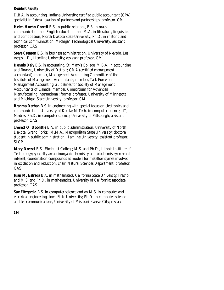D.B.A. in accounting, Indiana University; certified public accountant (CPA); specialist in federal taxation of partners and partnerships; professor. CM

**Helen Hoehn Correll** B.S. in public relations, B.S. in mass communication and English education, and M.A. in literature, linguistics and composition, North Dakota State University; Ph.D. in rhetoric and technical communication, Michigan Technological University; assistant professor. CAS

**Steve Creason** B.S. in business administration, University of Nevada, Las Vegas; J.D., Hamline University; assistant professor, CM

**Dennis Daly** B.S. in accounting, St. Mary's College; M.B.A. in accounting and finance, University of Detroit; CMA (certified management accountant); member, Management Accounting Committee of the Institute of Management Accountants; member, Task Force on Management Accounting Guidelines for Society of Management Accountants of Canada; member, Consortium for Advanced Manufacturing International; former professor, University of Minnesota and Michigan State University; professor. CM

**Brahma Dathan** B.S. in engineering with special focus on electronics and communication, University of Kerala; M.Tech. in computer science, IIT, Madras; Ph.D. in computer science, University of Pittsburgh; assistant professor. CAS

E**verett O. Doolittle** B.A. in public administration, University of North Dakota, Grand Forks; M.M.A., Metropolitan State University; doctoral student in public administration, Hamline University; assistant professor. SLCP

**Mary Dressel** B.S., Elmhurst College; M.S. and Ph.D., Illinois Institute of Technology; specialty areas: inorganic chemistry and biochemistry; research interest, coordination compounds as models for metalloenzymes involved in oxidation and reduction; chair, Natural Sciences Department; professor. CAS

**Juan M. Estrada** B.A. in mathematics, California State University, Fresno, and M.S. and Ph.D. in mathematics, University of California; associate professor. CAS

**Sue Fitzgerald** B.S. in computer science and an M.S. in computer and electrical engineering, Iowa State University; Ph.D. in computer science and telecommunications, University of Missouri-Kansas City; research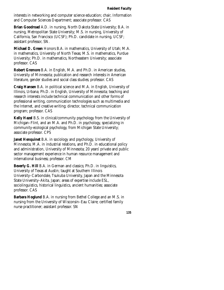interests in networking and computer science education; chair, Information and Computer Sciences Department; associate professor. CAS

**Brian Goodroad** A.D. in nursing, North Dakota State University; B.A. in nursing, Metropolitan State University; M.S. in nursing, University of California, San Francisco (UCSF); Ph.D. candidate in nursing, UCSF; assistant professor, SN.

**Michael D. Green** Honors B.A. in mathematics, University of Utah; M.A. in mathematics, University of North Texas; M.S. in mathematics, Purdue University; Ph.D. in mathematics, Northeastern University; associate professor. CAS

**Robert Gremore** B.A. in English, M.A. and Ph.D. in American studies, University of Minnesota; publication and research interests in American literature, gender studies and social class studies; professor. CAS

**Craig Hansen** B.A. in political science and M.A. in English, University of Illinois, Urbana; Ph.D. in English, University of Minnesota; teaching and research interests include technical communication and other forms of professional writing, communication technologies such as multimedia and the Internet, and creative writing; director, technical communication program; professor. CAS

**Kelly Hazel** B.S. in clinical/community psychology from the University of Michigan–Flint, and an M.A. and Ph.D. in psychology, specializing in community-ecological psychology, from Michigan State University; associate professor. CPS

**Janet Henquinet** B.A. in sociology and psychology, University of Minnesota; M.A. in industrial relations, and Ph.D. in educational policy and administration, University of Minnesota; 20 years' private and public sector management experience in human resource management and international business; professor. CM

**Beverly G. Hill** B.A. in German and classics; Ph.D. in linguistics, University of Texas at Austin; taught at Southern Illinois University–Carbondale, Tsukuba University, Japan and the Minnesota State University–Akita, Japan; areas of expertise include ESL, sociolinguistics, historical linguistics, ancient humanities; associate professor. CAS

**Barbara Hoglund** B.A. in nursing from Bethel College and an M.S. in nursing from the University of Wisconsin–Eau Claire; certified family nurse practitioner; assistant professor. SN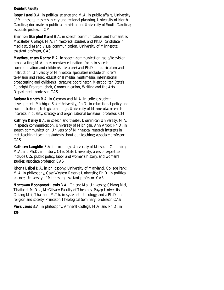**Roger Israel** B.A. in political science and M.A. in public affairs, University of Minnesota; master's in city and regional planning, University of North Carolina; doctorate in public administration, University of South Carolina; associate professor. CM

**Shannon Skarphol Kaml** B.A. in speech communication and humanities, Macalester College; M.A. in rhetorical studies, and Ph.D. candidate in media studies and visual communication, University of Minnesota; assistant professor, CAS

**Maythee Jensen Kantar** B.A. in speech-communication radio/television broadcasting; M.A. in elementary education (focus in speechcommunication and children's literature) and Ph.D. in curriculum and instruction, University of Minnesota; specialties include children's television and radio, educational media, multimedia, international broadcasting and children's literature; coordinator, Metropolitan State's Fulbright Program; chair, Communication, Writing and the Arts Department; professor. CAS

**Barbara Keinath** B.A. in German and M.A. in college student development, Michigan State University; Ph.D. in educational policy and administration (strategic planning), University of Minnesota; research interests in quality, strategy and organizational behavior; professor. CM

**Kathryn Kelley** B.A. in speech and theater, Dominican University; M.A. in speech communication, University of Michigan, Ann Arbor; Ph.D. in speech communication, University of Minnesota; research interests in metateaching: teaching students about our teaching; associate professor. CAS

**Kathleen Laughlin** B.A. in sociology, University of Missouri–Columbia; M.A. and Ph.D. in history, Ohio State University; areas of expertise include U.S. public policy, labor and women's history, and women's studies; associate professor. CAS

**Rhona Leibel** B.A. in philosophy, University of Maryland, College Park; M.A. in philosophy, Case Western Reserve University; Ph.D. in political science, University of Minnesota; assistant professor. CAS

**Nantawan Boonprasat Lewis** B.A., Chiang Mai University, Chiang Mai, Thailand; M.Div., McGilvary Faculty of Theology, Payap University, Chiang Mai, Thailand; M.Th. in systematic theology, and a Ph.D. in religion and society, Princeton Theological Seminary; professor. CAS

**136 Piers Lewis** B.A. in philosophy, Amherst College; M.A. and Ph.D. in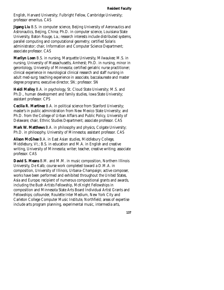English, Harvard University; Fulbright Fellow, Cambridge University; professor emeritus. CAS

**Jigang Liu** B.S. in computer science, Beijing University of Aeronautics and Astronautics, Beijing, China; Ph.D. in computer science, Louisiana State University, Baton Rouge, La.; research interests include distributed systems, parallel computing and computational geometry; certified Solaris administrator; chair, Information and Computer Science Department; associate professor. CAS

**Marilyn Loen** B.S. in nursing, Marquette University, Milwaukee; M.S. in nursing, University of Massachusetts, Amherst; Ph.D. in nursing, minor in gerontology, University of Minnesota; certified geriatric nurse practitioner; clinical experience in neurological clinical research and staff nursing in adult med-surg; teaching experience in associate, baccalaureate and master degree programs; executive director, SN; professor. SN

**Heidi Malloy** B.A. in psychology, St. Cloud State University; M.S. and Ph.D., human development and family studies, Iowa State University; assistant professor. CPS

**Cecilia R. Martinez** B.A. in political science from Stanford University; master's in public administration from New Mexico State University; and Ph.D. from the College of Urban Affairs and Public Policy, University of Delaware; chair, Ethnic Studies Department; associate professor. CAS

**Mark W. Matthews** B.A. in philosophy and physics, Colgate University; Ph.D. in philosophy, University of Minnesota; assistant professor. CAS

**Alison McGhee** B.A. in East Asian studies, Middlebury College, Middlebury, Vt.; B.S. in education and M.A. in English and creative writing, University of Minnesota; writer; teacher, creative writing; associate professor. CAS

**David S. Means** B.M. and M.M. in music composition, Northern Illinois University, De Kalb; course work completed toward a D.M.A. in composition, University of Illinois, Urbana–Champaign; active composer, works have been performed and exhibited throughout the United States, Asia and Europe; recipient of numerous compositional grants and awards, including the Bush Artists Fellowship, McKnight Fellowships in composition and Minnesota State Arts Board Individual Artist Grants and Fellowships; cofounder, Roulette Inter Medium, New York City and Carleton College Computer Music Institute, Northfield; areas of expertise include arts program planning, experimental music, intermedia arts,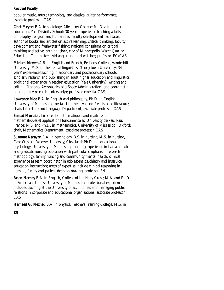popular music, music technology and classical guitar performance; associate professor. CAS

**Chet Meyers** B.A. in sociology, Allegheny College; M. Div. in higher education, Yale Divinity School; 30 years' experience teaching adults philosophy, religion and humanities; faculty development facilitator; author of books and articles on active learning, critical thinking, faculty development and freshwater fishing; national consultant on critical thinking and active learning; chair, city of Minneapolis, Water Quality Education Committee; avid angler and bird watcher; professor. FC/CAS

**Miriam Meyers** A.B. in English and French, Peabody College, Vanderbilt University; M.S. in theoretical linguistics, Georgetown University; 34 years' experience teaching in secondary and postsecondary schools; scholarly research and publishing in adult higher education and linguistics; additional experience in teacher education (Yale University), writing and editing (National Aeronautics and Space Administration) and coordinating public policy research (Interstudy); professor emerita. CAS

**Lawrence Moe** B.A. in English and philosophy, Ph.D. in English, University of Minnesota; specialist in medieval and Renaissance literature; chair, Literature and Language Department; associate professor. CAS

**Samad Mortabit** Licence de mathematiques and maitrise de mathematiques et applications fondamentales, University de Pau, Pau, France; M.S. and Ph.D. in mathematics, University of Mississippi, Oxford; chair, Mathematics Department; associate professor. CAS

**Suzanne Narayan** B.A. in psychology, B.S. in nursing, M.S. in nursing, Case Western Reserve University, Cleveland; Ph.D. in educational psychology, University of Minnesota; teaching experience in baccalaureate and graduate nursing education with particular emphasis in research methodology, family nursing and community mental health; clinical experience as team coordinator in adolescent psychiatry and inservice education instruction; areas of expertise include clinical reasoning in nursing, family and patient decision making; professor. SN

**Brian Nerney** B.A. in English, College of the Holy Cross; M.A. and Ph.D. in American studies, University of Minnesota; professional experience includes teaching at the University of St. Thomas and managing public relations in corporate and educational organizations; associate professor. CAS

**Hameed G. Nezhad** B.A. in physics, Teachers Training College, M.S. in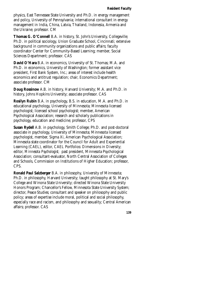physics, East Tennessee State University and Ph.D. in energy management and policy, University of Pennsylvania; international consultant in energy management in India, China, Latvia, Thailand, Indonesia, Armenia and the Ukraine; professor. CM

**Thomas G. O'Connell** B.A. in history, St. John's University, Collegeville; Ph.D. in political sociology, Union Graduate School, Cincinnati; extensive background in community organizations and public affairs; faculty coordinator Center for Community-Based Learning; member, Social Sciences Department; professor. CAS

**David O'Hara** B.A. in economics, University of St. Thomas; M.A. and Ph.D. in economics, University of Washington; former assistant vice president, First Bank System, Inc.; areas of interest include health economics and antitrust regulation; chair, Economics Department; associate professor. CM

**Doug Rossinow** A.B. in history, Harvard University; M.A. and Ph.D. in history, Johns Hopkins University; associate professor. CAS

**Rosilyn Rubin** B.A. in psychology, B.S. in education, M.A. and Ph.D. in educational psychology, University of Minnesota; Minnesota licensed psychologist; licensed school psychologist; member, American Psychological Association; research and scholarly publications in psychology, education and medicine; professor, CPS

**Susan Rydell** A.B. in psychology, Smith College; Ph.D. and post-doctoral associate in psychology, University of Minnesota; Minnesota licensed psychologist, member, Sigma Xi, American Psychological Association; Minnesota state coordinator for the Council for Adult and Experiential Learning (CAEL), editor, CAEL Portfolios: Dimensions in Diversity; editor, *Minnesota Psychologist*; past president, Minnesota Psychological Association; consultant-evaluator, North Central Association of Colleges and Schools, Commission on Institutions of Higher Education; professor, CPS.

**Ronald Paul Salzberger** B.A. in philosophy, University of Minnesota; Ph.D. in philosophy, Harvard University; taught philosophy at St. Mary's College and Winona State University; directed Winona State University Honors Program; Chancellor's Fellow, Minnesota State University System; director, Peace Studies; consultant and speaker on philosophy and public policy; areas of expertise include moral, political and social philosophy, especially race and racism, and philosophy and sexuality; Central American affairs; professor. CAS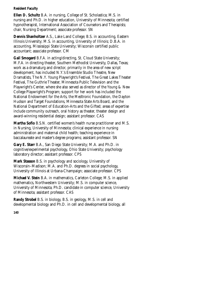**Ellen D. Schultz** B.A. in nursing, College of St. Scholastica; M.S. in nursing and Ph.D. in higher education, University of Minnesota; certified hypnotherapist, International Association of Counselors and Therapists; chair, Nursing Department; associate professor. SN

**Dennis Shanholtzer** A.S., Lake Land College; B.S. in accounting, Eastern Illinois University; M.S. in accounting, University of Illinois; D.B.A. in accounting, Mississippi State University; Wisconsin certified public accountant; associate professor. CM

**Gail Smogard** B.F.A. in acting/directing, St. Cloud State University; M.F.A. in directing theater, Southern Methodist University, Dallas, Texas; work as a dramaturg and director, primarily in the area of new script development, has included N.Y.'s Ensemble Studio Theatre, New Dramatists, The N.Y. Young Playwright's Festival, The Great Lakes Theater Festival, The Guthrie Theater, Minnesota Public Television and the Playwright's Center, where she also served as director of the Young & New College Playwright's Program; support for her work has included the National Endowment for the Arts, the Medtronic Foundation, the Dayton Hudson and Target Foundations, Minnesota State Arts Board, and the National Department of Education-Arts and the Gifted; areas of expertise include community outreach, oral history as theater, theater design and award-winning residential design; assistant professor. CAS

**Martha Sofio** B.S.N. certified women's health nurse practitioner and M.S. in Nursing, University of Minnesota; clinical experience in nursing administration and maternal child health; teaching experience in baccalaureate and master's degree programs; assistant professor. SN

**Gary E. Starr** B.A., San Diego State University; M.A. and Ph.D. in cognitive/experimental psychology, Ohio State University; psychology laboratory director; assistant professor. CPS

**Mark Stasson** B.S. in psychology and sociology, University of Wisconsin–Madison; M.A. and Ph.D. degrees in social psychology, University of Illinois at Urbana-Champaign; associate professor. CPS

**Michael V. Stein** B.A. in mathematics, Carleton College; M.S. in applied mathematics, Northwestern University; M.S. in computer science, University of Minnesota; Ph.D. candidate in computer science, University of Minnesota; assistant professor. CAS

**Randy Strobel** B.S. in biology, B.S. in geology, M.S. in cell and developmental biology and Ph.D. in cell and developmental biology, all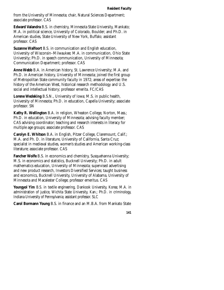from the University of Minnesota; chair, Natural Sciences Department; associate professor. CAS

**Edward Valandra** B.S. in chemistry, Minnesota State University, Mankato; M.A. in political science, University of Colorado, Boulder; and Ph.D. in American studies, State University of New York, Buffalo; assistant professor. CAS

**Suzanne Walfoort** B.S. in communication and English education, University of Wisconsin–Milwaukee; M.A. in communication, Ohio State University; Ph.D. in speech communication, University of Minnesota; Communication Department; professor. CAS

**Anne Webb** B.A. in American history, St. Lawrence University; M.A. and Ph.D. in American history, University of Minnesota; joined the first group of Metropolitan State community faculty in 1972; areas of expertise: the history of the American West, historical research methodology and U.S. social and intellectual history; professor emerita. FC/CAS

**Lorene Wedeking** B.S.N., University of Iowa; M.S. in public health, University of Minnesota; Ph.D. in education, Capella University; associate professor. SN

**Kathy R. Wellington** B.A. in religion, Wheaton College, Norton, Mass.; Ph.D. in education, University of Minnesota; advising faculty member; CAS advising coordinator; teaching and research interests in literacy for multiple age groups; associate professor. CAS

**Carolyn E. Whitson** B.A. in English, Pitzer College, Claremount, Calif.; M.A. and Ph. D. in literature, University of California, Santa Cruz; specialist in medieval studies, women's studies and American working-class literature; associate professor. CAS

**Fancher Wolfe** B.S. in economics and chemistry, Susquehanna University; M.S. in economics and statistics, Bucknell University; Ph.D. in adult mathematics education, University of Minnesota; supervised advertising and new product research, Investors Diversified Services; taught business and economics, Bucknell University, University of Alabama, University of Minnesota and Macalester College; professor emeritus. CAS

**Youngyol Yim** B.S. in textile engineering, Dankook University, Korea; M.A. in administration of justice, Wichita State University, Kan.; Ph.D. in criminology, Indiana University of Pennsylvania; assistant professor. SLC

**Carol Bormann Young** B.S. in finance and an M.B.A. from Mankato State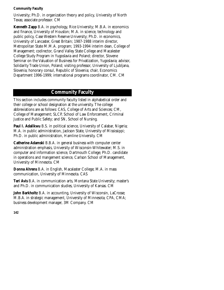University; Ph.D. in organization theory and policy, University of North Texas; associate professor. CM

**Kenneth Zapp** B.A. in psychology, Rice University; M.B.A. in economics and finance, University of Houston; M.A. in science, technology and public policy, Case Western Reserve University; Ph.D. in economics, University of Lancaster, Great Britain; 1987-1988 interim director, Metropolitan State M.M.A. program; 1993-1994 interim dean, College of Management; codirector, Grand Valley State College and Macalester College Study Program in Yugoslavia and Poland; director, Slovene Seminar on the Valuation of Business for Privatization, Yugoslavia; advisor, Solidarity Trade Union, Poland; visiting professor, University of Ljubljana, Slovenia; honorary consul, Republic of Slovenia; chair, Economics Department 1996-1999; international programs coordinator, CM. CM

## **Community Faculty**

This section includes community faculty listed in alphabetical order and their college or school designation at the university. The college abbreviations are as follows: CAS, College of Arts and Sciences; CM, College of Management; SLCP, School of Law Enforcement, Criminal Justice and Public Safety; and SN, School of Nursing.

**Paul I. Adalikwu** B.S. in political science, University of Calabar, Nigeria; M.A. in public administration, Jackson State, University of Mississippi; Ph.D. in public administration, Hamline University. CM

**Catherine Adamski** B.B.A. in general business with computer center administration emphasis, University of Wisconsin-Whitewater; M.S. in computer and information science, Dartmouth College; Ph.D. candidate in operations and mangement science, Carlson School of Management, University of Minnesota. CM

**Donna Ahrens** B.A. in English, Macalaster College; M.A. in mass communication, University of Minnesota. CAS

**Teri Avis** B.A. in communication arts, Montana State University; master's and Ph.D. in communication studies, University of Kansas. CM

**John Barkholtz** B.A. in accounting, University of Wisconsin, LaCrosse; M.B.A. in strategic management, University of Minnesota; CPA, CMA; business development manager, 3M Company. CM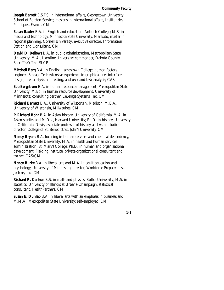**Joseph Barrett** B.S.F.S. in international affairs, Georgetown University School of Foreign Service; master's in international affairs, Institut des Politiques, France. CM

**Susan Baxter** B.A. in English and education, Antioch College; M.S. in media and technology, Minnesota State University, Mankato; master in regional planning, Cornell University; executive director, Information Station and Consultant. CM

**David D. Bellows** B.A. in public administration, Metropolitan State University; M.A., Hamline University; commander, Dakota County Sheriff's Office. SLCP

**Mitchell Berg** B.A. in English, Jamestown College; human factors engineer, Storage Ted; extensive experience in graphical user interface design, user analysis and testing, and user and task analysis; CAS.

**Sue Bergstrom** B.A. in human resource management, Metropolitan State University; M.Ed. in human resource development, University of Minnesota; consulting partner, Leverage Systems, Inc. CM

**Richard Bernett** B.A., University of Wisconsin, Madison; M.B.A., University of Wisconsin, Milwaukee. CM

**P. Richard Bohr** B.A. in Asian history, University of California; M.A. in Asian studies and M.Div., Harvard University; Ph.D. in history, University of California, Davis; associate professor of history and Asian studies director, College of St. Benedict/St. John's University. CM

**Nancy Bryant** B.A. focusing in human services and chemical dependency, Metropolitan State University; M.A. in health and human services administration, St. Mary's College; Ph.D. in human and organizational development, Fielding Institute; private organizational consultant and trainer. CAS/CM

**Nancy Burke** B.A. in liberal arts and M.A. in adult education and psychology, University of Minnesota; director, Workforce Preparedness, Jostens, Inc. CM

**Richard R. Carlson** B.S. in math and physics, Butler University; M.S. in statistics, University of Illinois at Urbana-Champaign; statistical consultant, HealthPartners. CM

**Susan E. Dunlap** B.A. in liberal arts with an emphasis in business and M.M.A., Metropolitan State University; self-employed. CM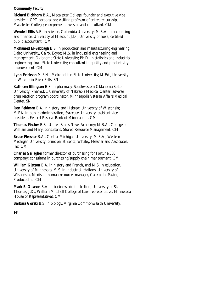**Richard Eichhorn** B.A., Macalester College; founder and executive vice president, CPT corporation; visiting professor of entrepreneurship, Macalester College; entrepreneur, investor and consultant. CM

**Wendell Ellis** A.B. in science, Columbia University; M.B.A. in accounting and finance, University of Missouri; J.D., University of Iowa; certified public accountant. CM

**Mohamed El-Sabbagh** B.S. in production and manufacturing engineering, Cairo University, Cairo, Egypt; M.S. in industrial engineering and management, Oklahoma State University; Ph.D. in statistics and industrial engineering, Iowa State University; consultant in quality and productivity improvement. CM

**Lynn Erickson** M.S.N., Metropolitan State University; M.Ed., University of Wisconsin-River Falls. SN

**Kathleen Ellingson** B.S. in pharmacy, Southwestern Oklahoma State University; Pharm.D., University of Nebraska Medical Center; adverse drug reaction program coordinator, Minneapolis Veteran Affairs Medical Center. SN

**Ron Feldman** B.A. in history and Hebrew, University of Wisconsin; M.P.A. in public administration, Syracuse University; assistant vice president, Federal Reserve Bank of Minneapolis. CM

**Thomas Fischer** B.S., United States Navel Academy; M.B.A., College of William and Mary; consultant, Shared Resource Management. CM

**Bruce Flessner** B.A., Central Michigan University; M.B.A., Western Michigan University; principal at Bentz, Whaley, Flessner and Associates, Inc. CM

**Charles Gallagher** former director of purchasing for Fortune 500 company; consultant in purchasing/supply chain management. CM

**William Gjetson** B.A. in history and French, and M.S. in education, University of Minnesota; M.S. in industrial relations, University of Wisconsin, Madison; human resources manager, Caterpillar Paving Products Inc. CM

**Mark S. Gleason** B.A. in business administration, University of St. Thomas; J.D., William Mitchell College of Law; representative, Minnesota House of Representatives. CM

**Barbara Gorski** B.S. in biology, Virginia Commonwealth University,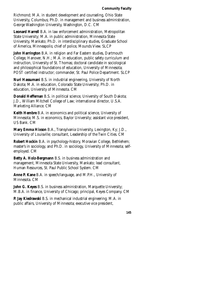Richmond; M.A. in student development and counseling, Ohio State University, Columbus; Ph.D. in management and business administration, George Washington University, Washington, D.C. CM

**Leonard Harrell** B.A. in law enforcement administration, Metropolitan State University; M.A. in public administration, Minnesota State University, Mankato; Ph.D. in interdisciplinary studies, Graduate School of America, Minneapolis; chief of police, Mounds View. SLCP

**John Harrington** B.A. in religion and Far Eastern studies, Dartmouth College, Hanover, N.H.; M.A. in education, public safety curriculum and instruction, University of St. Thomas; doctoral candidate in sociological and philosophical foundations of education, University of Minnesota; POST certified instructor; commander, St. Paul Police Department. SLCP

**Nuri Hassumani** B.S. in industrial engineering, University of North Dakota; M.A. in education, Colorado State University; Ph.D. in education, University of Minnesota. CM

**Donald Heffernan** B.S. in political science, University of South Dakota; J.D., William Mitchell College of Law; international director, U.S.A. Marketing Alliance. CM

**Keith Hembre** B.A. in economics and political science, University of Minnesota; M.S. in economics, Baylor University; assistant vice president, US Bank. CM

**Mary Emma Hixson** B.A., Transylvania University, Lexington, Ky; J.D., University of Louisville; consultant, Leadership of the Twin Cities. CM

**Robert Hockin** B.A. in psychology-history, Moravian College, Bethlehem; master's in sociology, and Ph.D. in sociology, University of Minnesota; selfemployed. CM

**Betty A. Holz-Bergmann** B.S. in business administration and management, Minnesota State University, Mankato; lead consultant, Human Resources, St. Paul Public School System. CM

**Anne P. Kane** B.A. in speech/language, and M.P.H., University of Minnesota. CM

**John G. Keyes** B.S. in business administration, Marquette University; M.B.A. in finance, University of Chicago; principal, Keyes Company. CM

**P. Jay Kiedrawski** B.S. in mechanical industrial engineering; M.A. in public affairs, University of Minnesota; executive vice president,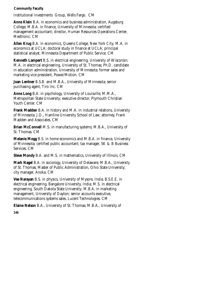Institutional Investments Group, Wells Fargo. CM

**Anne Klein** B.A. in economics and business administration, Augsburg College; M.B.A. in finance, University of Minnesota; certified management accountant; director, Human Resources Operations Center, Medtronic. CM

**Allen Krug** B.A. in economics, Queens College, New York City; M.A. in economics at UCLA; doctoral study in finance at UCLA; principal statistical analyst, Minnesota Department of Public Service. CM

**Kenneth Lampert** B.S. in electrical engineering, University of Wisconsin; M.A. in electrical engineering, University of St. Thomas; Ph.D. candidate in education administration, University of Minnesota; former sales and marketing vice president, Power/Motion. CM

**Joan Lentner** B.S.B. and M.B.A., University of Minnesota; senior purchasing agent, Tiro Inc. CM

**Anne Long** B.A. in psychology, University of Louisville; M.M.A., Metropolitan State University; executive director, Plymouth Christian Youth Center. CM

**Frank Madden** B.A. in history and M.A. in industrial relations, University of Minnesota; J.D., Hamline University School of Law; attorney, Frank Madden and Associates. CM

**Brian McConnell** M.S. in manufacturing systems; M.B.A., University of St. Thomas. CM

**Melanie Mogg** B.S. in home economics and M.B.A. in finance, University of Minnesota; certified public accountant; tax manager, SK & B Business Services. CM

**Steve Mondy** B.A. and M.S. in mathematics, University of Illinois. CM

**Mark Nagel** B.A. in sociology, University of Delaware; M.B.A., University of St. Thomas; Master of Public Administration, Ohio State University; city manager, Anoka. CM

**Vee Narayan** B.S. in physics, University of Mysore, India; B.S.E.E. in electrical engineering, Bangalore University, India; M.S. in electrical engineering, South Dakota State University; M.B.A. in marketing management, University of Dayton; senior accounts executive, telecommunications systems sales, Lucent Technologies. CM

**Elaine Nelson** B.A., University of St. Thomas; M.B.A., University of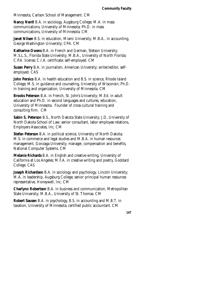Minnesota, Carlson School of Management. CM

**Nancy Nentl** B.A. in sociology, Augsburg College; M.A. in mass communications, University of Minnesota; Ph.D. in mass communications, University of Minnesota. CM

**Janet Nilsen** B.S. in education, Miami University; M.B.A.. in accounting, George Washington University; CPA. CM

**Katharine Owens** B.A. in French and German, Stetson University; M.S.L.S., Florida State University; M.B.A., University of North Florida; C.P.A. license; C.I.A. certificate; self-employed. CM

**Susan Perry** B.A. in journalism, American University; writer/editor, selfemployed. CAS

**John Persico** B.A. in health education and B.S. in science, Rhode Island College; M.S. in guidance and counseling, University of Wisconsin; Ph.D. in training and organization, University of Minnesota. CM

**Brooks Peterson** B.A. in French, St. John's University; M.Ed. in adult education and Ph.D. in second languages and cultures, education, University of Minnesota. Founder of cross-cultural training and consulting firm. CM

**Sabin S. Peterson** B.S., North Dakota State University; J.D, University of North Dakota School of Law; senior consultant, labor employee relations, Employers Associates, Inc. CM

**Stefan Peterson** B.A. in political science, University of North Dakota; M.S. in commerce and legal studies and M.B.A. in human resources management, Gonzaga University; manager, compensation and benefits, National Computer Systems. CM

**Melanie Richards** B.A. in English and creative writing, University of California at Los Angeles; M.F.A. in creative writing and poetry, Goddard College. CAS

**Joseph Richardson** B.A. in sociology and psychology, Lincoln University; M.A. in leadership, Augsburg College; senior principal human resources representative, Honeywell, Inc. CM

**Charlynn Robertson** B.A. in business and communication, Metropolitan State University; M.B.A., University of St. Thomas. CM

**Robert Sausen** B.A. in psychology, B.S. in accounting and M.B.T. in taxation, University of Minnesota; certified public accountant. CM